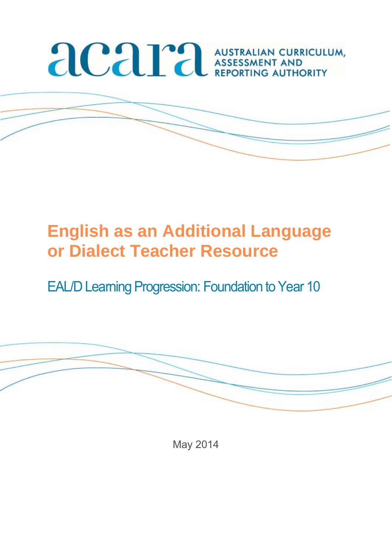

# **English as an Additional Language or Dialect Teacher Resource**

EAL/D Learning Progression: Foundation to Year 10



May 2014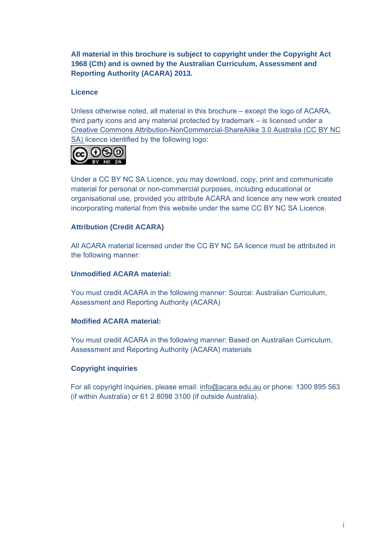All material in this brochure is subject to copyright under the Copyright Act **1968 (Cth) and is owned by the Australian Curriculum, Assessment and Reporting Authority (ACARA) 2013.** 

#### **Licence**

Unless otherwise noted, all material in this brochure – except the logo of ACARA, third party icons and any material protected by trademark – is licensed under a Creative Commons Attribution-NonCommercial-ShareAlike 3.0 Australia (CC BY NC SA) licence identified by the following logo:



Under a CC BY NC SA Licence, you may download, copy, print and communicate material for personal or non-commercial purposes, including educational or organisational use, provided you attribute ACARA and licence any new work created incorporating material from this website under the same CC BY NC SA Licence.

#### **Attribution (Credit ACARA)**

All ACARA material licensed under the CC BY NC SA licence must be attributed in the following manner:

#### **Unmodified ACARA material:**

You must credit ACARA in the following manner: Source: Australian Curriculum, Assessment and Reporting Authority (ACARA)

#### **Modified ACARA material:**

You must credit ACARA in the following manner: Based on Australian Curriculum, Assessment and Reporting Authority (ACARA) materials

#### **Copyright inquiries**

For all copyright inquiries, please email: info@acara.edu.au or phone: 1300 895 563 (if within Australia) or 61 2 8098 3100 (if outside Australia).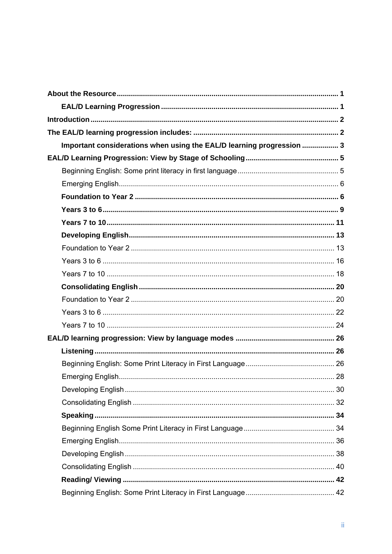| Important considerations when using the EAL/D learning progression  3 |  |
|-----------------------------------------------------------------------|--|
|                                                                       |  |
|                                                                       |  |
|                                                                       |  |
|                                                                       |  |
|                                                                       |  |
|                                                                       |  |
|                                                                       |  |
|                                                                       |  |
|                                                                       |  |
|                                                                       |  |
|                                                                       |  |
|                                                                       |  |
|                                                                       |  |
|                                                                       |  |
|                                                                       |  |
|                                                                       |  |
|                                                                       |  |
|                                                                       |  |
|                                                                       |  |
|                                                                       |  |
|                                                                       |  |
|                                                                       |  |
|                                                                       |  |
|                                                                       |  |
|                                                                       |  |
|                                                                       |  |
|                                                                       |  |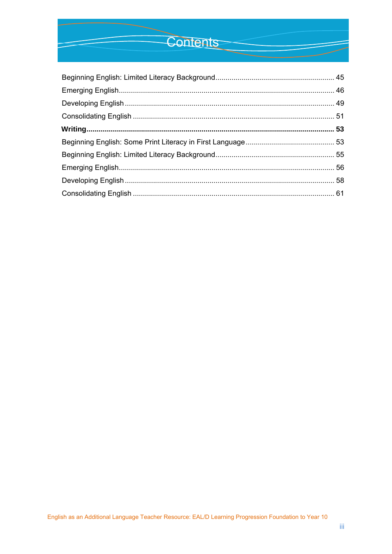## Contents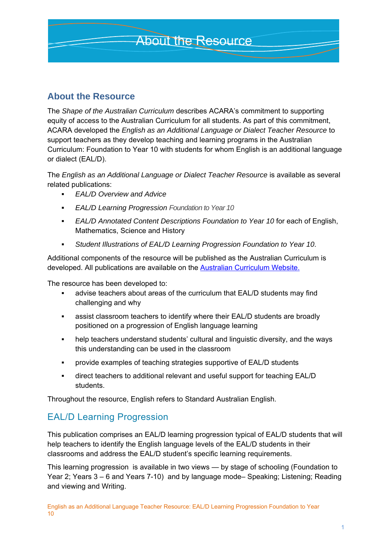### **About the Resource**

The *Shape of the Australian Curriculum* describes ACARA's commitment to supporting equity of access to the Australian Curriculum for all students. As part of this commitment, ACARA developed the *English as an Additional Language or Dialect Teacher Resource* to support teachers as they develop teaching and learning programs in the Australian Curriculum: Foundation to Year 10 with students for whom English is an additional language or dialect (EAL/D).

The *English as an Additional Language or Dialect Teacher Resource* is available as several related publications:

- *EAL/D Overview and Advice*
- *EAL/D Learning Progression Foundation to Year 10*
- *EAL/D Annotated Content Descriptions Foundation to Year 10* for each of English, Mathematics, Science and History
- *Student Illustrations of EAL/D Learning Progression Foundation to Year 10*.

Additional components of the resource will be published as the Australian Curriculum is developed. All publications are available on the **Australian Curriculum Website.** 

The resource has been developed to:

- advise teachers about areas of the curriculum that EAL/D students may find challenging and why
- assist classroom teachers to identify where their EAL/D students are broadly positioned on a progression of English language learning
- help teachers understand students' cultural and linguistic diversity, and the ways this understanding can be used in the classroom
- provide examples of teaching strategies supportive of EAL/D students
- direct teachers to additional relevant and useful support for teaching EAL/D students.

Throughout the resource, English refers to Standard Australian English.

### EAL/D Learning Progression

This publication comprises an EAL/D learning progression typical of EAL/D students that will help teachers to identify the English language levels of the EAL/D students in their classrooms and address the EAL/D student's specific learning requirements.

This learning progression is available in two views — by stage of schooling (Foundation to Year 2; Years 3 – 6 and Years 7-10) and by language mode– Speaking; Listening; Reading and viewing and Writing.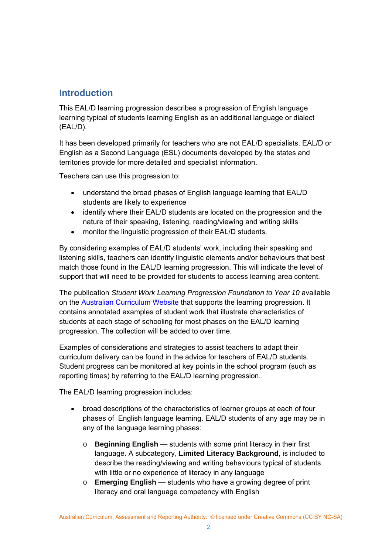### **Introduction**

This EAL/D learning progression describes a progression of English language learning typical of students learning English as an additional language or dialect (EAL/D).

It has been developed primarily for teachers who are not EAL/D specialists. EAL/D or English as a Second Language (ESL) documents developed by the states and territories provide for more detailed and specialist information.

Teachers can use this progression to:

- understand the broad phases of English language learning that EAL/D students are likely to experience
- identify where their EAL/D students are located on the progression and the nature of their speaking, listening, reading/viewing and writing skills
- monitor the linguistic progression of their EAL/D students.

By considering examples of EAL/D students' work, including their speaking and listening skills, teachers can identify linguistic elements and/or behaviours that best match those found in the EAL/D learning progression. This will indicate the level of support that will need to be provided for students to access learning area content.

The publication *Student Work Learning Progression Foundation to Year 10* available on the Australian Curriculum Website that supports the learning progression. It contains annotated examples of student work that illustrate characteristics of students at each stage of schooling for most phases on the EAL/D learning progression. The collection will be added to over time.

Examples of considerations and strategies to assist teachers to adapt their curriculum delivery can be found in the advice for teachers of EAL/D students. Student progress can be monitored at key points in the school program (such as reporting times) by referring to the EAL/D learning progression.

The EAL/D learning progression includes:

- broad descriptions of the characteristics of learner groups at each of four phases of English language learning. EAL/D students of any age may be in any of the language learning phases:
	- o **Beginning English** students with some print literacy in their first language. A subcategory, **Limited Literacy Background**, is included to describe the reading/viewing and writing behaviours typical of students with little or no experience of literacy in any language
	- o **Emerging English** students who have a growing degree of print literacy and oral language competency with English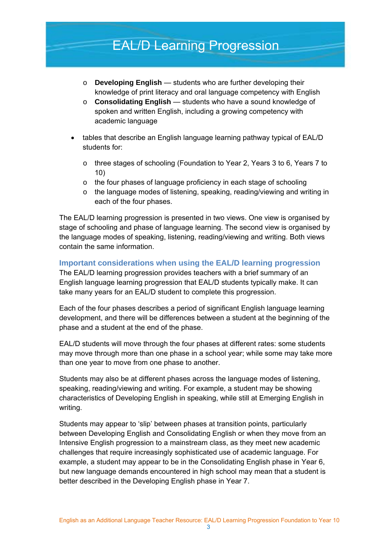## EAL/D Learning Progression

- o **Developing English** students who are further developing their knowledge of print literacy and oral language competency with English
- o **Consolidating English**  students who have a sound knowledge of spoken and written English, including a growing competency with academic language
- tables that describe an English language learning pathway typical of EAL/D students for:
	- o three stages of schooling (Foundation to Year 2, Years 3 to 6, Years 7 to 10)
	- $\circ$  the four phases of language proficiency in each stage of schooling
	- o the language modes of listening, speaking, reading/viewing and writing in each of the four phases.

The EAL/D learning progression is presented in two views. One view is organised by stage of schooling and phase of language learning. The second view is organised by the language modes of speaking, listening, reading/viewing and writing. Both views contain the same information.

#### **Important considerations when using the EAL/D learning progression**

The EAL/D learning progression provides teachers with a brief summary of an English language learning progression that EAL/D students typically make. It can take many years for an EAL/D student to complete this progression.

Each of the four phases describes a period of significant English language learning development, and there will be differences between a student at the beginning of the phase and a student at the end of the phase.

EAL/D students will move through the four phases at different rates: some students may move through more than one phase in a school year; while some may take more than one year to move from one phase to another.

Students may also be at different phases across the language modes of listening, speaking, reading/viewing and writing. For example, a student may be showing characteristics of Developing English in speaking, while still at Emerging English in writing.

Students may appear to 'slip' between phases at transition points, particularly between Developing English and Consolidating English or when they move from an Intensive English progression to a mainstream class, as they meet new academic challenges that require increasingly sophisticated use of academic language. For example, a student may appear to be in the Consolidating English phase in Year 6, but new language demands encountered in high school may mean that a student is better described in the Developing English phase in Year 7.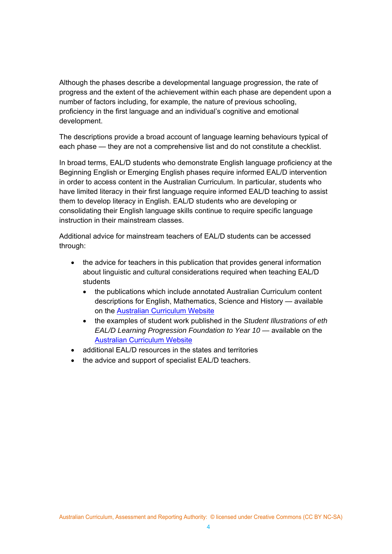Although the phases describe a developmental language progression, the rate of progress and the extent of the achievement within each phase are dependent upon a number of factors including, for example, the nature of previous schooling, proficiency in the first language and an individual's cognitive and emotional development.

The descriptions provide a broad account of language learning behaviours typical of each phase — they are not a comprehensive list and do not constitute a checklist.

In broad terms, EAL/D students who demonstrate English language proficiency at the Beginning English or Emerging English phases require informed EAL/D intervention in order to access content in the Australian Curriculum. In particular, students who have limited literacy in their first language require informed EAL/D teaching to assist them to develop literacy in English. EAL/D students who are developing or consolidating their English language skills continue to require specific language instruction in their mainstream classes.

Additional advice for mainstream teachers of EAL/D students can be accessed through:

- the advice for teachers in this publication that provides general information about linguistic and cultural considerations required when teaching EAL/D students
	- the publications which include annotated Australian Curriculum content descriptions for English, Mathematics, Science and History — available on the Australian Curriculum Website
	- the examples of student work published in the *Student Illustrations of eth EAL/D Learning Progression Foundation to Year 10 — available on the* Australian Curriculum Website
- additional EAL/D resources in the states and territories
- the advice and support of specialist EAL/D teachers.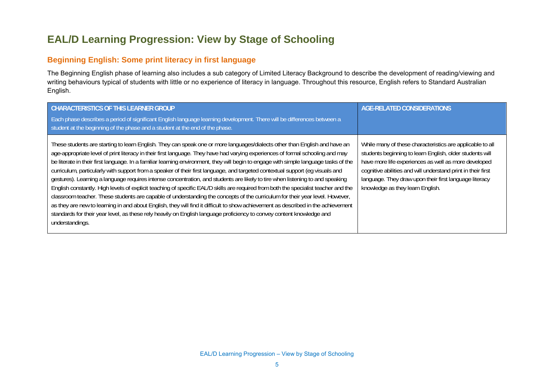## **EAL/D Learning Progression: View by Stage of Schooling**

### **Beginning English: Some print literacy in first language**

The Beginning English phase of learning also includes a sub category of Limited Literacy Background to describe the development of reading/viewing and writing behaviours typical of students with little or no experience of literacy in language. Throughout this resource, English refers to Standard Australian English.

| <b>CHARACTERISTICS OF THIS LEARNER GROUP</b>                                                                                                                                                                                                                                                                                                                                                                                                                                                                                                                                                                                                                                                                                                                                                                                                                                                                                                                                                                                                                                                                                                                                                                                   | AGE-RELATED CONSIDERATIONS                                                                                                                                                                                                                                                                                                                  |
|--------------------------------------------------------------------------------------------------------------------------------------------------------------------------------------------------------------------------------------------------------------------------------------------------------------------------------------------------------------------------------------------------------------------------------------------------------------------------------------------------------------------------------------------------------------------------------------------------------------------------------------------------------------------------------------------------------------------------------------------------------------------------------------------------------------------------------------------------------------------------------------------------------------------------------------------------------------------------------------------------------------------------------------------------------------------------------------------------------------------------------------------------------------------------------------------------------------------------------|---------------------------------------------------------------------------------------------------------------------------------------------------------------------------------------------------------------------------------------------------------------------------------------------------------------------------------------------|
| Each phase describes a period of significant English language learning development. There will be differences between a<br>student at the beginning of the phase and a student at the end of the phase.                                                                                                                                                                                                                                                                                                                                                                                                                                                                                                                                                                                                                                                                                                                                                                                                                                                                                                                                                                                                                        |                                                                                                                                                                                                                                                                                                                                             |
| These students are starting to learn English. They can speak one or more languages/dialects other than English and have an<br>age-appropriate level of print literacy in their first language. They have had varying experiences of formal schooling and may<br>be literate in their first language. In a familiar learning environment, they will begin to engage with simple language tasks of the<br>curriculum, particularly with support from a speaker of their first language, and targeted contextual support (eg visuals and<br>gestures). Learning a language requires intense concentration, and students are likely to tire when listening to and speaking<br>English constantly. High levels of explicit teaching of specific EAL/D skills are required from both the specialist teacher and the<br>classroom teacher. These students are capable of understanding the concepts of the curriculum for their year level. However,<br>as they are new to learning in and about English, they will find it difficult to show achievement as described in the achievement<br>standards for their year level, as these rely heavily on English language proficiency to convey content knowledge and<br>understandings. | While many of these characteristics are applicable to all<br>students beginning to learn English, older students will<br>have more life experiences as well as more developed<br>cognitive abilities and will understand print in their first<br>language. They draw upon their first language literacy<br>knowledge as they learn English. |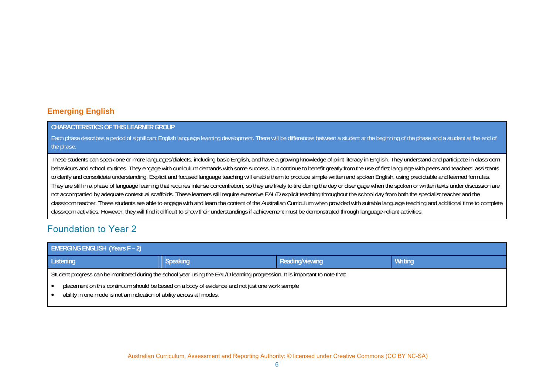#### **Emerging English**

#### **CHARACTERISTICS OF THIS LEARNER GROUP**

Each phase describes a period of significant English language learning development. There will be differences between a student at the beginning of the phase and a student at the end of the phase.

These students can speak one or more languages/dialects, including basic English, and have a growing knowledge of print literacy in English. They understand and participate in classroom behaviours and school routines. They engage with curriculum demands with some success, but continue to benefit greatly from the use of first language with peers and teachers' assistants to clarify and consolidate understanding. Explicit and focused language teaching will enable them to produce simple written and spoken English, using predictable and learned formulas. They are still in a phase of language learning that requires intense concentration, so they are likely to tire during the day or disengage when the spoken or written texts under discussion are not accompanied by adequate contextual scaffolds. These learners still require extensive EAL/D explicit teaching throughout the school day from both the specialist teacher and the classroom teacher. These students are able to engage with and learn the content of the Australian Curriculum when provided with suitable language teaching and additional time to complete classroom activities. However, they will find it difficult to show their understandings if achievement must be demonstrated through language-reliant activities.

### Foundation to Year 2

| <b>EMERGING ENGLISH (Years F - 2)</b>                                                                                        |                                                                                                |                 |         |  |
|------------------------------------------------------------------------------------------------------------------------------|------------------------------------------------------------------------------------------------|-----------------|---------|--|
| Listening                                                                                                                    | <b>Speaking</b>                                                                                | Reading/viewing | Writing |  |
| Student progress can be monitored during the school year using the EAL/D learning progression. It is important to note that: |                                                                                                |                 |         |  |
| ability in one mode is not an indication of ability across all modes.                                                        | placement on this continuum should be based on a body of evidence and not just one work sample |                 |         |  |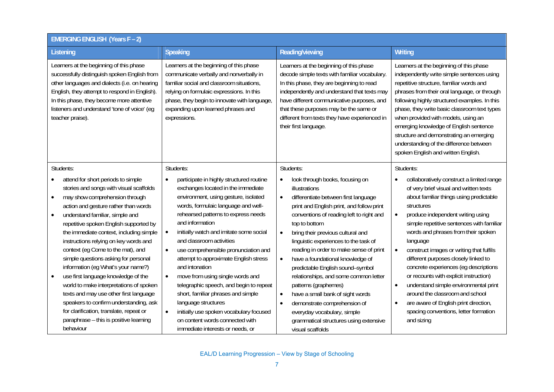| EMERGING ENGLISH (Years F - 2)                                                                                                                                                                                                                                                                                                                                                                                                                                                                                                                                                                                                                                                                                                                             |                                                                                                                                                                                                                                                                                                                                                                                                                                                                                                                                                                                                                                                                    |                                                                                                                                                                                                                                                                                                                                                                                                                                                                                                                                                                                                                                                                                                 |                                                                                                                                                                                                                                                                                                                                                                                                                                                                                                                                                                                                                                                                                          |
|------------------------------------------------------------------------------------------------------------------------------------------------------------------------------------------------------------------------------------------------------------------------------------------------------------------------------------------------------------------------------------------------------------------------------------------------------------------------------------------------------------------------------------------------------------------------------------------------------------------------------------------------------------------------------------------------------------------------------------------------------------|--------------------------------------------------------------------------------------------------------------------------------------------------------------------------------------------------------------------------------------------------------------------------------------------------------------------------------------------------------------------------------------------------------------------------------------------------------------------------------------------------------------------------------------------------------------------------------------------------------------------------------------------------------------------|-------------------------------------------------------------------------------------------------------------------------------------------------------------------------------------------------------------------------------------------------------------------------------------------------------------------------------------------------------------------------------------------------------------------------------------------------------------------------------------------------------------------------------------------------------------------------------------------------------------------------------------------------------------------------------------------------|------------------------------------------------------------------------------------------------------------------------------------------------------------------------------------------------------------------------------------------------------------------------------------------------------------------------------------------------------------------------------------------------------------------------------------------------------------------------------------------------------------------------------------------------------------------------------------------------------------------------------------------------------------------------------------------|
| Listening                                                                                                                                                                                                                                                                                                                                                                                                                                                                                                                                                                                                                                                                                                                                                  | <b>Speaking</b>                                                                                                                                                                                                                                                                                                                                                                                                                                                                                                                                                                                                                                                    | <b>Reading/viewing</b>                                                                                                                                                                                                                                                                                                                                                                                                                                                                                                                                                                                                                                                                          | Writing                                                                                                                                                                                                                                                                                                                                                                                                                                                                                                                                                                                                                                                                                  |
| Learners at the beginning of this phase<br>successfully distinguish spoken English from<br>other languages and dialects (i.e. on hearing<br>English, they attempt to respond in English).<br>In this phase, they become more attentive<br>listeners and understand 'tone of voice' (eg<br>teacher praise).                                                                                                                                                                                                                                                                                                                                                                                                                                                 | Learners at the beginning of this phase<br>communicate verbally and nonverbally in<br>familiar social and classroom situations,<br>relying on formulaic expressions. In this<br>phase, they begin to innovate with language,<br>expanding upon learned phrases and<br>expressions.                                                                                                                                                                                                                                                                                                                                                                                 | Learners at the beginning of this phase<br>decode simple texts with familiar vocabulary.<br>In this phase, they are beginning to read<br>independently and understand that texts may<br>have different communicative purposes, and<br>that these purposes may be the same or<br>different from texts they have experienced in<br>their first language.                                                                                                                                                                                                                                                                                                                                          | Learners at the beginning of this phase<br>independently write simple sentences using<br>repetitive structure, familiar words and<br>phrases from their oral language, or through<br>following highly structured examples. In this<br>phase, they write basic classroom text types<br>when provided with models, using an<br>emerging knowledge of English sentence<br>structure and demonstrating an emerging<br>understanding of the difference between<br>spoken English and written English.                                                                                                                                                                                         |
| Students:<br>attend for short periods to simple<br>stories and songs with visual scaffolds<br>may show comprehension through<br>$\bullet$<br>action and gesture rather than words<br>understand familiar, simple and<br>$\bullet$<br>repetitive spoken English supported by<br>the immediate context, including simple<br>instructions relying on key words and<br>context (eg Come to the mat), and<br>simple questions asking for personal<br>information (eg What's your name?)<br>use first language knowledge of the<br>$\bullet$<br>world to make interpretations of spoken<br>texts and may use other first language<br>speakers to confirm understanding, ask<br>for clarification, translate, repeat or<br>paraphrase - this is positive learning | Students:<br>participate in highly structured routine<br>$\bullet$<br>exchanges located in the immediate<br>environment, using gesture, isolated<br>words, formulaic language and well-<br>rehearsed patterns to express needs<br>and information<br>initially watch and imitate some social<br>and classroom activities<br>use comprehensible pronunciation and<br>attempt to approximate English stress<br>and intonation<br>move from using single words and<br>$\bullet$<br>telegraphic speech, and begin to repeat<br>short, familiar phrases and simple<br>language structures<br>initially use spoken vocabulary focused<br>on content words connected with | Students:<br>look through books, focusing on<br>illustrations<br>differentiate between first language<br>$\bullet$<br>print and English print, and follow print<br>conventions of reading left to right and<br>top to bottom<br>bring their previous cultural and<br>$\bullet$<br>linguistic experiences to the task of<br>reading in order to make sense of print<br>have a foundational knowledge of<br>$\bullet$<br>predictable English sound-symbol<br>relationships, and some common letter<br>patterns (graphemes)<br>have a small bank of sight words<br>$\bullet$<br>demonstrate comprehension of<br>$\bullet$<br>everyday vocabulary, simple<br>grammatical structures using extensive | Students:<br>collaboratively construct a limited range<br>of very brief visual and written texts<br>about familiar things using predictable<br>structures<br>produce independent writing using<br>simple repetitive sentences with familiar<br>words and phrases from their spoken<br>language<br>construct images or writing that fulfils<br>$\bullet$<br>different purposes closely linked to<br>concrete experiences (eg descriptions<br>or recounts with explicit instruction)<br>understand simple environmental print<br>$\bullet$<br>around the classroom and school<br>are aware of English print direction,<br>$\bullet$<br>spacing conventions, letter formation<br>and sizing |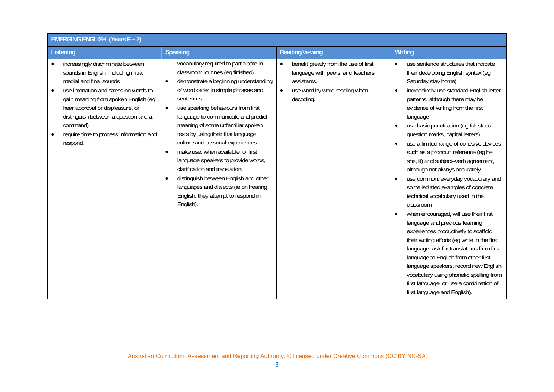| EMERGING ENGLISH (Years F - 2)                                                                                                                                                                                                                                                                                                        |                                                                                                                                                                                                                                                                                                                                                                                                                                                                                                                                                                                                                                                   |                                                                                                                                                                    |                                                                                                                                                                                                                                                                                                                                                                                                                                                                                                                                                                                                                                                                                                                                                                                                                                                                                                                                                                                                                                    |
|---------------------------------------------------------------------------------------------------------------------------------------------------------------------------------------------------------------------------------------------------------------------------------------------------------------------------------------|---------------------------------------------------------------------------------------------------------------------------------------------------------------------------------------------------------------------------------------------------------------------------------------------------------------------------------------------------------------------------------------------------------------------------------------------------------------------------------------------------------------------------------------------------------------------------------------------------------------------------------------------------|--------------------------------------------------------------------------------------------------------------------------------------------------------------------|------------------------------------------------------------------------------------------------------------------------------------------------------------------------------------------------------------------------------------------------------------------------------------------------------------------------------------------------------------------------------------------------------------------------------------------------------------------------------------------------------------------------------------------------------------------------------------------------------------------------------------------------------------------------------------------------------------------------------------------------------------------------------------------------------------------------------------------------------------------------------------------------------------------------------------------------------------------------------------------------------------------------------------|
| Listening                                                                                                                                                                                                                                                                                                                             | <b>Speaking</b>                                                                                                                                                                                                                                                                                                                                                                                                                                                                                                                                                                                                                                   | Reading/viewing                                                                                                                                                    | Writing                                                                                                                                                                                                                                                                                                                                                                                                                                                                                                                                                                                                                                                                                                                                                                                                                                                                                                                                                                                                                            |
| increasingly discriminate between<br>sounds in English, including initial,<br>medial and final sounds<br>use intonation and stress on words to<br>gain meaning from spoken English (eg<br>hear approval or displeasure, or<br>distinguish between a question and a<br>command)<br>require time to process information and<br>respond. | vocabulary required to participate in<br>classroom routines (eg finished)<br>demonstrate a beginning understanding<br>of word order in simple phrases and<br>sentences<br>use speaking behaviours from first<br>language to communicate and predict<br>meaning of some unfamiliar spoken<br>texts by using their first language<br>culture and personal experiences<br>make use, when available, of first<br>$\bullet$<br>language speakers to provide words,<br>clarification and translation<br>distinguish between English and other<br>$\bullet$<br>languages and dialects (ie on hearing<br>English, they attempt to respond in<br>English). | benefit greatly from the use of first<br>$\bullet$<br>language with peers, and teachers'<br>assistants.<br>use word by word reading when<br>$\bullet$<br>decoding. | use sentence structures that indicate<br>their developing English syntax (eg<br>Saturday stay home)<br>increasingly use standard English letter<br>patterns, although there may be<br>evidence of writing from the first<br>language<br>use basic punctuation (eg full stops,<br>question marks, capital letters)<br>use a limited range of cohesive devices<br>such as a pronoun reference (eg he,<br>she, it) and subject-verb agreement,<br>although not always accurately<br>use common, everyday vocabulary and<br>some isolated examples of concrete<br>technical vocabulary used in the<br>classroom<br>when encouraged, will use their first<br>language and previous learning<br>experiences productively to scaffold<br>their writing efforts (eg write in the first<br>language, ask for translations from first<br>language to English from other first<br>language speakers, record new English<br>vocabulary using phonetic spelling from<br>first language, or use a combination of<br>first language and English). |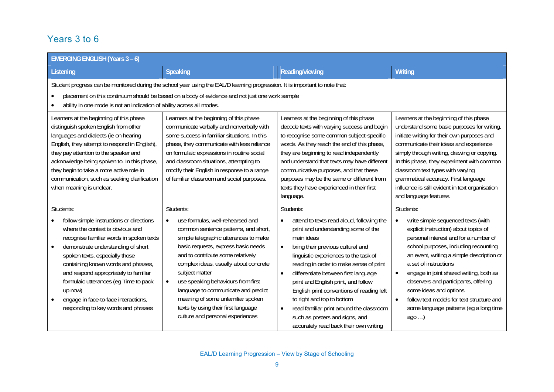### Years 3 to 6

| <b>EMERGING ENGLISH (Years 3 - 6)</b>                                                                                                                                                                                                                                                                                                                                                                                                                      |                                                                                                                                                                                                                                                                                                                                                                                                                                                                                              |                                                                                                                                                                                                                                                                                                                                                                                                                                                                                                                                                                            |                                                                                                                                                                                                                                                                                                                                                                                                                                                                                                 |
|------------------------------------------------------------------------------------------------------------------------------------------------------------------------------------------------------------------------------------------------------------------------------------------------------------------------------------------------------------------------------------------------------------------------------------------------------------|----------------------------------------------------------------------------------------------------------------------------------------------------------------------------------------------------------------------------------------------------------------------------------------------------------------------------------------------------------------------------------------------------------------------------------------------------------------------------------------------|----------------------------------------------------------------------------------------------------------------------------------------------------------------------------------------------------------------------------------------------------------------------------------------------------------------------------------------------------------------------------------------------------------------------------------------------------------------------------------------------------------------------------------------------------------------------------|-------------------------------------------------------------------------------------------------------------------------------------------------------------------------------------------------------------------------------------------------------------------------------------------------------------------------------------------------------------------------------------------------------------------------------------------------------------------------------------------------|
| Listening                                                                                                                                                                                                                                                                                                                                                                                                                                                  | Speaking                                                                                                                                                                                                                                                                                                                                                                                                                                                                                     | Reading/viewing                                                                                                                                                                                                                                                                                                                                                                                                                                                                                                                                                            | Writing                                                                                                                                                                                                                                                                                                                                                                                                                                                                                         |
| ability in one mode is not an indication of ability across all modes.<br>Learners at the beginning of this phase<br>distinguish spoken English from other                                                                                                                                                                                                                                                                                                  | Student progress can be monitored during the school year using the EAL/D learning progression. It is important to note that:<br>placement on this continuum should be based on a body of evidence and not just one work sample<br>Learners at the beginning of this phase<br>communicate verbally and nonverbally with                                                                                                                                                                       | Learners at the beginning of this phase<br>decode texts with varying success and begin                                                                                                                                                                                                                                                                                                                                                                                                                                                                                     | Learners at the beginning of this phase<br>understand some basic purposes for writing,                                                                                                                                                                                                                                                                                                                                                                                                          |
| languages and dialects (ie on hearing<br>English, they attempt to respond in English),<br>they pay attention to the speaker and<br>acknowledge being spoken to. In this phase,<br>they begin to take a more active role in<br>communication, such as seeking clarification<br>when meaning is unclear.                                                                                                                                                     | some success in familiar situations. In this<br>phase, they communicate with less reliance<br>on formulaic expressions in routine social<br>and classroom situations, attempting to<br>modify their English in response to a range<br>of familiar classroom and social purposes.                                                                                                                                                                                                             | to recognise some common subject-specific<br>words. As they reach the end of this phase,<br>they are beginning to read independently<br>and understand that texts may have different<br>communicative purposes, and that these<br>purposes may be the same or different from<br>texts they have experienced in their first<br>language.                                                                                                                                                                                                                                    | initiate writing for their own purposes and<br>communicate their ideas and experience<br>simply through writing, drawing or copying.<br>In this phase, they experiment with common<br>classroom text types with varying<br>grammatical accuracy. First language<br>influence is still evident in text organisation<br>and language features.                                                                                                                                                    |
| Students:<br>follow simple instructions or directions<br>where the context is obvious and<br>recognise familiar words in spoken texts<br>demonstrate understanding of short<br>$\bullet$<br>spoken texts, especially those<br>containing known words and phrases,<br>and respond appropriately to familiar<br>formulaic utterances (eg Time to pack<br>up now)<br>engage in face-to-face interactions,<br>$\bullet$<br>responding to key words and phrases | Students:<br>use formulas, well-rehearsed and<br>$\bullet$<br>common sentence patterns, and short,<br>simple telegraphic utterances to make<br>basic requests, express basic needs<br>and to contribute some relatively<br>complex ideas, usually about concrete<br>subject matter<br>use speaking behaviours from first<br>$\bullet$<br>language to communicate and predict<br>meaning of some unfamiliar spoken<br>texts by using their first language<br>culture and personal experiences | Students:<br>attend to texts read aloud, following the<br>$\bullet$<br>print and understanding some of the<br>main ideas<br>bring their previous cultural and<br>$\bullet$<br>linguistic experiences to the task of<br>reading in order to make sense of print<br>differentiate between first language<br>$\bullet$<br>print and English print, and follow<br>English print conventions of reading left<br>to right and top to bottom<br>read familiar print around the classroom<br>$\bullet$<br>such as posters and signs, and<br>accurately read back their own writing | Students:<br>write simple sequenced texts (with<br>explicit instruction) about topics of<br>personal interest and for a number of<br>school purposes, including recounting<br>an event, writing a simple description or<br>a set of instructions<br>engage in joint shared writing, both as<br>$\bullet$<br>observers and participants, offering<br>some ideas and options<br>follow text models for text structure and<br>$\bullet$<br>some language patterns (eg a long time<br>$ago \ldots)$ |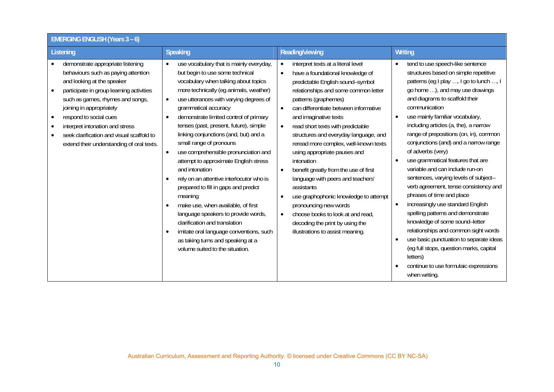| <b>EMERGING ENGLISH (Years 3 - 6)</b>                                                                                                                                                                                                                                                                                                                                     |                                                                                                                                                                                                                                                                                                                                                                                                                                                                                                                                                                                                                                                                                                                                                                                                                                                                                                                      |                                                                                                                                                                                                                                                                                                                                                                                                                                                                                                                                                                                                                                                                                                                                                                           |                                                                                                                                                                                                                                                                                                                                                                                                                                                                                                                                                                                                                                                                                                                                                                                                                                                                                                                                 |
|---------------------------------------------------------------------------------------------------------------------------------------------------------------------------------------------------------------------------------------------------------------------------------------------------------------------------------------------------------------------------|----------------------------------------------------------------------------------------------------------------------------------------------------------------------------------------------------------------------------------------------------------------------------------------------------------------------------------------------------------------------------------------------------------------------------------------------------------------------------------------------------------------------------------------------------------------------------------------------------------------------------------------------------------------------------------------------------------------------------------------------------------------------------------------------------------------------------------------------------------------------------------------------------------------------|---------------------------------------------------------------------------------------------------------------------------------------------------------------------------------------------------------------------------------------------------------------------------------------------------------------------------------------------------------------------------------------------------------------------------------------------------------------------------------------------------------------------------------------------------------------------------------------------------------------------------------------------------------------------------------------------------------------------------------------------------------------------------|---------------------------------------------------------------------------------------------------------------------------------------------------------------------------------------------------------------------------------------------------------------------------------------------------------------------------------------------------------------------------------------------------------------------------------------------------------------------------------------------------------------------------------------------------------------------------------------------------------------------------------------------------------------------------------------------------------------------------------------------------------------------------------------------------------------------------------------------------------------------------------------------------------------------------------|
| Listening                                                                                                                                                                                                                                                                                                                                                                 | <b>Speaking</b>                                                                                                                                                                                                                                                                                                                                                                                                                                                                                                                                                                                                                                                                                                                                                                                                                                                                                                      | Reading/viewing                                                                                                                                                                                                                                                                                                                                                                                                                                                                                                                                                                                                                                                                                                                                                           | <b>Writing</b>                                                                                                                                                                                                                                                                                                                                                                                                                                                                                                                                                                                                                                                                                                                                                                                                                                                                                                                  |
| demonstrate appropriate listening<br>behaviours such as paying attention<br>and looking at the speaker<br>participate in group learning activities<br>such as games, rhymes and songs,<br>joining in appropriately<br>respond to social cues<br>interpret intonation and stress<br>seek clarification and visual scaffold to<br>extend their understanding of oral texts. | use vocabulary that is mainly everyday,<br>$\bullet$<br>but begin to use some technical<br>vocabulary when talking about topics<br>more technically (eg animals, weather)<br>use utterances with varying degrees of<br>$\bullet$<br>grammatical accuracy<br>demonstrate limited control of primary<br>$\bullet$<br>tenses (past, present, future), simple<br>linking conjunctions (and, but) and a<br>small range of pronouns<br>use comprehensible pronunciation and<br>$\bullet$<br>attempt to approximate English stress<br>and intonation<br>rely on an attentive interlocutor who is<br>$\bullet$<br>prepared to fill in gaps and predict<br>meaning<br>make use, when available, of first<br>$\bullet$<br>language speakers to provide words,<br>clarification and translation<br>imitate oral language conventions, such<br>$\bullet$<br>as taking turns and speaking at a<br>volume suited to the situation. | interpret texts at a literal level<br>$\bullet$<br>have a foundational knowledge of<br>$\bullet$<br>predictable English sound-symbol<br>relationships and some common letter<br>patterns (graphemes)<br>can differentiate between informative<br>$\bullet$<br>and imaginative texts<br>read short texts with predictable<br>$\bullet$<br>structures and everyday language, and<br>reread more complex, well-known texts<br>using appropriate pauses and<br>intonation<br>benefit greatly from the use of first<br>$\bullet$<br>language with peers and teachers'<br>assistants<br>use graphophonic knowledge to attempt<br>pronouncing new words<br>choose books to look at and read,<br>$\bullet$<br>decoding the print by using the<br>illustrations to assist meaning. | tend to use speech-like sentence<br>structures based on simple repetitive<br>patterns (eg I play , I go to lunch , I<br>go home ), and may use drawings<br>and diagrams to scaffold their<br>communication<br>use mainly familiar vocabulary,<br>$\bullet$<br>including articles (a, the), a narrow<br>range of prepositions (on, in), common<br>conjunctions (and) and a narrow range<br>of adverbs (very)<br>use grammatical features that are<br>variable and can include run-on<br>sentences, varying levels of subject-<br>verb agreement, tense consistency and<br>phrases of time and place<br>increasingly use standard English<br>$\bullet$<br>spelling patterns and demonstrate<br>knowledge of some sound-letter<br>relationships and common sight words<br>use basic punctuation to separate ideas<br>(eg full stops, question marks, capital<br>letters)<br>continue to use formulaic expressions<br>when writing. |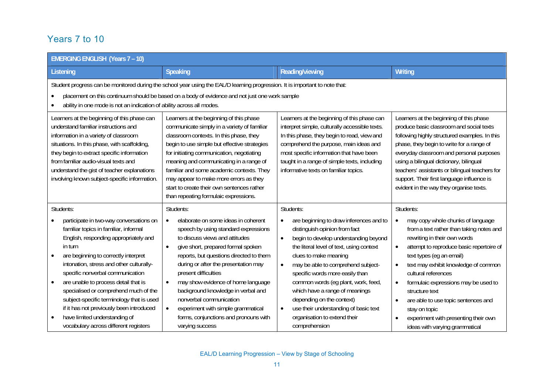### Years 7 to 10

| <b>EMERGING ENGLISH (Years 7 - 10)</b>                                                                                                                                                                                                                                                                                                                                                                                                                                                                                                                  |                                                                                                                                                                                                                                                                                                                                                                                                                                                                                                                                          |                                                                                                                                                                                                                                                                                                                                                                                                                                                                                                                                  |                                                                                                                                                                                                                                                                                                                                                                                                                                                                                                                   |
|---------------------------------------------------------------------------------------------------------------------------------------------------------------------------------------------------------------------------------------------------------------------------------------------------------------------------------------------------------------------------------------------------------------------------------------------------------------------------------------------------------------------------------------------------------|------------------------------------------------------------------------------------------------------------------------------------------------------------------------------------------------------------------------------------------------------------------------------------------------------------------------------------------------------------------------------------------------------------------------------------------------------------------------------------------------------------------------------------------|----------------------------------------------------------------------------------------------------------------------------------------------------------------------------------------------------------------------------------------------------------------------------------------------------------------------------------------------------------------------------------------------------------------------------------------------------------------------------------------------------------------------------------|-------------------------------------------------------------------------------------------------------------------------------------------------------------------------------------------------------------------------------------------------------------------------------------------------------------------------------------------------------------------------------------------------------------------------------------------------------------------------------------------------------------------|
| Listening                                                                                                                                                                                                                                                                                                                                                                                                                                                                                                                                               | Speaking                                                                                                                                                                                                                                                                                                                                                                                                                                                                                                                                 | Reading/viewing                                                                                                                                                                                                                                                                                                                                                                                                                                                                                                                  | Writing                                                                                                                                                                                                                                                                                                                                                                                                                                                                                                           |
| Student progress can be monitored during the school year using the EAL/D learning progression. It is important to note that:<br>placement on this continuum should be based on a body of evidence and not just one work sample<br>ability in one mode is not an indication of ability across all modes.                                                                                                                                                                                                                                                 |                                                                                                                                                                                                                                                                                                                                                                                                                                                                                                                                          |                                                                                                                                                                                                                                                                                                                                                                                                                                                                                                                                  |                                                                                                                                                                                                                                                                                                                                                                                                                                                                                                                   |
| Learners at the beginning of this phase can<br>understand familiar instructions and<br>information in a variety of classroom<br>situations. In this phase, with scaffolding,<br>they begin to extract specific information<br>from familiar audio-visual texts and<br>understand the gist of teacher explanations<br>involving known subject-specific information.                                                                                                                                                                                      | Learners at the beginning of this phase<br>communicate simply in a variety of familiar<br>classroom contexts. In this phase, they<br>begin to use simple but effective strategies<br>for initiating communication, negotiating<br>meaning and communicating in a range of<br>familiar and some academic contexts. They<br>may appear to make more errors as they<br>start to create their own sentences rather<br>than repeating formulaic expressions.                                                                                  | Learners at the beginning of this phase can<br>interpret simple, culturally accessible texts.<br>In this phase, they begin to read, view and<br>comprehend the purpose, main ideas and<br>most specific information that have been<br>taught in a range of simple texts, including<br>informative texts on familiar topics.                                                                                                                                                                                                      | Learners at the beginning of this phase<br>produce basic classroom and social texts<br>following highly structured examples. In this<br>phase, they begin to write for a range of<br>everyday classroom and personal purposes<br>using a bilingual dictionary, bilingual<br>teachers' assistants or bilingual teachers for<br>support. Their first language influence is<br>evident in the way they organise texts.                                                                                               |
| Students:<br>participate in two-way conversations on<br>familiar topics in familiar, informal<br>English, responding appropriately and<br>in turn<br>are beginning to correctly interpret<br>$\bullet$<br>intonation, stress and other culturally-<br>specific nonverbal communication<br>are unable to process detail that is<br>$\bullet$<br>specialised or comprehend much of the<br>subject-specific terminology that is used<br>if it has not previously been introduced<br>have limited understanding of<br>vocabulary across different registers | Students:<br>elaborate on some ideas in coherent<br>$\bullet$<br>speech by using standard expressions<br>to discuss views and attitudes<br>give short, prepared formal spoken<br>$\bullet$<br>reports, but questions directed to them<br>during or after the presentation may<br>present difficulties<br>may show evidence of home language<br>$\bullet$<br>background knowledge in verbal and<br>nonverbal communication<br>experiment with simple grammatical<br>$\bullet$<br>forms, conjunctions and pronouns with<br>varying success | Students:<br>are beginning to draw inferences and to<br>$\bullet$<br>distinguish opinion from fact<br>begin to develop understanding beyond<br>$\bullet$<br>the literal level of text, using context<br>clues to make meaning<br>may be able to comprehend subject-<br>$\bullet$<br>specific words more easily than<br>common words (eg plant, work, feed,<br>which have a range of meanings<br>depending on the context)<br>use their understanding of basic text<br>$\bullet$<br>organisation to extend their<br>comprehension | Students:<br>may copy whole chunks of language<br>from a text rather than taking notes and<br>rewriting in their own words<br>attempt to reproduce basic repertoire of<br>$\bullet$<br>text types (eg an email)<br>text may exhibit knowledge of common<br>$\bullet$<br>cultural references<br>formulaic expressions may be used to<br>$\bullet$<br>structure text<br>are able to use topic sentences and<br>$\bullet$<br>stay on topic<br>experiment with presenting their own<br>ideas with varying grammatical |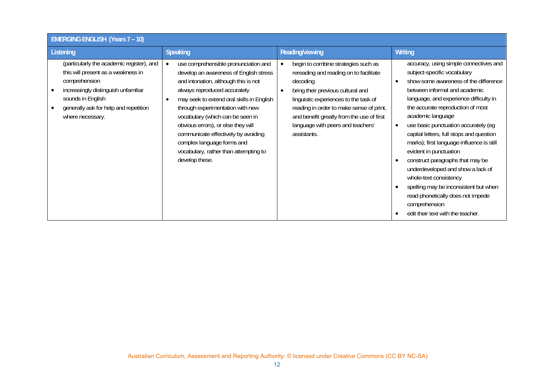| <b>EMERGING ENGLISH (Years 7 - 10)</b>                                                                                                                                                                                    |                                                                                                                                                                                                                                                                                                                                                                                                                                                   |                                                                                                                                                                                                                                                                                                                                   |                                                                                                                                                                                                                                                                                                                                                                                                                                                                                                                                                                                                                                                       |
|---------------------------------------------------------------------------------------------------------------------------------------------------------------------------------------------------------------------------|---------------------------------------------------------------------------------------------------------------------------------------------------------------------------------------------------------------------------------------------------------------------------------------------------------------------------------------------------------------------------------------------------------------------------------------------------|-----------------------------------------------------------------------------------------------------------------------------------------------------------------------------------------------------------------------------------------------------------------------------------------------------------------------------------|-------------------------------------------------------------------------------------------------------------------------------------------------------------------------------------------------------------------------------------------------------------------------------------------------------------------------------------------------------------------------------------------------------------------------------------------------------------------------------------------------------------------------------------------------------------------------------------------------------------------------------------------------------|
| Listening                                                                                                                                                                                                                 | <b>Speaking</b>                                                                                                                                                                                                                                                                                                                                                                                                                                   | Reading/viewing                                                                                                                                                                                                                                                                                                                   | Writing                                                                                                                                                                                                                                                                                                                                                                                                                                                                                                                                                                                                                                               |
| (particularly the academic register), and<br>this will present as a weakness in<br>comprehension<br>increasingly distinguish unfamiliar<br>sounds in English<br>generally ask for help and repetition<br>where necessary. | use comprehensible pronunciation and<br>develop an awareness of English stress<br>and intonation, although this is not<br>always reproduced accurately<br>may seek to extend oral skills in English<br>through experimentation with new<br>vocabulary (which can be seen in<br>obvious errors), or else they will<br>communicate effectively by avoiding<br>complex language forms and<br>vocabulary, rather than attempting to<br>develop these. | begin to combine strategies such as<br>$\bullet$<br>rereading and reading on to facilitate<br>decoding<br>bring their previous cultural and<br>linguistic experiences to the task of<br>reading in order to make sense of print,<br>and benefit greatly from the use of first<br>language with peers and teachers'<br>assistants. | accuracy, using simple connectives and<br>subject-specific vocabulary<br>show some awareness of the difference<br>between informal and academic<br>language, and experience difficulty in<br>the accurate reproduction of most<br>academic language<br>use basic punctuation accurately (eg<br>capital letters, full stops and question<br>marks); first language influence is still<br>evident in punctuation<br>construct paragraphs that may be<br>underdeveloped and show a lack of<br>whole-text consistency<br>spelling may be inconsistent but when<br>read phonetically does not impede<br>comprehension<br>edit their text with the teacher. |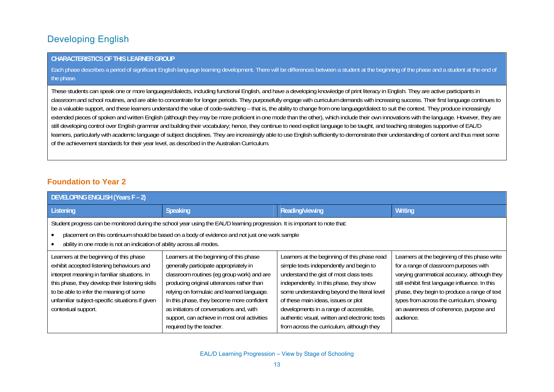### **Developing English**

#### **CHARACTERISTICS OF THIS LEARNER GROUP**

Each phase describes a period of significant English language learning development. There will be differences between a student at the beginning of the phase and a student at the end of the phase.

These students can speak one or more languages/dialects, including functional English, and have a developing knowledge of print literacy in English. They are active participants in classroom and school routines, and are able to concentrate for longer periods. They purposefully engage with curriculum demands with increasing success. Their first language continues to be a valuable support, and these learners understand the value of code-switching – that is, the ability to change from one language/dialect to suit the context. They produce increasingly extended pieces of spoken and written English (although they may be more proficient in one mode than the other), which include their own innovations with the language. However, they are still developing control over English grammar and building their vocabulary; hence, they continue to need explicit language to be taught, and teaching strategies supportive of EAL/D learners, particularly with academic language of subject disciplines. They are increasingly able to use English sufficiently to demonstrate their understanding of content and thus meet some of the achievement standards for their year level, as described in the Australian Curriculum.

### **Foundation to Year 2**

| DEVELOPING ENGLISH (Years F - 2)                                                                                                                                                                                                                                                                             |                                                                                                                                                                                                                                                                                                                                                                                                 |                                                                                                                                                                                                                                                                                                                                                                                                              |                                                                                                                                                                                                                                                                                                                                               |
|--------------------------------------------------------------------------------------------------------------------------------------------------------------------------------------------------------------------------------------------------------------------------------------------------------------|-------------------------------------------------------------------------------------------------------------------------------------------------------------------------------------------------------------------------------------------------------------------------------------------------------------------------------------------------------------------------------------------------|--------------------------------------------------------------------------------------------------------------------------------------------------------------------------------------------------------------------------------------------------------------------------------------------------------------------------------------------------------------------------------------------------------------|-----------------------------------------------------------------------------------------------------------------------------------------------------------------------------------------------------------------------------------------------------------------------------------------------------------------------------------------------|
| Listening                                                                                                                                                                                                                                                                                                    | <b>Speaking</b>                                                                                                                                                                                                                                                                                                                                                                                 | Reading/viewing                                                                                                                                                                                                                                                                                                                                                                                              | Writing                                                                                                                                                                                                                                                                                                                                       |
|                                                                                                                                                                                                                                                                                                              | Student progress can be monitored during the school year using the EAL/D learning progression. It is important to note that:                                                                                                                                                                                                                                                                    |                                                                                                                                                                                                                                                                                                                                                                                                              |                                                                                                                                                                                                                                                                                                                                               |
| ability in one mode is not an indication of ability across all modes.                                                                                                                                                                                                                                        | placement on this continuum should be based on a body of evidence and not just one work sample                                                                                                                                                                                                                                                                                                  |                                                                                                                                                                                                                                                                                                                                                                                                              |                                                                                                                                                                                                                                                                                                                                               |
| Learners at the beginning of this phase<br>exhibit accepted listening behaviours and<br>interpret meaning in familiar situations. In<br>this phase, they develop their listening skills<br>to be able to infer the meaning of some<br>unfamiliar subject-specific situations if given<br>contextual support. | Learners at the beginning of this phase<br>generally participate appropriately in<br>classroom routines (eg group work) and are<br>producing original utterances rather than<br>relying on formulaic and learned language.<br>In this phase, they become more confident<br>as initiators of conversations and, with<br>support, can achieve in most oral activities<br>required by the teacher. | Learners at the beginning of this phase read<br>simple texts independently and begin to<br>understand the gist of most class texts<br>independently. In this phase, they show<br>some understanding beyond the literal level<br>of these main ideas, issues or plot<br>developments in a range of accessible,<br>authentic visual, written and electronic texts<br>from across the curriculum, although they | Learners at the beginning of this phase write<br>for a range of classroom purposes with<br>varying grammatical accuracy, although they<br>still exhibit first language influence. In this<br>phase, they begin to produce a range of text<br>types from across the curriculum, showing<br>an awareness of coherence, purpose and<br>audience. |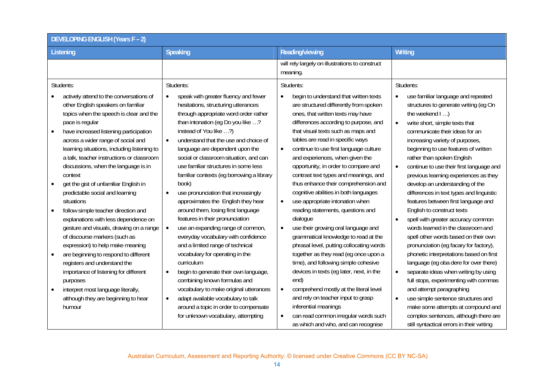| <b>DEVELOPING ENGLISH (Years F - 2)</b>                                                                                                                                                                                                                                                                                                                                                                                                                                                                                                                                                                                                                                                                                                                                               |                                                                                                                                                                                                                                                                                                                                                                                                                                                                                                                                                                                                                                                                                                                                                                                                                             |                                                                                                                                                                                                                                                                                                                                                                                                                                                                                                                                                                                                                                                                                                                                                                                                                                                                                         |                                                                                                                                                                                                                                                                                                                                                                                                                                                                                                                                                                                                                                                                                                                                                                                                                                          |
|---------------------------------------------------------------------------------------------------------------------------------------------------------------------------------------------------------------------------------------------------------------------------------------------------------------------------------------------------------------------------------------------------------------------------------------------------------------------------------------------------------------------------------------------------------------------------------------------------------------------------------------------------------------------------------------------------------------------------------------------------------------------------------------|-----------------------------------------------------------------------------------------------------------------------------------------------------------------------------------------------------------------------------------------------------------------------------------------------------------------------------------------------------------------------------------------------------------------------------------------------------------------------------------------------------------------------------------------------------------------------------------------------------------------------------------------------------------------------------------------------------------------------------------------------------------------------------------------------------------------------------|-----------------------------------------------------------------------------------------------------------------------------------------------------------------------------------------------------------------------------------------------------------------------------------------------------------------------------------------------------------------------------------------------------------------------------------------------------------------------------------------------------------------------------------------------------------------------------------------------------------------------------------------------------------------------------------------------------------------------------------------------------------------------------------------------------------------------------------------------------------------------------------------|------------------------------------------------------------------------------------------------------------------------------------------------------------------------------------------------------------------------------------------------------------------------------------------------------------------------------------------------------------------------------------------------------------------------------------------------------------------------------------------------------------------------------------------------------------------------------------------------------------------------------------------------------------------------------------------------------------------------------------------------------------------------------------------------------------------------------------------|
| Listening                                                                                                                                                                                                                                                                                                                                                                                                                                                                                                                                                                                                                                                                                                                                                                             | Speaking                                                                                                                                                                                                                                                                                                                                                                                                                                                                                                                                                                                                                                                                                                                                                                                                                    | Reading/viewing                                                                                                                                                                                                                                                                                                                                                                                                                                                                                                                                                                                                                                                                                                                                                                                                                                                                         | Writing                                                                                                                                                                                                                                                                                                                                                                                                                                                                                                                                                                                                                                                                                                                                                                                                                                  |
|                                                                                                                                                                                                                                                                                                                                                                                                                                                                                                                                                                                                                                                                                                                                                                                       |                                                                                                                                                                                                                                                                                                                                                                                                                                                                                                                                                                                                                                                                                                                                                                                                                             | will rely largely on illustrations to construct<br>meaning.                                                                                                                                                                                                                                                                                                                                                                                                                                                                                                                                                                                                                                                                                                                                                                                                                             |                                                                                                                                                                                                                                                                                                                                                                                                                                                                                                                                                                                                                                                                                                                                                                                                                                          |
| Students:                                                                                                                                                                                                                                                                                                                                                                                                                                                                                                                                                                                                                                                                                                                                                                             | Students:                                                                                                                                                                                                                                                                                                                                                                                                                                                                                                                                                                                                                                                                                                                                                                                                                   | Students:                                                                                                                                                                                                                                                                                                                                                                                                                                                                                                                                                                                                                                                                                                                                                                                                                                                                               | Students:                                                                                                                                                                                                                                                                                                                                                                                                                                                                                                                                                                                                                                                                                                                                                                                                                                |
| actively attend to the conversations of<br>other English speakers on familiar<br>topics when the speech is clear and the<br>pace is regular<br>have increased listening participation<br>across a wider range of social and<br>learning situations, including listening to<br>a talk, teacher instructions or classroom<br>discussions, when the language is in<br>context<br>get the gist of unfamiliar English in<br>predictable social and learning<br>situations<br>follow simple teacher direction and<br>explanations with less dependence on<br>gesture and visuals, drawing on a range<br>of discourse markers (such as<br>expression) to help make meaning<br>are beginning to respond to different<br>registers and understand the<br>importance of listening for different | speak with greater fluency and fewer<br>$\bullet$<br>hesitations, structuring utterances<br>through appropriate word order rather<br>than intonation (eg Do you like ?<br>instead of You like ?)<br>understand that the use and choice of<br>$\bullet$<br>language are dependent upon the<br>social or classroom situation, and can<br>use familiar structures in some less<br>familiar contexts (eg borrowing a library<br>book)<br>use pronunciation that increasingly<br>$\bullet$<br>approximates the English they hear<br>around them, losing first language<br>features in their pronunciation<br>use an expanding range of common,<br>everyday vocabulary with confidence<br>and a limited range of technical<br>vocabulary for operating in the<br>curriculum<br>begin to generate their own language,<br>$\bullet$ | begin to understand that written texts<br>$\bullet$<br>are structured differently from spoken<br>ones, that written texts may have<br>differences according to purpose, and<br>that visual texts such as maps and<br>tables are read in specific ways<br>continue to use first language culture<br>$\bullet$<br>and experiences, when given the<br>opportunity, in order to compare and<br>contrast text types and meanings, and<br>thus enhance their comprehension and<br>cognitive abilities in both languages<br>use appropriate intonation when<br>$\bullet$<br>reading statements, questions and<br>dialogue<br>use their growing oral language and<br>$\bullet$<br>grammatical knowledge to read at the<br>phrasal level, putting collocating words<br>together as they read (eg once upon a<br>time), and following simple cohesive<br>devices in texts (eg later, next, in the | use familiar language and repeated<br>structures to generate writing (eg On<br>the weekend I )<br>write short, simple texts that<br>$\bullet$<br>communicate their ideas for an<br>increasing variety of purposes,<br>beginning to use features of written<br>rather than spoken English<br>continue to use their first language and<br>$\bullet$<br>previous learning experiences as they<br>develop an understanding of the<br>differences in text types and linguistic<br>features between first language and<br>English to construct texts<br>spell with greater accuracy common<br>words learned in the classroom and<br>spell other words based on their own<br>pronunciation (eg facary for factory),<br>phonetic interpretations based on first<br>language (eg oba dere for over there)<br>separate ideas when writing by using |
| purposes                                                                                                                                                                                                                                                                                                                                                                                                                                                                                                                                                                                                                                                                                                                                                                              | combining known formulas and                                                                                                                                                                                                                                                                                                                                                                                                                                                                                                                                                                                                                                                                                                                                                                                                | end)                                                                                                                                                                                                                                                                                                                                                                                                                                                                                                                                                                                                                                                                                                                                                                                                                                                                                    | full stops, experimenting with commas                                                                                                                                                                                                                                                                                                                                                                                                                                                                                                                                                                                                                                                                                                                                                                                                    |
| interpret most language literally,                                                                                                                                                                                                                                                                                                                                                                                                                                                                                                                                                                                                                                                                                                                                                    | vocabulary to make original utterances                                                                                                                                                                                                                                                                                                                                                                                                                                                                                                                                                                                                                                                                                                                                                                                      | comprehend mostly at the literal level<br>$\bullet$                                                                                                                                                                                                                                                                                                                                                                                                                                                                                                                                                                                                                                                                                                                                                                                                                                     | and attempt paragraphing                                                                                                                                                                                                                                                                                                                                                                                                                                                                                                                                                                                                                                                                                                                                                                                                                 |
| although they are beginning to hear                                                                                                                                                                                                                                                                                                                                                                                                                                                                                                                                                                                                                                                                                                                                                   | adapt available vocabulary to talk<br>$\bullet$                                                                                                                                                                                                                                                                                                                                                                                                                                                                                                                                                                                                                                                                                                                                                                             | and rely on teacher input to grasp<br>inferential meanings                                                                                                                                                                                                                                                                                                                                                                                                                                                                                                                                                                                                                                                                                                                                                                                                                              | use simple sentence structures and                                                                                                                                                                                                                                                                                                                                                                                                                                                                                                                                                                                                                                                                                                                                                                                                       |
| humour                                                                                                                                                                                                                                                                                                                                                                                                                                                                                                                                                                                                                                                                                                                                                                                | around a topic in order to compensate<br>for unknown vocabulary, attempting                                                                                                                                                                                                                                                                                                                                                                                                                                                                                                                                                                                                                                                                                                                                                 | can read common irregular words such<br>$\bullet$                                                                                                                                                                                                                                                                                                                                                                                                                                                                                                                                                                                                                                                                                                                                                                                                                                       | make some attempts at compound and<br>complex sentences, although there are                                                                                                                                                                                                                                                                                                                                                                                                                                                                                                                                                                                                                                                                                                                                                              |
|                                                                                                                                                                                                                                                                                                                                                                                                                                                                                                                                                                                                                                                                                                                                                                                       |                                                                                                                                                                                                                                                                                                                                                                                                                                                                                                                                                                                                                                                                                                                                                                                                                             | as which and who, and can recognise                                                                                                                                                                                                                                                                                                                                                                                                                                                                                                                                                                                                                                                                                                                                                                                                                                                     | still syntactical errors in their writing                                                                                                                                                                                                                                                                                                                                                                                                                                                                                                                                                                                                                                                                                                                                                                                                |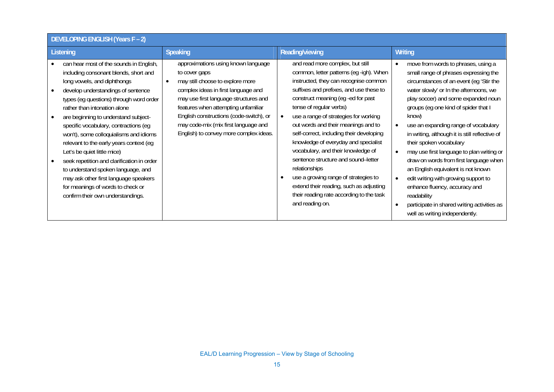| DEVELOPING ENGLISH (Years F - 2)                                                                                                                                                                                                                                                                                                                                                                                                                                                                                                                                                                                                             |                                                                                                                                                                                                                                                                                                                                              |                                                                                                                                                                                                                                                                                                                                                                                                                                                                                                                                                                                                                                                                    |                                                                                                                                                                                                                                                                                                                                                                                                                                                                                                                                                                                                                                                                                      |
|----------------------------------------------------------------------------------------------------------------------------------------------------------------------------------------------------------------------------------------------------------------------------------------------------------------------------------------------------------------------------------------------------------------------------------------------------------------------------------------------------------------------------------------------------------------------------------------------------------------------------------------------|----------------------------------------------------------------------------------------------------------------------------------------------------------------------------------------------------------------------------------------------------------------------------------------------------------------------------------------------|--------------------------------------------------------------------------------------------------------------------------------------------------------------------------------------------------------------------------------------------------------------------------------------------------------------------------------------------------------------------------------------------------------------------------------------------------------------------------------------------------------------------------------------------------------------------------------------------------------------------------------------------------------------------|--------------------------------------------------------------------------------------------------------------------------------------------------------------------------------------------------------------------------------------------------------------------------------------------------------------------------------------------------------------------------------------------------------------------------------------------------------------------------------------------------------------------------------------------------------------------------------------------------------------------------------------------------------------------------------------|
| Listening                                                                                                                                                                                                                                                                                                                                                                                                                                                                                                                                                                                                                                    | Speaking                                                                                                                                                                                                                                                                                                                                     | Reading/viewing                                                                                                                                                                                                                                                                                                                                                                                                                                                                                                                                                                                                                                                    | Writing                                                                                                                                                                                                                                                                                                                                                                                                                                                                                                                                                                                                                                                                              |
| can hear most of the sounds in English,<br>including consonant blends, short and<br>long vowels, and diphthongs<br>develop understandings of sentence<br>types (eg questions) through word order<br>rather than intonation alone<br>are beginning to understand subject-<br>specific vocabulary, contractions (eq<br>won't), some colloquialisms and idioms<br>relevant to the early years context (eg<br>Let's be quiet little mice)<br>seek repetition and clarification in order<br>to understand spoken language, and<br>may ask other first language speakers<br>for meanings of words to check or<br>confirm their own understandings. | approximations using known language<br>to cover gaps<br>may still choose to explore more<br>complex ideas in first language and<br>may use first language structures and<br>features when attempting unfamiliar<br>English constructions (code-switch), or<br>may code-mix (mix first language and<br>English) to convey more complex ideas. | and read more complex, but still<br>common, letter patterns (eg -igh). When<br>instructed, they can recognise common<br>suffixes and prefixes, and use these to<br>construct meaning (eg - ed for past<br>tense of regular verbs)<br>use a range of strategies for working<br>$\bullet$<br>out words and their meanings and to<br>self-correct, including their developing<br>knowledge of everyday and specialist<br>vocabulary, and their knowledge of<br>sentence structure and sound-letter<br>relationships<br>use a growing range of strategies to<br>extend their reading, such as adjusting<br>their reading rate according to the task<br>and reading on. | move from words to phrases, using a<br>small range of phrases expressing the<br>circumstances of an event (eg 'Stir the<br>water slowly' or In the afternoons, we<br>play soccer) and some expanded noun<br>groups (eg one kind of spider that I<br>know)<br>use an expanding range of vocabulary<br>in writing, although it is still reflective of<br>their spoken vocabulary<br>may use first language to plan writing or<br>draw on words from first language when<br>an English equivalent is not known<br>edit writing with growing support to<br>enhance fluency, accuracy and<br>readability<br>participate in shared writing activities as<br>well as writing independently. |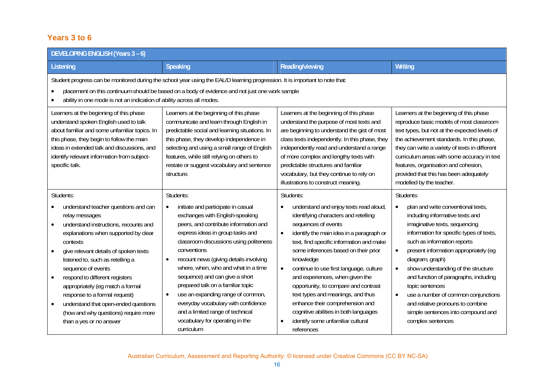#### **Years 3 to 6**

| DEVELOPING ENGLISH (Years 3-6)                                                                                                                                                                                                                                                                                                                                                                                                                                                                                                            |                                                                                                                                                                                                                                                                                                                                                                                                                                                                                                                                                                                          |                                                                                                                                                                                                                                                                                                                                                                                                                                                                                                                                                                                     |                                                                                                                                                                                                                                                                                                                                                                                                                                                                                                                               |  |
|-------------------------------------------------------------------------------------------------------------------------------------------------------------------------------------------------------------------------------------------------------------------------------------------------------------------------------------------------------------------------------------------------------------------------------------------------------------------------------------------------------------------------------------------|------------------------------------------------------------------------------------------------------------------------------------------------------------------------------------------------------------------------------------------------------------------------------------------------------------------------------------------------------------------------------------------------------------------------------------------------------------------------------------------------------------------------------------------------------------------------------------------|-------------------------------------------------------------------------------------------------------------------------------------------------------------------------------------------------------------------------------------------------------------------------------------------------------------------------------------------------------------------------------------------------------------------------------------------------------------------------------------------------------------------------------------------------------------------------------------|-------------------------------------------------------------------------------------------------------------------------------------------------------------------------------------------------------------------------------------------------------------------------------------------------------------------------------------------------------------------------------------------------------------------------------------------------------------------------------------------------------------------------------|--|
| Listening                                                                                                                                                                                                                                                                                                                                                                                                                                                                                                                                 | Speaking                                                                                                                                                                                                                                                                                                                                                                                                                                                                                                                                                                                 | Reading/viewing                                                                                                                                                                                                                                                                                                                                                                                                                                                                                                                                                                     | Writing                                                                                                                                                                                                                                                                                                                                                                                                                                                                                                                       |  |
| Student progress can be monitored during the school year using the EAL/D learning progression. It is important to note that:<br>placement on this continuum should be based on a body of evidence and not just one work sample<br>ability in one mode is not an indication of ability across all modes.                                                                                                                                                                                                                                   |                                                                                                                                                                                                                                                                                                                                                                                                                                                                                                                                                                                          |                                                                                                                                                                                                                                                                                                                                                                                                                                                                                                                                                                                     |                                                                                                                                                                                                                                                                                                                                                                                                                                                                                                                               |  |
| Learners at the beginning of this phase<br>understand spoken English used to talk<br>about familiar and some unfamiliar topics. In<br>this phase, they begin to follow the main<br>ideas in extended talk and discussions, and<br>identify relevant information from subject-<br>specific talk.                                                                                                                                                                                                                                           | Learners at the beginning of this phase<br>communicate and learn through English in<br>predictable social and learning situations. In<br>this phase, they develop independence in<br>selecting and using a small range of English<br>features, while still relying on others to<br>restate or suggest vocabulary and sentence<br>structure.                                                                                                                                                                                                                                              | Learners at the beginning of this phase<br>understand the purpose of most texts and<br>are beginning to understand the gist of most<br>class texts independently. In this phase, they<br>independently read and understand a range<br>of more complex and lengthy texts with<br>predictable structures and familiar<br>vocabulary, but they continue to rely on<br>illustrations to construct meaning.                                                                                                                                                                              | Learners at the beginning of this phase<br>reproduce basic models of most classroom<br>text types, but not at the expected levels of<br>the achievement standards. In this phase,<br>they can write a variety of texts in different<br>curriculum areas with some accuracy in text<br>features, organisation and cohesion,<br>provided that this has been adequately<br>modelled by the teacher.                                                                                                                              |  |
| Students:<br>understand teacher questions and can<br>relay messages<br>understand instructions, recounts and<br>$\bullet$<br>explanations when supported by clear<br>contexts<br>give relevant details of spoken texts<br>$\bullet$<br>listened to, such as retelling a<br>sequence of events<br>respond to different registers<br>$\bullet$<br>appropriately (eg match a formal<br>response to a formal request)<br>understand that open-ended questions<br>$\bullet$<br>(how and why questions) require more<br>than a yes or no answer | Students:<br>initiate and participate in casual<br>$\bullet$<br>exchanges with English-speaking<br>peers, and contribute information and<br>express ideas in group tasks and<br>classroom discussions using politeness<br>conventions<br>recount news (giving details involving<br>$\bullet$<br>where, when, who and what in a time<br>sequence) and can give a short<br>prepared talk on a familiar topic<br>use an expanding range of common,<br>$\bullet$<br>everyday vocabulary with confidence<br>and a limited range of technical<br>vocabulary for operating in the<br>curriculum | Students:<br>understand and enjoy texts read aloud,<br>identifying characters and retelling<br>sequences of events<br>identify the main idea in a paragraph or<br>$\bullet$<br>text, find specific information and make<br>some inferences based on their prior<br>knowledge<br>continue to use first language, culture<br>$\bullet$<br>and experiences, when given the<br>opportunity, to compare and contrast<br>text types and meanings, and thus<br>enhance their comprehension and<br>cognitive abilities in both languages<br>identify some unfamiliar cultural<br>references | Students:<br>plan and write conventional texts,<br>including informative texts and<br>imaginative texts, sequencing<br>information for specific types of texts,<br>such as information reports<br>present information appropriately (eg<br>$\bullet$<br>diagram, graph)<br>show understanding of the structure<br>and function of paragraphs, including<br>topic sentences<br>use a number of common conjunctions<br>$\bullet$<br>and relative pronouns to combine<br>simple sentences into compound and<br>complex sentences |  |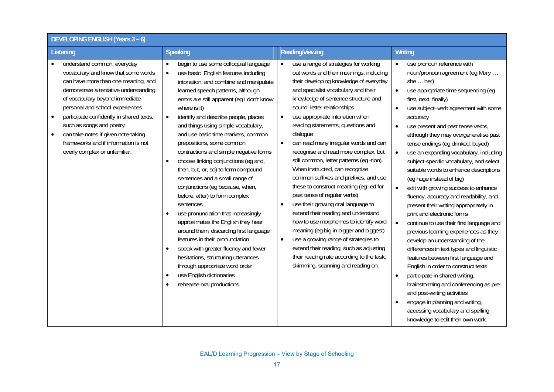| <b>DEVELOPING ENGLISH (Years 3 - 6)</b>                                                                                                                                                                                                                                                                                                                                                                                      |                                                                                                                                                                                                                                                                                                                                                                                                                                                                                                                                                                                                                                                                                                                                                                                                                                                                                                                                                                                                       |                                                                                                                                                                                                                                                                                                                                                                                                                                                                                                                                                                                                                                                                                                                                                                                                                                                                                                                                                                                                                      |                                                                                                                                                                                                                                                                                                                                                                                                                                                                                                                                                                                                                                                                                                                                                                                                                                                                                                                                                                                                                                                                                                                                                                      |
|------------------------------------------------------------------------------------------------------------------------------------------------------------------------------------------------------------------------------------------------------------------------------------------------------------------------------------------------------------------------------------------------------------------------------|-------------------------------------------------------------------------------------------------------------------------------------------------------------------------------------------------------------------------------------------------------------------------------------------------------------------------------------------------------------------------------------------------------------------------------------------------------------------------------------------------------------------------------------------------------------------------------------------------------------------------------------------------------------------------------------------------------------------------------------------------------------------------------------------------------------------------------------------------------------------------------------------------------------------------------------------------------------------------------------------------------|----------------------------------------------------------------------------------------------------------------------------------------------------------------------------------------------------------------------------------------------------------------------------------------------------------------------------------------------------------------------------------------------------------------------------------------------------------------------------------------------------------------------------------------------------------------------------------------------------------------------------------------------------------------------------------------------------------------------------------------------------------------------------------------------------------------------------------------------------------------------------------------------------------------------------------------------------------------------------------------------------------------------|----------------------------------------------------------------------------------------------------------------------------------------------------------------------------------------------------------------------------------------------------------------------------------------------------------------------------------------------------------------------------------------------------------------------------------------------------------------------------------------------------------------------------------------------------------------------------------------------------------------------------------------------------------------------------------------------------------------------------------------------------------------------------------------------------------------------------------------------------------------------------------------------------------------------------------------------------------------------------------------------------------------------------------------------------------------------------------------------------------------------------------------------------------------------|
| Listening                                                                                                                                                                                                                                                                                                                                                                                                                    | Speaking                                                                                                                                                                                                                                                                                                                                                                                                                                                                                                                                                                                                                                                                                                                                                                                                                                                                                                                                                                                              | Reading/viewing                                                                                                                                                                                                                                                                                                                                                                                                                                                                                                                                                                                                                                                                                                                                                                                                                                                                                                                                                                                                      | Writing                                                                                                                                                                                                                                                                                                                                                                                                                                                                                                                                                                                                                                                                                                                                                                                                                                                                                                                                                                                                                                                                                                                                                              |
| understand common, everyday<br>vocabulary and know that some words<br>can have more than one meaning, and<br>demonstrate a tentative understanding<br>of vocabulary beyond immediate<br>personal and school experiences<br>participate confidently in shared texts,<br>such as songs and poetry<br>can take notes if given note-taking<br>$\bullet$<br>frameworks and if information is not<br>overly complex or unfamiliar. | begin to use some colloquial language<br>use basic English features including<br>$\bullet$<br>intonation, and combine and manipulate<br>learned speech patterns, although<br>errors are still apparent (eg I don't know<br>where is it)<br>identify and describe people, places<br>and things using simple vocabulary,<br>and use basic time markers, common<br>prepositions, some common<br>contractions and simple negative forms<br>choose linking conjunctions (eg and,<br>$\bullet$<br>then, but, or, so) to form compound<br>sentences and a small range of<br>conjunctions (eg because, when,<br>before, after) to form complex<br>sentences<br>use pronunciation that increasingly<br>approximates the English they hear<br>around them, discarding first language<br>features in their pronunciation<br>speak with greater fluency and fewer<br>hesitations, structuring utterances<br>through appropriate word order<br>use English dictionaries<br>$\bullet$<br>rehearse oral productions. | use a range of strategies for working<br>$\bullet$<br>out words and their meanings, including<br>their developing knowledge of everyday<br>and specialist vocabulary and their<br>knowledge of sentence structure and<br>sound-letter relationships<br>use appropriate intonation when<br>$\bullet$<br>reading statements, questions and<br>dialogue<br>can read many irregular words and can<br>$\bullet$<br>recognise and read more complex, but<br>still common, letter patterns (eg -tion).<br>When instructed, can recognise<br>common suffixes and prefixes, and use<br>these to construct meaning (eg -ed for<br>past tense of regular verbs)<br>use their growing oral language to<br>$\bullet$<br>extend their reading and understand<br>how to use morphemes to identify word<br>meaning (eg big in bigger and biggest)<br>use a growing range of strategies to<br>$\bullet$<br>extend their reading, such as adjusting<br>their reading rate according to the task,<br>skimming, scanning and reading on. | use pronoun reference with<br>$\bullet$<br>noun/pronoun agreement (eg Mary<br>she  her)<br>use appropriate time sequencing (eg<br>first, next, finally)<br>use subject-verb agreement with some<br>accuracy<br>use present and past tense verbs,<br>$\bullet$<br>although they may overgeneralise past<br>tense endings (eg drinked, buyed)<br>use an expanding vocabulary, including<br>$\bullet$<br>subject-specific vocabulary, and select<br>suitable words to enhance descriptions<br>(eg huge instead of big)<br>edit with growing success to enhance<br>fluency, accuracy and readability, and<br>present their writing appropriately in<br>print and electronic forms<br>continue to use their first language and<br>$\bullet$<br>previous learning experiences as they<br>develop an understanding of the<br>differences in text types and linguistic<br>features between first language and<br>English in order to construct texts<br>participate in shared writing,<br>brainstorming and conferencing as pre-<br>and post-writing activities<br>engage in planning and writing,<br>accessing vocabulary and spelling<br>knowledge to edit their own work. |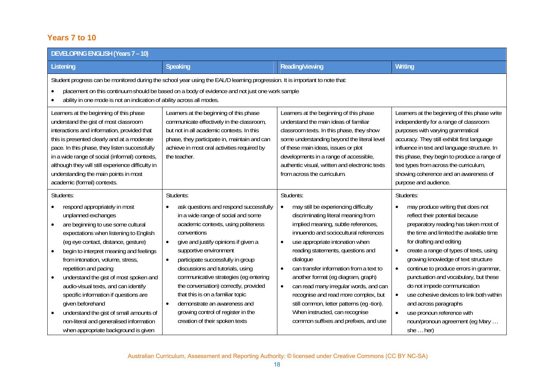#### **Years 7 to 10**

| <b>DEVELOPING ENGLISH (Years 7-10)</b>                                                                                                                                                                                                                                                                                                                                                                                                                                                                                                                                                                                            |                                                                                                                                                                                                                                                                                                                                                                                                                                                                                                                                                    |                                                                                                                                                                                                                                                                                                                                                                                                                                                                                                                                                                                                             |                                                                                                                                                                                                                                                                                                                                                                                                                                                                                                                                                                                                              |  |
|-----------------------------------------------------------------------------------------------------------------------------------------------------------------------------------------------------------------------------------------------------------------------------------------------------------------------------------------------------------------------------------------------------------------------------------------------------------------------------------------------------------------------------------------------------------------------------------------------------------------------------------|----------------------------------------------------------------------------------------------------------------------------------------------------------------------------------------------------------------------------------------------------------------------------------------------------------------------------------------------------------------------------------------------------------------------------------------------------------------------------------------------------------------------------------------------------|-------------------------------------------------------------------------------------------------------------------------------------------------------------------------------------------------------------------------------------------------------------------------------------------------------------------------------------------------------------------------------------------------------------------------------------------------------------------------------------------------------------------------------------------------------------------------------------------------------------|--------------------------------------------------------------------------------------------------------------------------------------------------------------------------------------------------------------------------------------------------------------------------------------------------------------------------------------------------------------------------------------------------------------------------------------------------------------------------------------------------------------------------------------------------------------------------------------------------------------|--|
| Listening                                                                                                                                                                                                                                                                                                                                                                                                                                                                                                                                                                                                                         | Speaking                                                                                                                                                                                                                                                                                                                                                                                                                                                                                                                                           | Reading/viewing                                                                                                                                                                                                                                                                                                                                                                                                                                                                                                                                                                                             | Writing                                                                                                                                                                                                                                                                                                                                                                                                                                                                                                                                                                                                      |  |
| Student progress can be monitored during the school year using the EAL/D learning progression. It is important to note that:<br>placement on this continuum should be based on a body of evidence and not just one work sample<br>ability in one mode is not an indication of ability across all modes.<br>$\bullet$                                                                                                                                                                                                                                                                                                              |                                                                                                                                                                                                                                                                                                                                                                                                                                                                                                                                                    |                                                                                                                                                                                                                                                                                                                                                                                                                                                                                                                                                                                                             |                                                                                                                                                                                                                                                                                                                                                                                                                                                                                                                                                                                                              |  |
| Learners at the beginning of this phase<br>understand the gist of most classroom<br>interactions and information, provided that<br>this is presented clearly and at a moderate<br>pace. In this phase, they listen successfully<br>in a wide range of social (informal) contexts,<br>although they will still experience difficulty in<br>understanding the main points in most<br>academic (formal) contexts.                                                                                                                                                                                                                    | Learners at the beginning of this phase<br>communicate effectively in the classroom,<br>but not in all academic contexts. In this<br>phase, they participate in, maintain and can<br>achieve in most oral activities required by<br>the teacher.                                                                                                                                                                                                                                                                                                   | Learners at the beginning of this phase<br>understand the main ideas of familiar<br>classroom texts. In this phase, they show<br>some understanding beyond the literal level<br>of these main ideas, issues or plot<br>developments in a range of accessible,<br>authentic visual, written and electronic texts<br>from across the curriculum.                                                                                                                                                                                                                                                              | Learners at the beginning of this phase write<br>independently for a range of classroom<br>purposes with varying grammatical<br>accuracy. They still exhibit first language<br>influence in text and language structure. In<br>this phase, they begin to produce a range of<br>text types from across the curriculum,<br>showing coherence and an awareness of<br>purpose and audience.                                                                                                                                                                                                                      |  |
| Students:<br>respond appropriately in most<br>unplanned exchanges<br>are beginning to use some cultural<br>$\bullet$<br>expectations when listening to English<br>(eg eye contact, distance, gesture)<br>begin to interpret meaning and feelings<br>$\bullet$<br>from intonation, volume, stress,<br>repetition and pacing<br>understand the gist of most spoken and<br>$\bullet$<br>audio-visual texts, and can identify<br>specific information if questions are<br>given beforehand<br>understand the gist of small amounts of<br>$\bullet$<br>non-literal and generalised information<br>when appropriate background is given | Students:<br>ask questions and respond successfully<br>in a wide range of social and some<br>academic contexts, using politeness<br>conventions<br>give and justify opinions if given a<br>$\bullet$<br>supportive environment<br>participate successfully in group<br>$\bullet$<br>discussions and tutorials, using<br>communicative strategies (eg entering<br>the conversation) correctly, provided<br>that this is on a familiar topic<br>demonstrate an awareness and<br>growing control of register in the<br>creation of their spoken texts | Students:<br>may still be experiencing difficulty<br>$\bullet$<br>discriminating literal meaning from<br>implied meaning, subtle references,<br>innuendo and sociocultural references<br>use appropriate intonation when<br>$\bullet$<br>reading statements, questions and<br>dialogue<br>can transfer information from a text to<br>$\bullet$<br>another format (eg diagram, graph)<br>can read many irregular words, and can<br>$\bullet$<br>recognise and read more complex, but<br>still common, letter patterns (eg -tion).<br>When instructed, can recognise<br>common suffixes and prefixes, and use | Students:<br>may produce writing that does not<br>reflect their potential because<br>preparatory reading has taken most of<br>the time and limited the available time<br>for drafting and editing<br>create a range of types of texts, using<br>$\bullet$<br>growing knowledge of text structure<br>continue to produce errors in grammar,<br>$\bullet$<br>punctuation and vocabulary, but these<br>do not impede communication<br>use cohesive devices to link both within<br>$\bullet$<br>and across paragraphs<br>use pronoun reference with<br>$\bullet$<br>noun/pronoun agreement (eg Mary<br>she  her) |  |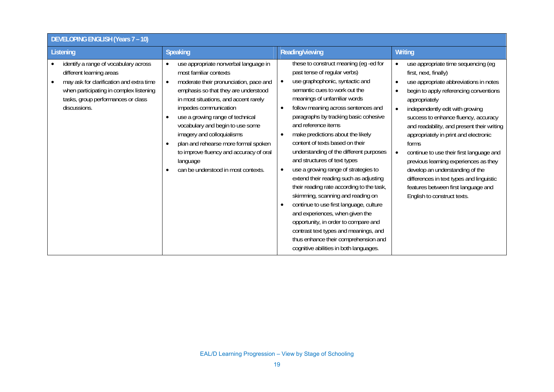| DEVELOPING ENGLISH (Years 7 - 10)                                                                                                                                                                              |                                                                                                                                                                                                                                                                                                                                                                                                                                                                                                                                  |                                                                                                                                                                                                                                                                                                                                                                                                                                                                                                                                                                                                                                                                                                                                                                                                                                                                                     |                                                                                                                                                                                                                                                                                                                                                                                                                                                                                                                                                                                                     |  |
|----------------------------------------------------------------------------------------------------------------------------------------------------------------------------------------------------------------|----------------------------------------------------------------------------------------------------------------------------------------------------------------------------------------------------------------------------------------------------------------------------------------------------------------------------------------------------------------------------------------------------------------------------------------------------------------------------------------------------------------------------------|-------------------------------------------------------------------------------------------------------------------------------------------------------------------------------------------------------------------------------------------------------------------------------------------------------------------------------------------------------------------------------------------------------------------------------------------------------------------------------------------------------------------------------------------------------------------------------------------------------------------------------------------------------------------------------------------------------------------------------------------------------------------------------------------------------------------------------------------------------------------------------------|-----------------------------------------------------------------------------------------------------------------------------------------------------------------------------------------------------------------------------------------------------------------------------------------------------------------------------------------------------------------------------------------------------------------------------------------------------------------------------------------------------------------------------------------------------------------------------------------------------|--|
| Listening                                                                                                                                                                                                      | <b>Speaking</b>                                                                                                                                                                                                                                                                                                                                                                                                                                                                                                                  | Reading/viewing                                                                                                                                                                                                                                                                                                                                                                                                                                                                                                                                                                                                                                                                                                                                                                                                                                                                     | Writing                                                                                                                                                                                                                                                                                                                                                                                                                                                                                                                                                                                             |  |
| identify a range of vocabulary across<br>different learning areas<br>may ask for clarification and extra time<br>when participating in complex listening<br>tasks, group performances or class<br>discussions. | use appropriate nonverbal language in<br>$\bullet$<br>most familiar contexts<br>moderate their pronunciation, pace and<br>$\bullet$<br>emphasis so that they are understood<br>in most situations, and accent rarely<br>impedes communication<br>use a growing range of technical<br>$\bullet$<br>vocabulary and begin to use some<br>imagery and colloquialisms<br>plan and rehearse more formal spoken<br>$\bullet$<br>to improve fluency and accuracy of oral<br>language<br>can be understood in most contexts.<br>$\bullet$ | these to construct meaning (eg -ed for<br>past tense of regular verbs)<br>use graphophonic, syntactic and<br>$\bullet$<br>semantic cues to work out the<br>meanings of unfamiliar words<br>follow meaning across sentences and<br>paragraphs by tracking basic cohesive<br>and reference items<br>make predictions about the likely<br>content of texts based on their<br>understanding of the different purposes<br>and structures of text types<br>use a growing range of strategies to<br>$\bullet$<br>extend their reading such as adjusting<br>their reading rate according to the task,<br>skimming, scanning and reading on<br>continue to use first language, culture<br>and experiences, when given the<br>opportunity, in order to compare and<br>contrast text types and meanings, and<br>thus enhance their comprehension and<br>cognitive abilities in both languages. | use appropriate time sequencing (eg<br>first, next, finally)<br>use appropriate abbreviations in notes<br>$\bullet$<br>begin to apply referencing conventions<br>appropriately<br>independently edit with growing<br>success to enhance fluency, accuracy<br>and readability, and present their writing<br>appropriately in print and electronic<br>forms<br>continue to use their first language and<br>previous learning experiences as they<br>develop an understanding of the<br>differences in text types and linguistic<br>features between first language and<br>English to construct texts. |  |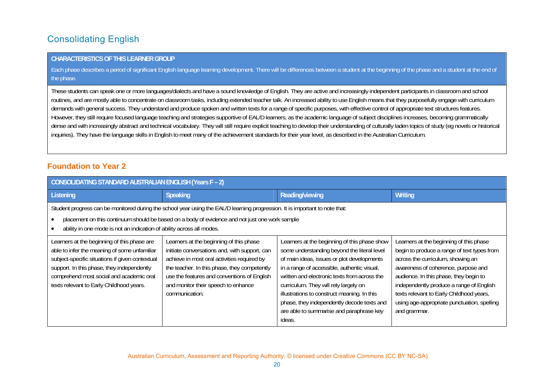### **Consolidating English**

#### **CHARACTERISTICS OF THIS LEARNER GROUP**

Each phase describes a period of significant English language learning development. There will be differences between a student at the beginning of the phase and a student at the end of the phase.

These students can speak one or more languages/dialects and have a sound knowledge of English. They are active and increasingly independent participants in classroom and school routines, and are mostly able to concentrate on classroom tasks, including extended teacher talk. An increased ability to use English means that they purposefully engage with curriculum demands with general success. They understand and produce spoken and written texts for a range of specific purposes, with effective control of appropriate text structures features. However, they still require focused language teaching and strategies supportive of EAL/D learners, as the academic language of subject disciplines increases, becoming grammatically dense and with increasingly abstract and technical vocabulary. They will still require explicit teaching to develop their understanding of culturally laden topics of study (eg novels or historical inquiries). They have the language skills in English to meet many of the achievement standards for their year level, as described in the Australian Curriculum.

#### **Foundation to Year 2**

| <b>CONSOLIDATING STANDARD AUSTRALIAN ENGLISH (Years F-2)</b>                                                                                                                                                                                                                                            |                                                                                                                                                                                                                                                                                                 |                                                                                                                                                                                                                                                                                                                                                                                                                                      |                                                                                                                                                                                                                                                                                                                                                                     |  |
|---------------------------------------------------------------------------------------------------------------------------------------------------------------------------------------------------------------------------------------------------------------------------------------------------------|-------------------------------------------------------------------------------------------------------------------------------------------------------------------------------------------------------------------------------------------------------------------------------------------------|--------------------------------------------------------------------------------------------------------------------------------------------------------------------------------------------------------------------------------------------------------------------------------------------------------------------------------------------------------------------------------------------------------------------------------------|---------------------------------------------------------------------------------------------------------------------------------------------------------------------------------------------------------------------------------------------------------------------------------------------------------------------------------------------------------------------|--|
| Listening                                                                                                                                                                                                                                                                                               | Speaking                                                                                                                                                                                                                                                                                        | Reading/viewing                                                                                                                                                                                                                                                                                                                                                                                                                      | Writing                                                                                                                                                                                                                                                                                                                                                             |  |
| Student progress can be monitored during the school year using the EAL/D learning progression. It is important to note that:<br>placement on this continuum should be based on a body of evidence and not just one work sample<br>ability in one mode is not an indication of ability across all modes. |                                                                                                                                                                                                                                                                                                 |                                                                                                                                                                                                                                                                                                                                                                                                                                      |                                                                                                                                                                                                                                                                                                                                                                     |  |
| Learners at the beginning of this phase are<br>able to infer the meaning of some unfamiliar<br>subject-specific situations if given contextual<br>support. In this phase, they independently<br>comprehend most social and academic oral<br>texts relevant to Early Childhood years.                    | Learners at the beginning of this phase<br>initiate conversations and, with support, can<br>achieve in most oral activities required by<br>the teacher. In this phase, they competently<br>use the features and conventions of English<br>and monitor their speech to enhance<br>communication. | Learners at the beginning of this phase show<br>some understanding beyond the literal level<br>of main ideas, issues or plot developments<br>in a range of accessible, authentic visual,<br>written and electronic texts from across the<br>curriculum. They will rely largely on<br>illustrations to construct meaning. In this<br>phase, they independently decode texts and<br>are able to summarise and paraphrase key<br>ideas. | Learners at the beginning of this phase<br>begin to produce a range of text types from<br>across the curriculum, showing an<br>awareness of coherence, purpose and<br>audience. In this phase, they begin to<br>independently produce a range of English<br>texts relevant to Early Childhood years,<br>using age-appropriate punctuation, spelling<br>and grammar. |  |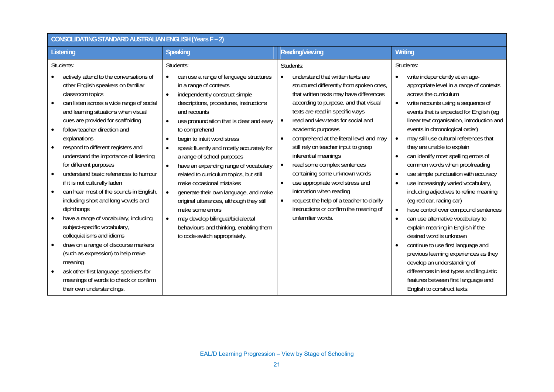| <b>CONSOLIDATING STANDARD AUSTRALIAN ENGLISH (Years F-2)</b>                                                                                                                                                                                                                                                                                                                                                                                                                                                                                                                                                                                                                               |                                                                                                                                                                                                                                                                                                                                                                                                                                                                                                                                                                                                                                                                                                                                                                 |                                                                                                                                                                                                                                                                                                                                                                                                                                                                                                                                                                                                                                                                                                                |                                                                                                                                                                                                                                                                                                                                                                                                                                                                                                                                                                                                                                                                                                                                      |
|--------------------------------------------------------------------------------------------------------------------------------------------------------------------------------------------------------------------------------------------------------------------------------------------------------------------------------------------------------------------------------------------------------------------------------------------------------------------------------------------------------------------------------------------------------------------------------------------------------------------------------------------------------------------------------------------|-----------------------------------------------------------------------------------------------------------------------------------------------------------------------------------------------------------------------------------------------------------------------------------------------------------------------------------------------------------------------------------------------------------------------------------------------------------------------------------------------------------------------------------------------------------------------------------------------------------------------------------------------------------------------------------------------------------------------------------------------------------------|----------------------------------------------------------------------------------------------------------------------------------------------------------------------------------------------------------------------------------------------------------------------------------------------------------------------------------------------------------------------------------------------------------------------------------------------------------------------------------------------------------------------------------------------------------------------------------------------------------------------------------------------------------------------------------------------------------------|--------------------------------------------------------------------------------------------------------------------------------------------------------------------------------------------------------------------------------------------------------------------------------------------------------------------------------------------------------------------------------------------------------------------------------------------------------------------------------------------------------------------------------------------------------------------------------------------------------------------------------------------------------------------------------------------------------------------------------------|
| Listening                                                                                                                                                                                                                                                                                                                                                                                                                                                                                                                                                                                                                                                                                  | Speaking                                                                                                                                                                                                                                                                                                                                                                                                                                                                                                                                                                                                                                                                                                                                                        | Reading/viewing                                                                                                                                                                                                                                                                                                                                                                                                                                                                                                                                                                                                                                                                                                | Writing                                                                                                                                                                                                                                                                                                                                                                                                                                                                                                                                                                                                                                                                                                                              |
| Students:<br>actively attend to the conversations of<br>other English speakers on familiar<br>classroom topics<br>can listen across a wide range of social<br>$\bullet$<br>and learning situations when visual<br>cues are provided for scaffolding<br>follow teacher direction and<br>$\bullet$<br>explanations<br>respond to different registers and<br>understand the importance of listening<br>for different purposes<br>understand basic references to humour<br>if it is not culturally laden<br>can hear most of the sounds in English,<br>$\bullet$<br>including short and long vowels and<br>diphthongs<br>have a range of vocabulary, including<br>subject-specific vocabulary, | Students:<br>can use a range of language structures<br>$\bullet$<br>in a range of contexts<br>independently construct simple<br>$\bullet$<br>descriptions, procedures, instructions<br>and recounts<br>use pronunciation that is clear and easy<br>$\bullet$<br>to comprehend<br>begin to intuit word stress<br>$\bullet$<br>speak fluently and mostly accurately for<br>$\bullet$<br>a range of school purposes<br>have an expanding range of vocabulary<br>$\bullet$<br>related to curriculum topics, but still<br>make occasional mistakes<br>generate their own language, and make<br>$\bullet$<br>original utterances, although they still<br>make some errors<br>may develop bilingual/bidialectal<br>$\bullet$<br>behaviours and thinking, enabling them | Students:<br>understand that written texts are<br>$\bullet$<br>structured differently from spoken ones,<br>that written texts may have differences<br>according to purpose, and that visual<br>texts are read in specific ways<br>read and view texts for social and<br>$\bullet$<br>academic purposes<br>comprehend at the literal level and may<br>$\bullet$<br>still rely on teacher input to grasp<br>inferential meanings<br>read some complex sentences<br>$\bullet$<br>containing some unknown words<br>use appropriate word stress and<br>$\bullet$<br>intonation when reading<br>request the help of a teacher to clarify<br>$\bullet$<br>instructions or confirm the meaning of<br>unfamiliar words. | Students:<br>write independently at an age-<br>appropriate level in a range of contexts<br>across the curriculum<br>write recounts using a sequence of<br>events that is expected for English (eg<br>linear text organisation, introduction and<br>events in chronological order)<br>may still use cultural references that<br>they are unable to explain<br>can identify most spelling errors of<br>common words when proofreading<br>use simple punctuation with accuracy<br>$\bullet$<br>use increasingly varied vocabulary,<br>including adjectives to refine meaning<br>(eq red car, racing car)<br>have control over compound sentences<br>$\bullet$<br>can use alternative vocabulary to<br>explain meaning in English if the |
| colloquialisms and idioms<br>draw on a range of discourse markers<br>(such as expression) to help make<br>meaning<br>ask other first language speakers for<br>$\bullet$<br>meanings of words to check or confirm<br>their own understandings.                                                                                                                                                                                                                                                                                                                                                                                                                                              | to code-switch appropriately.                                                                                                                                                                                                                                                                                                                                                                                                                                                                                                                                                                                                                                                                                                                                   |                                                                                                                                                                                                                                                                                                                                                                                                                                                                                                                                                                                                                                                                                                                | desired word is unknown<br>continue to use first language and<br>previous learning experiences as they<br>develop an understanding of<br>differences in text types and linguistic<br>features between first language and<br>English to construct texts.                                                                                                                                                                                                                                                                                                                                                                                                                                                                              |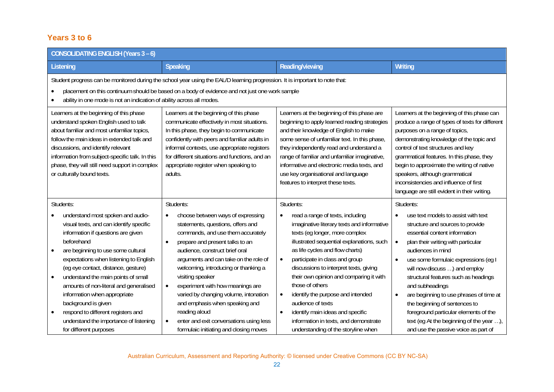### **Years 3 to 6**

| <b>CONSOLIDATING ENGLISH (Years 3-6)</b>                                                                                                                                                                                                                                                                                                                                                                                                                                                                                                         |                                                                                                                                                                                                                                                                                                                                                                                                                                                                                                                                                                |                                                                                                                                                                                                                                                                                                                                                                                                                                                                                                                                                                              |                                                                                                                                                                                                                                                                                                                                                                                                                                                                                                                                                                      |  |
|--------------------------------------------------------------------------------------------------------------------------------------------------------------------------------------------------------------------------------------------------------------------------------------------------------------------------------------------------------------------------------------------------------------------------------------------------------------------------------------------------------------------------------------------------|----------------------------------------------------------------------------------------------------------------------------------------------------------------------------------------------------------------------------------------------------------------------------------------------------------------------------------------------------------------------------------------------------------------------------------------------------------------------------------------------------------------------------------------------------------------|------------------------------------------------------------------------------------------------------------------------------------------------------------------------------------------------------------------------------------------------------------------------------------------------------------------------------------------------------------------------------------------------------------------------------------------------------------------------------------------------------------------------------------------------------------------------------|----------------------------------------------------------------------------------------------------------------------------------------------------------------------------------------------------------------------------------------------------------------------------------------------------------------------------------------------------------------------------------------------------------------------------------------------------------------------------------------------------------------------------------------------------------------------|--|
| Listening                                                                                                                                                                                                                                                                                                                                                                                                                                                                                                                                        | Speaking                                                                                                                                                                                                                                                                                                                                                                                                                                                                                                                                                       | Reading/viewing                                                                                                                                                                                                                                                                                                                                                                                                                                                                                                                                                              | Writing                                                                                                                                                                                                                                                                                                                                                                                                                                                                                                                                                              |  |
| Student progress can be monitored during the school year using the EAL/D learning progression. It is important to note that:<br>placement on this continuum should be based on a body of evidence and not just one work sample<br>ability in one mode is not an indication of ability across all modes.                                                                                                                                                                                                                                          |                                                                                                                                                                                                                                                                                                                                                                                                                                                                                                                                                                |                                                                                                                                                                                                                                                                                                                                                                                                                                                                                                                                                                              |                                                                                                                                                                                                                                                                                                                                                                                                                                                                                                                                                                      |  |
| Learners at the beginning of this phase<br>understand spoken English used to talk<br>about familiar and most unfamiliar topics,<br>follow the main ideas in extended talk and<br>discussions, and identify relevant<br>information from subject-specific talk. In this<br>phase, they will still need support in complex<br>or culturally bound texts.                                                                                                                                                                                           | Learners at the beginning of this phase<br>communicate effectively in most situations.<br>In this phase, they begin to communicate<br>confidently with peers and familiar adults in<br>informal contexts, use appropriate registers<br>for different situations and functions, and an<br>appropriate register when speaking to<br>adults.                                                                                                                                                                                                                      | Learners at the beginning of this phase are<br>beginning to apply learned reading strategies<br>and their knowledge of English to make<br>some sense of unfamiliar text. In this phase,<br>they independently read and understand a<br>range of familiar and unfamiliar imaginative,<br>informative and electronic media texts, and<br>use key organisational and language<br>features to interpret these texts.                                                                                                                                                             | Learners at the beginning of this phase can<br>produce a range of types of texts for different<br>purposes on a range of topics,<br>demonstrating knowledge of the topic and<br>control of text structures and key<br>grammatical features. In this phase, they<br>begin to approximate the writing of native<br>speakers, although grammatical<br>inconsistencies and influence of first<br>language are still evident in their writing.                                                                                                                            |  |
| Students:                                                                                                                                                                                                                                                                                                                                                                                                                                                                                                                                        | Students:                                                                                                                                                                                                                                                                                                                                                                                                                                                                                                                                                      | Students:                                                                                                                                                                                                                                                                                                                                                                                                                                                                                                                                                                    | Students:                                                                                                                                                                                                                                                                                                                                                                                                                                                                                                                                                            |  |
| understand most spoken and audio-<br>visual texts, and can identify specific<br>information if questions are given<br>beforehand<br>are beginning to use some cultural<br>$\bullet$<br>expectations when listening to English<br>(eg eye contact, distance, gesture)<br>understand the main points of small<br>$\bullet$<br>amounts of non-literal and generalised<br>information when appropriate<br>background is given<br>respond to different registers and<br>$\bullet$<br>understand the importance of listening<br>for different purposes | choose between ways of expressing<br>$\bullet$<br>statements, questions, offers and<br>commands, and use them accurately<br>prepare and present talks to an<br>$\bullet$<br>audience, construct brief oral<br>arguments and can take on the role of<br>welcoming, introducing or thanking a<br>visiting speaker<br>experiment with how meanings are<br>$\bullet$<br>varied by changing volume, intonation<br>and emphasis when speaking and<br>reading aloud<br>enter and exit conversations using less<br>$\bullet$<br>formulaic initiating and closing moves | read a range of texts, including<br>$\bullet$<br>imaginative literary texts and informative<br>texts (eg longer, more complex<br>illustrated sequential explanations, such<br>as life cycles and flow charts)<br>participate in class and group<br>$\bullet$<br>discussions to interpret texts, giving<br>their own opinion and comparing it with<br>those of others<br>identify the purpose and intended<br>$\bullet$<br>audience of texts<br>identify main ideas and specific<br>$\bullet$<br>information in texts, and demonstrate<br>understanding of the storyline when | use text models to assist with text<br>$\bullet$<br>structure and sources to provide<br>essential content information<br>plan their writing with particular<br>$\bullet$<br>audiences in mind<br>use some formulaic expressions (eg I<br>$\bullet$<br>will now discuss ) and employ<br>structural features such as headings<br>and subheadings<br>are beginning to use phrases of time at<br>$\bullet$<br>the beginning of sentences to<br>foreground particular elements of the<br>text (eg At the beginning of the year ),<br>and use the passive voice as part of |  |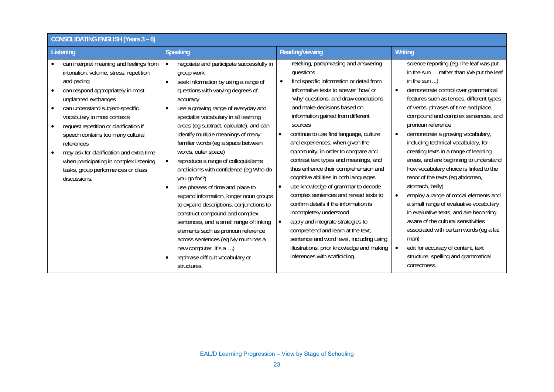| <b>CONSOLIDATING ENGLISH (Years 3 - 6)</b>                                                                                                                                                                                                                                                                                                                                                                                                                              |                                                                                                                                                                                                                                                                                                                                                                                                                                                                                                                                                                                                                                                                                                                                                                                                                                                                                     |                                                                                                                                                                                                                                                                                                                                                                                                                                                                                                                                                                                                                                                                                                                                                                                                                                                                                                                          |                                                                                                                                                                                                                                                                                                                                                                                                                                                                                                                                                                                                                                                                                                                                                                                                                                                                                    |
|-------------------------------------------------------------------------------------------------------------------------------------------------------------------------------------------------------------------------------------------------------------------------------------------------------------------------------------------------------------------------------------------------------------------------------------------------------------------------|-------------------------------------------------------------------------------------------------------------------------------------------------------------------------------------------------------------------------------------------------------------------------------------------------------------------------------------------------------------------------------------------------------------------------------------------------------------------------------------------------------------------------------------------------------------------------------------------------------------------------------------------------------------------------------------------------------------------------------------------------------------------------------------------------------------------------------------------------------------------------------------|--------------------------------------------------------------------------------------------------------------------------------------------------------------------------------------------------------------------------------------------------------------------------------------------------------------------------------------------------------------------------------------------------------------------------------------------------------------------------------------------------------------------------------------------------------------------------------------------------------------------------------------------------------------------------------------------------------------------------------------------------------------------------------------------------------------------------------------------------------------------------------------------------------------------------|------------------------------------------------------------------------------------------------------------------------------------------------------------------------------------------------------------------------------------------------------------------------------------------------------------------------------------------------------------------------------------------------------------------------------------------------------------------------------------------------------------------------------------------------------------------------------------------------------------------------------------------------------------------------------------------------------------------------------------------------------------------------------------------------------------------------------------------------------------------------------------|
| Listening                                                                                                                                                                                                                                                                                                                                                                                                                                                               | <b>Speaking</b>                                                                                                                                                                                                                                                                                                                                                                                                                                                                                                                                                                                                                                                                                                                                                                                                                                                                     | Reading/viewing                                                                                                                                                                                                                                                                                                                                                                                                                                                                                                                                                                                                                                                                                                                                                                                                                                                                                                          | Writing                                                                                                                                                                                                                                                                                                                                                                                                                                                                                                                                                                                                                                                                                                                                                                                                                                                                            |
| can interpret meaning and feelings from<br>intonation, volume, stress, repetition<br>and pacing<br>can respond appropriately in most<br>unplanned exchanges<br>can understand subject-specific<br>vocabulary in most contexts<br>request repetition or clarification if<br>speech contains too many cultural<br>references<br>may ask for clarification and extra time<br>when participating in complex listening<br>tasks, group performances or class<br>discussions. | negotiate and participate successfully in<br>group work<br>seek information by using a range of<br>$\bullet$<br>questions with varying degrees of<br>accuracy<br>use a growing range of everyday and<br>$\bullet$<br>specialist vocabulary in all learning<br>areas (eg subtract, calculate), and can<br>identify multiple meanings of many<br>familiar words (eg a space between<br>words, outer space)<br>reproduce a range of colloquialisms<br>and idioms with confidence (eg Who do<br>you go for?)<br>use phrases of time and place to<br>$\bullet$<br>expand information, longer noun groups<br>to expand descriptions, conjunctions to<br>construct compound and complex<br>sentences, and a small range of linking<br>elements such as pronoun reference<br>across sentences (eg My mum has a<br>new computer. It's a )<br>rephrase difficult vocabulary or<br>structures. | retelling, paraphrasing and answering<br>questions<br>find specific information or detail from<br>$\bullet$<br>informative texts to answer 'how' or<br>'why' questions, and draw conclusions<br>and make decisions based on<br>information gained from different<br>sources<br>continue to use first language, culture<br>$\bullet$<br>and experiences, when given the<br>opportunity, in order to compare and<br>contrast text types and meanings, and<br>thus enhance their comprehension and<br>cognitive abilities in both languages<br>use knowledge of grammar to decode<br>$\bullet$<br>complex sentences and reread texts to<br>confirm details if the information is<br>incompletely understood<br>apply and integrate strategies to<br>$\bullet$<br>comprehend and learn at the text,<br>sentence and word level, including using<br>illustrations, prior knowledge and making<br>inferences with scaffolding. | science reporting (eg The leaf was put<br>in the sun  rather than We put the leaf<br>in the sun $\dots$ )<br>demonstrate control over grammatical<br>features such as tenses, different types<br>of verbs, phrases of time and place,<br>compound and complex sentences, and<br>pronoun reference<br>demonstrate a growing vocabulary,<br>including technical vocabulary, for<br>creating texts in a range of learning<br>areas, and are beginning to understand<br>how vocabulary choice is linked to the<br>tenor of the texts (eg abdomen,<br>stomach, belly)<br>employ a range of modal elements and<br>a small range of evaluative vocabulary<br>in evaluative texts, and are becoming<br>aware of the cultural sensitivities<br>associated with certain words (eg a fat<br>man)<br>edit for accuracy of content, text<br>structure, spelling and grammatical<br>correctness. |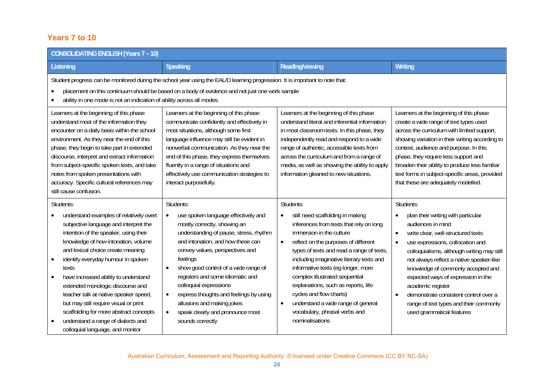#### **Years 7 to 10**

| <b>CONSOLIDATING ENGLISH (Years 7 - 10)</b>                                                                                                                                                                                                                                                                                                                                                                                                                                                                                                         |                                                                                                                                                                                                                                                                                                                                                                                                                                                                                             |                                                                                                                                                                                                                                                                                                                                                                                                                                                                                                                                  |                                                                                                                                                                                                                                                                                                                                                                                                                                                                                                  |  |
|-----------------------------------------------------------------------------------------------------------------------------------------------------------------------------------------------------------------------------------------------------------------------------------------------------------------------------------------------------------------------------------------------------------------------------------------------------------------------------------------------------------------------------------------------------|---------------------------------------------------------------------------------------------------------------------------------------------------------------------------------------------------------------------------------------------------------------------------------------------------------------------------------------------------------------------------------------------------------------------------------------------------------------------------------------------|----------------------------------------------------------------------------------------------------------------------------------------------------------------------------------------------------------------------------------------------------------------------------------------------------------------------------------------------------------------------------------------------------------------------------------------------------------------------------------------------------------------------------------|--------------------------------------------------------------------------------------------------------------------------------------------------------------------------------------------------------------------------------------------------------------------------------------------------------------------------------------------------------------------------------------------------------------------------------------------------------------------------------------------------|--|
| Listening                                                                                                                                                                                                                                                                                                                                                                                                                                                                                                                                           | Speaking                                                                                                                                                                                                                                                                                                                                                                                                                                                                                    | Reading/viewing                                                                                                                                                                                                                                                                                                                                                                                                                                                                                                                  | Writing                                                                                                                                                                                                                                                                                                                                                                                                                                                                                          |  |
| Student progress can be monitored during the school year using the EAL/D learning progression. It is important to note that:<br>placement on this continuum should be based on a body of evidence and not just one work sample<br>ability in one mode is not an indication of ability across all modes.<br>$\bullet$                                                                                                                                                                                                                                |                                                                                                                                                                                                                                                                                                                                                                                                                                                                                             |                                                                                                                                                                                                                                                                                                                                                                                                                                                                                                                                  |                                                                                                                                                                                                                                                                                                                                                                                                                                                                                                  |  |
| Learners at the beginning of this phase<br>understand most of the information they<br>encounter on a daily basis within the school<br>environment. As they near the end of this<br>phase, they begin to take part in extended<br>discourse, interpret and extract information<br>from subject-specific spoken texts, and take<br>notes from spoken presentations with<br>accuracy. Specific cultural references may<br>still cause confusion.                                                                                                       | Learners at the beginning of this phase<br>communicate confidently and effectively in<br>most situations, although some first<br>language influence may still be evident in<br>nonverbal communication. As they near the<br>end of this phase, they express themselves<br>fluently in a range of situations and<br>effectively use communication strategies to<br>interact purposefully.                                                                                                    | Learners at the beginning of this phase<br>understand literal and inferential information<br>in most classroom texts. In this phase, they<br>independently read and respond to a wide<br>range of authentic, accessible texts from<br>across the curriculum and from a range of<br>media, as well as showing the ability to apply<br>information gleaned to new situations.                                                                                                                                                      | Learners at the beginning of this phase<br>create a wide range of text types used<br>across the curriculum with limited support,<br>showing variation in their writing according to<br>context, audience and purpose. In this<br>phase, they require less support and<br>broaden their ability to produce less familiar<br>text forms in subject-specific areas, provided<br>that these are adequately modelled.                                                                                 |  |
| Students:<br>understand examples of relatively overt<br>subjective language and interpret the<br>intention of the speaker, using their<br>knowledge of how intonation, volume<br>and lexical choice create meaning<br>identify everyday humour in spoken<br>texts<br>have increased ability to understand<br>extended monologic discourse and<br>teacher talk at native speaker speed,<br>but may still require visual or print<br>scaffolding for more abstract concepts<br>understand a range of dialects and<br>colloquial language, and monitor | Students:<br>use spoken language effectively and<br>$\bullet$<br>mostly correctly, showing an<br>understanding of pause, stress, rhythm<br>and intonation, and how these can<br>convey values, perspectives and<br>feelings<br>show good control of a wide range of<br>registers and some idiomatic and<br>colloquial expressions<br>express thoughts and feelings by using<br>$\bullet$<br>allusions and making jokes<br>speak clearly and pronounce most<br>$\bullet$<br>sounds correctly | Students:<br>still need scaffolding in making<br>$\bullet$<br>inferences from texts that rely on long<br>immersion in the culture<br>reflect on the purposes of different<br>$\bullet$<br>types of texts and read a range of texts,<br>including imaginative literary texts and<br>informative texts (eg longer, more<br>complex illustrated sequential<br>explanations, such as reports, life<br>cycles and flow charts)<br>understand a wide range of general<br>$\bullet$<br>vocabulary, phrasal verbs and<br>nominalisations | Students:<br>plan their writing with particular<br>audiences in mind<br>write clear, well-structured texts<br>$\bullet$<br>use expressions, collocation and<br>$\bullet$<br>colloquialisms, although writing may still<br>not always reflect a native speaker-like<br>knowledge of commonly accepted and<br>expected ways of expression in the<br>academic register<br>demonstrate consistent control over a<br>$\bullet$<br>range of text types and their commonly<br>used grammatical features |  |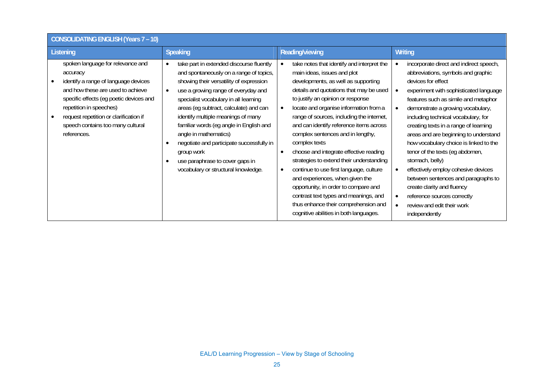| <b>CONSOLIDATING ENGLISH (Years 7 - 10)</b>                                                                                                                                                                                                                                                    |                                                                                                                                                                                                                                                                                                                                                                                                                                                                                                         |                                                                                                                                                                                                                                                                                                                                                                                                                                                                                                                                                                                                                                                                                                                                              |                                                                                                                                                                                                                                                                                                                                                                                                                                                                                                                                                                                                                                               |
|------------------------------------------------------------------------------------------------------------------------------------------------------------------------------------------------------------------------------------------------------------------------------------------------|---------------------------------------------------------------------------------------------------------------------------------------------------------------------------------------------------------------------------------------------------------------------------------------------------------------------------------------------------------------------------------------------------------------------------------------------------------------------------------------------------------|----------------------------------------------------------------------------------------------------------------------------------------------------------------------------------------------------------------------------------------------------------------------------------------------------------------------------------------------------------------------------------------------------------------------------------------------------------------------------------------------------------------------------------------------------------------------------------------------------------------------------------------------------------------------------------------------------------------------------------------------|-----------------------------------------------------------------------------------------------------------------------------------------------------------------------------------------------------------------------------------------------------------------------------------------------------------------------------------------------------------------------------------------------------------------------------------------------------------------------------------------------------------------------------------------------------------------------------------------------------------------------------------------------|
| Listening                                                                                                                                                                                                                                                                                      | <b>Speaking</b>                                                                                                                                                                                                                                                                                                                                                                                                                                                                                         | Reading/viewing                                                                                                                                                                                                                                                                                                                                                                                                                                                                                                                                                                                                                                                                                                                              | Writing                                                                                                                                                                                                                                                                                                                                                                                                                                                                                                                                                                                                                                       |
| spoken language for relevance and<br>accuracy<br>identify a range of language devices<br>and how these are used to achieve<br>specific effects (eg poetic devices and<br>repetition in speeches)<br>request repetition or clarification if<br>speech contains too many cultural<br>references. | take part in extended discourse fluently<br>and spontaneously on a range of topics,<br>showing their versatility of expression<br>use a growing range of everyday and<br>specialist vocabulary in all learning<br>areas (eg subtract, calculate) and can<br>identify multiple meanings of many<br>familiar words (eg angle in English and<br>angle in mathematics)<br>negotiate and participate successfully in<br>group work<br>use paraphrase to cover gaps in<br>vocabulary or structural knowledge. | take notes that identify and interpret the<br>main ideas, issues and plot<br>developments, as well as supporting<br>details and quotations that may be used<br>to justify an opinion or response<br>locate and organise information from a<br>$\bullet$<br>range of sources, including the internet,<br>and can identify reference items across<br>complex sentences and in lengthy,<br>complex texts<br>choose and integrate effective reading<br>strategies to extend their understanding<br>continue to use first language, culture<br>and experiences, when given the<br>opportunity, in order to compare and<br>contrast text types and meanings, and<br>thus enhance their comprehension and<br>cognitive abilities in both languages. | incorporate direct and indirect speech,<br>abbreviations, symbols and graphic<br>devices for effect<br>experiment with sophisticated language<br>features such as simile and metaphor<br>demonstrate a growing vocabulary,<br>including technical vocabulary, for<br>creating texts in a range of learning<br>areas and are beginning to understand<br>how vocabulary choice is linked to the<br>tenor of the texts (eg abdomen,<br>stomach, belly)<br>effectively employ cohesive devices<br>between sentences and paragraphs to<br>create clarity and fluency<br>reference sources correctly<br>review and edit their work<br>independently |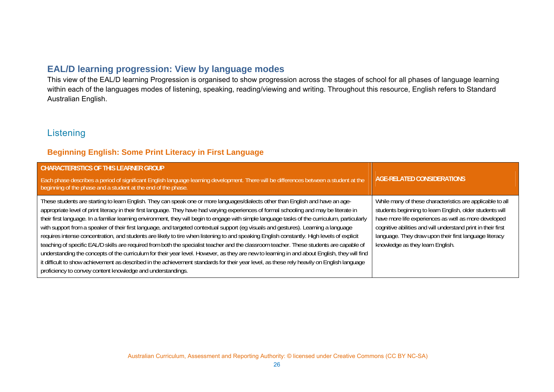### **EAL/D learning progression: View by language modes**

This view of the EAL/D learning Progression is organised to show progression across the stages of school for all phases of language learning within each of the languages modes of listening, speaking, reading/viewing and writing. Throughout this resource, English refers to Standard Australian English.

### Listening

#### **Beginning English: Some Print Literacy in First Language**

| <b>CHARACTERISTICS OF THIS LEARNER GROUP</b><br>Each phase describes a period of significant English language learning development. There will be differences between a student at the<br>beginning of the phase and a student at the end of the phase.                                                                                                                                                                                                                                                                                                                                                                                                                                                                                                                                                                                                                                                                                                                                                                                                                                                                                                                                                                      | <b>AGE-RELATED CONSIDERATIONS</b>                                                                                                                                                                                                                                                                                                           |
|------------------------------------------------------------------------------------------------------------------------------------------------------------------------------------------------------------------------------------------------------------------------------------------------------------------------------------------------------------------------------------------------------------------------------------------------------------------------------------------------------------------------------------------------------------------------------------------------------------------------------------------------------------------------------------------------------------------------------------------------------------------------------------------------------------------------------------------------------------------------------------------------------------------------------------------------------------------------------------------------------------------------------------------------------------------------------------------------------------------------------------------------------------------------------------------------------------------------------|---------------------------------------------------------------------------------------------------------------------------------------------------------------------------------------------------------------------------------------------------------------------------------------------------------------------------------------------|
| These students are starting to learn English. They can speak one or more languages/dialects other than English and have an age-<br>appropriate level of print literacy in their first language. They have had varying experiences of formal schooling and may be literate in<br>their first language. In a familiar learning environment, they will begin to engage with simple language tasks of the curriculum, particularly<br>with support from a speaker of their first language, and targeted contextual support (eg visuals and gestures). Learning a language<br>requires intense concentration, and students are likely to tire when listening to and speaking English constantly. High levels of explicit<br>teaching of specific EAL/D skills are required from both the specialist teacher and the classroom teacher. These students are capable of<br>understanding the concepts of the curriculum for their year level. However, as they are new to learning in and about English, they will find<br>it difficult to show achievement as described in the achievement standards for their year level, as these rely heavily on English language<br>proficiency to convey content knowledge and understandings. | While many of these characteristics are applicable to all<br>students beginning to learn English, older students will<br>have more life experiences as well as more developed<br>cognitive abilities and will understand print in their first<br>language. They draw upon their first language literacy<br>knowledge as they learn English. |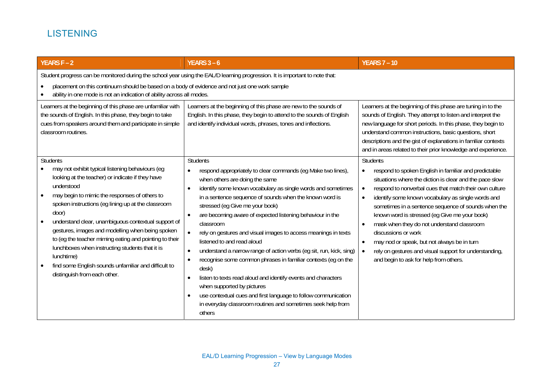### LISTENING

| <b>YEARS F-2</b>                                                                                                                                                                                                                                                                                                                                                                                                                                                                                                                                                                                              | <b>YEARS 3 - 6</b>                                                                                                                                                                                                                                                                                                                                                                                                                                                                                                                                                                                                                                                                                                                                                                                                                                                                          | <b>YEARS 7 - 10</b>                                                                                                                                                                                                                                                                                                                                                                                                                                                                                                                                                                              |
|---------------------------------------------------------------------------------------------------------------------------------------------------------------------------------------------------------------------------------------------------------------------------------------------------------------------------------------------------------------------------------------------------------------------------------------------------------------------------------------------------------------------------------------------------------------------------------------------------------------|---------------------------------------------------------------------------------------------------------------------------------------------------------------------------------------------------------------------------------------------------------------------------------------------------------------------------------------------------------------------------------------------------------------------------------------------------------------------------------------------------------------------------------------------------------------------------------------------------------------------------------------------------------------------------------------------------------------------------------------------------------------------------------------------------------------------------------------------------------------------------------------------|--------------------------------------------------------------------------------------------------------------------------------------------------------------------------------------------------------------------------------------------------------------------------------------------------------------------------------------------------------------------------------------------------------------------------------------------------------------------------------------------------------------------------------------------------------------------------------------------------|
| Student progress can be monitored during the school year using the EAL/D learning progression. It is important to note that:<br>placement on this continuum should be based on a body of evidence and not just one work sample<br>ability in one mode is not an indication of ability across all modes.                                                                                                                                                                                                                                                                                                       |                                                                                                                                                                                                                                                                                                                                                                                                                                                                                                                                                                                                                                                                                                                                                                                                                                                                                             |                                                                                                                                                                                                                                                                                                                                                                                                                                                                                                                                                                                                  |
| Learners at the beginning of this phase are unfamiliar with<br>the sounds of English. In this phase, they begin to take<br>cues from speakers around them and participate in simple<br>classroom routines.                                                                                                                                                                                                                                                                                                                                                                                                    | Learners at the beginning of this phase are new to the sounds of<br>English. In this phase, they begin to attend to the sounds of English<br>and identify individual words, phrases, tones and inflections.                                                                                                                                                                                                                                                                                                                                                                                                                                                                                                                                                                                                                                                                                 | Learners at the beginning of this phase are tuning in to the<br>sounds of English. They attempt to listen and interpret the<br>new language for short periods. In this phase, they begin to<br>understand common instructions, basic questions, short<br>descriptions and the gist of explanations in familiar contexts<br>and in areas related to their prior knowledge and experience.                                                                                                                                                                                                         |
| <b>Students</b><br>may not exhibit typical listening behaviours (eg<br>looking at the teacher) or indicate if they have<br>understood<br>may begin to mimic the responses of others to<br>$\bullet$<br>spoken instructions (eg lining up at the classroom<br>door)<br>understand clear, unambiguous contextual support of<br>gestures, images and modelling when being spoken<br>to (eg the teacher miming eating and pointing to their<br>lunchboxes when instructing students that it is<br>lunchtime)<br>find some English sounds unfamiliar and difficult to<br>$\bullet$<br>distinguish from each other. | <b>Students</b><br>respond appropriately to clear commands (eg Make two lines),<br>when others are doing the same<br>identify some known vocabulary as single words and sometimes<br>$\bullet$<br>in a sentence sequence of sounds when the known word is<br>stressed (eg Give me your book)<br>are becoming aware of expected listening behaviour in the<br>classroom<br>rely on gestures and visual images to access meanings in texts<br>listened to and read aloud<br>understand a narrow range of action verbs (eg sit, run, kick, sing)<br>$\bullet$<br>recognise some common phrases in familiar contexts (eg on the<br>desk)<br>listen to texts read aloud and identify events and characters<br>$\bullet$<br>when supported by pictures<br>use contextual cues and first language to follow communication<br>in everyday classroom routines and sometimes seek help from<br>others | <b>Students</b><br>respond to spoken English in familiar and predictable<br>situations where the diction is clear and the pace slow<br>respond to nonverbal cues that match their own culture<br>$\bullet$<br>identify some known vocabulary as single words and<br>sometimes in a sentence sequence of sounds when the<br>known word is stressed (eg Give me your book)<br>mask when they do not understand classroom<br>discussions or work<br>may nod or speak, but not always be in turn<br>rely on gestures and visual support for understanding,<br>and begin to ask for help from others. |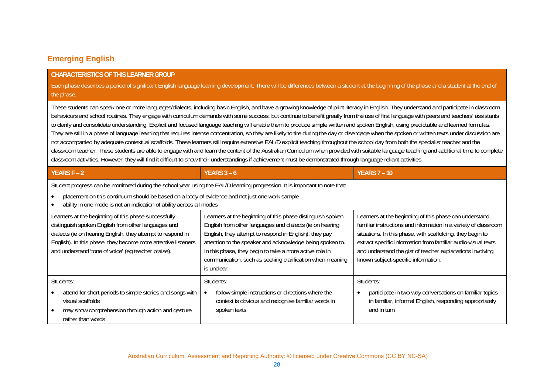### **Emerging English**

#### **CHARACTERISTICS OF THIS LEARNER GROUP**

Each phase describes a period of significant English language learning development. There will be differences between a student at the beginning of the phase and a student at the end of the phase.

These students can speak one or more languages/dialects, including basic English, and have a growing knowledge of print literacy in English. They understand and participate in classroom behaviours and school routines. They engage with curriculum demands with some success, but continue to benefit greatly from the use of first language with peers and teachers' assistants to clarify and consolidate understanding. Explicit and focused language teaching will enable them to produce simple written and spoken English, using predictable and learned formulas. They are still in a phase of language learning that requires intense concentration, so they are likely to tire during the day or disengage when the spoken or written texts under discussion are not accompanied by adequate contextual scaffolds. These learners still require extensive EAL/D explicit teaching throughout the school day from both the specialist teacher and the classroom teacher. These students are able to engage with and learn the content of the Australian Curriculum when provided with suitable language teaching and additional time to complete classroom activities. However, they will find it difficult to show their understandings if achievement must be demonstrated through language-reliant activities.

| <b>YEARS <math>F - 2</math></b>                                                                                                                                                                                                                                                                    | <b>YEARS 3 – 6</b>                                                                                                                                                                                                                                                                                                                                                                   | <b>YEARS 7 - 10</b>                                                                                                                                                                                                                                                                                                                                          |
|----------------------------------------------------------------------------------------------------------------------------------------------------------------------------------------------------------------------------------------------------------------------------------------------------|--------------------------------------------------------------------------------------------------------------------------------------------------------------------------------------------------------------------------------------------------------------------------------------------------------------------------------------------------------------------------------------|--------------------------------------------------------------------------------------------------------------------------------------------------------------------------------------------------------------------------------------------------------------------------------------------------------------------------------------------------------------|
| Student progress can be monitored during the school year using the EAL/D learning progression. It is important to note that:                                                                                                                                                                       |                                                                                                                                                                                                                                                                                                                                                                                      |                                                                                                                                                                                                                                                                                                                                                              |
| placement on this continuum should be based on a body of evidence and not just one work sample<br>ability in one mode is not an indication of ability across all modes                                                                                                                             |                                                                                                                                                                                                                                                                                                                                                                                      |                                                                                                                                                                                                                                                                                                                                                              |
| Learners at the beginning of this phase successfully<br>distinguish spoken English from other languages and<br>dialects (ie on hearing English, they attempt to respond in<br>English). In this phase, they become more attentive listeners<br>and understand 'tone of voice' (eg teacher praise). | Learners at the beginning of this phase distinguish spoken<br>English from other languages and dialects (ie on hearing<br>English, they attempt to respond in English), they pay<br>attention to the speaker and acknowledge being spoken to.<br>In this phase, they begin to take a more active role in<br>communication, such as seeking clarification when meaning<br>is unclear. | Learners at the beginning of this phase can understand<br>familiar instructions and information in a variety of classroom<br>situations. In this phase, with scaffolding, they begin to<br>extract specific information from familiar audio-visual texts<br>and understand the gist of teacher explanations involving<br>known subject-specific information. |
| Students:                                                                                                                                                                                                                                                                                          | Students:                                                                                                                                                                                                                                                                                                                                                                            | Students:                                                                                                                                                                                                                                                                                                                                                    |
| attend for short periods to simple stories and songs with<br>visual scaffolds<br>may show comprehension through action and gesture<br>rather than words                                                                                                                                            | follow simple instructions or directions where the<br>context is obvious and recognise familiar words in<br>spoken texts                                                                                                                                                                                                                                                             | participate in two-way conversations on familiar topics<br>in familiar, informal English, responding appropriately<br>and in turn                                                                                                                                                                                                                            |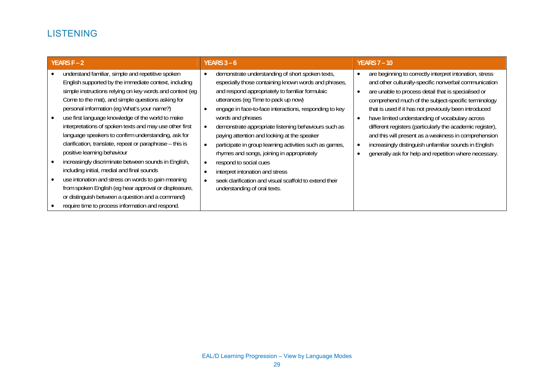### LISTENING

| YEARS F – 2                                                                                                                                                                                                                                                                                                                                                                                                                                                                                                                                                                                                                                                                                                                                                                                                                                                               | YEARS $3 - 6$                                                                                                                                                                                                                                                                                                                                                                                                                                                                                                                                                                                                                                                         | <b>YEARS 7 - 10</b>                                                                                                                                                                                                                                                                                                                                                                                                                                                                                                                                                                                                                    |
|---------------------------------------------------------------------------------------------------------------------------------------------------------------------------------------------------------------------------------------------------------------------------------------------------------------------------------------------------------------------------------------------------------------------------------------------------------------------------------------------------------------------------------------------------------------------------------------------------------------------------------------------------------------------------------------------------------------------------------------------------------------------------------------------------------------------------------------------------------------------------|-----------------------------------------------------------------------------------------------------------------------------------------------------------------------------------------------------------------------------------------------------------------------------------------------------------------------------------------------------------------------------------------------------------------------------------------------------------------------------------------------------------------------------------------------------------------------------------------------------------------------------------------------------------------------|----------------------------------------------------------------------------------------------------------------------------------------------------------------------------------------------------------------------------------------------------------------------------------------------------------------------------------------------------------------------------------------------------------------------------------------------------------------------------------------------------------------------------------------------------------------------------------------------------------------------------------------|
| understand familiar, simple and repetitive spoken<br>English supported by the immediate context, including<br>simple instructions relying on key words and context (eg<br>Come to the mat), and simple questions asking for<br>personal information (eg What's your name?)<br>use first language knowledge of the world to make<br>interpretations of spoken texts and may use other first<br>language speakers to confirm understanding, ask for<br>clarification, translate, repeat or paraphrase - this is<br>positive learning behaviour<br>increasingly discriminate between sounds in English,<br>including initial, medial and final sounds<br>use intonation and stress on words to gain meaning<br>from spoken English (eg hear approval or displeasure,<br>or distinguish between a question and a command)<br>require time to process information and respond. | demonstrate understanding of short spoken texts,<br>especially those containing known words and phrases,<br>and respond appropriately to familiar formulaic<br>utterances (eq Time to pack up now)<br>engage in face-to-face interactions, responding to key<br>words and phrases<br>demonstrate appropriate listening behaviours such as<br>$\bullet$<br>paying attention and looking at the speaker<br>participate in group learning activities such as games,<br>rhymes and songs, joining in appropriately<br>respond to social cues<br>interpret intonation and stress<br>seek clarification and visual scaffold to extend their<br>understanding of oral texts. | are beginning to correctly interpret intonation, stress<br>$\bullet$<br>and other culturally-specific nonverbal communication<br>are unable to process detail that is specialised or<br>$\bullet$<br>comprehend much of the subject-specific terminology<br>that is used if it has not previously been introduced<br>have limited understanding of vocabulary across<br>$\bullet$<br>different registers (particularly the academic register),<br>and this will present as a weakness in comprehension<br>increasingly distinguish unfamiliar sounds in English<br>generally ask for help and repetition where necessary.<br>$\bullet$ |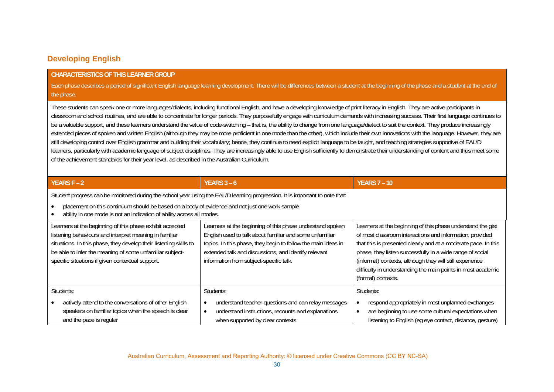### **Developing English**

#### **CHARACTERISTICS OF THIS LEARNER GROUP**

Each phase describes a period of significant English language learning development. There will be differences between a student at the beginning of the phase and a student at the end of the phase.

These students can speak one or more languages/dialects, including functional English, and have a developing knowledge of print literacy in English. They are active participants in classroom and school routines, and are able to concentrate for longer periods. They purposefully engage with curriculum demands with increasing success. Their first language continues to be a valuable support, and these learners understand the value of code-switching – that is, the ability to change from one language/dialect to suit the context. They produce increasingly extended pieces of spoken and written English (although they may be more proficient in one mode than the other), which include their own innovations with the language. However, they are still developing control over English grammar and building their vocabulary; hence, they continue to need explicit language to be taught, and teaching strategies supportive of EAL/D learners, particularly with academic language of subject disciplines. They are increasingly able to use English sufficiently to demonstrate their understanding of content and thus meet some of the achievement standards for their year level, as described in the Australian Curriculum.

| YEARS $F - 2$                                                                                                                                                                                                                                                                                           | YEARS 3 – 6                                                                                                                                                                                                                                                                              | <b>YEARS 7 - 10</b>                                                                                                                                                                                                                                                                                                                                                                                      |
|---------------------------------------------------------------------------------------------------------------------------------------------------------------------------------------------------------------------------------------------------------------------------------------------------------|------------------------------------------------------------------------------------------------------------------------------------------------------------------------------------------------------------------------------------------------------------------------------------------|----------------------------------------------------------------------------------------------------------------------------------------------------------------------------------------------------------------------------------------------------------------------------------------------------------------------------------------------------------------------------------------------------------|
| Student progress can be monitored during the school year using the EAL/D learning progression. It is important to note that:<br>placement on this continuum should be based on a body of evidence and not just one work sample                                                                          |                                                                                                                                                                                                                                                                                          |                                                                                                                                                                                                                                                                                                                                                                                                          |
| ability in one mode is not an indication of ability across all modes.                                                                                                                                                                                                                                   |                                                                                                                                                                                                                                                                                          |                                                                                                                                                                                                                                                                                                                                                                                                          |
| Learners at the beginning of this phase exhibit accepted<br>listening behaviours and interpret meaning in familiar<br>situations. In this phase, they develop their listening skills to<br>be able to infer the meaning of some unfamiliar subject-<br>specific situations if given contextual support. | Learners at the beginning of this phase understand spoken<br>English used to talk about familiar and some unfamiliar<br>topics. In this phase, they begin to follow the main ideas in<br>extended talk and discussions, and identify relevant<br>information from subject-specific talk. | Learners at the beginning of this phase understand the gist<br>of most classroom interactions and information, provided<br>that this is presented clearly and at a moderate pace. In this<br>phase, they listen successfully in a wide range of social<br>(informal) contexts, although they will still experience<br>difficulty in understanding the main points in most academic<br>(formal) contexts. |
| Students:                                                                                                                                                                                                                                                                                               | Students:                                                                                                                                                                                                                                                                                | Students:                                                                                                                                                                                                                                                                                                                                                                                                |
| actively attend to the conversations of other English<br>speakers on familiar topics when the speech is clear<br>and the pace is regular                                                                                                                                                                | understand teacher questions and can relay messages<br>$\bullet$<br>understand instructions, recounts and explanations<br>$\bullet$<br>when supported by clear contexts                                                                                                                  | respond appropriately in most unplanned exchanges<br>are beginning to use some cultural expectations when<br>$\bullet$<br>listening to English (eg eye contact, distance, gesture)                                                                                                                                                                                                                       |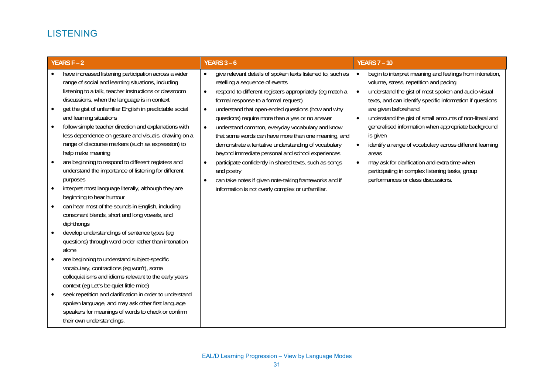### LISTENING

| <b>YEARS <math>F - 2</math></b>                                                                                                                                                                                                                                                                                                                                                                                                                                                                                                                                                                                                                                                                                                                                                                                                                                                                                                                                                                                                                                                                                                                                                                                                                                                                                                                                                                                                   | <b>YEARS 3 - 6</b>                                                                                                                                                                                                                                                                                                                                                                                                                                                                                                                                                                                                                                                                                                                                                                  | <b>YEARS 7 - 10</b>                                                                                                                                                                                                                                                                                                                                                                                                                                                                                                                                                                                                                                         |
|-----------------------------------------------------------------------------------------------------------------------------------------------------------------------------------------------------------------------------------------------------------------------------------------------------------------------------------------------------------------------------------------------------------------------------------------------------------------------------------------------------------------------------------------------------------------------------------------------------------------------------------------------------------------------------------------------------------------------------------------------------------------------------------------------------------------------------------------------------------------------------------------------------------------------------------------------------------------------------------------------------------------------------------------------------------------------------------------------------------------------------------------------------------------------------------------------------------------------------------------------------------------------------------------------------------------------------------------------------------------------------------------------------------------------------------|-------------------------------------------------------------------------------------------------------------------------------------------------------------------------------------------------------------------------------------------------------------------------------------------------------------------------------------------------------------------------------------------------------------------------------------------------------------------------------------------------------------------------------------------------------------------------------------------------------------------------------------------------------------------------------------------------------------------------------------------------------------------------------------|-------------------------------------------------------------------------------------------------------------------------------------------------------------------------------------------------------------------------------------------------------------------------------------------------------------------------------------------------------------------------------------------------------------------------------------------------------------------------------------------------------------------------------------------------------------------------------------------------------------------------------------------------------------|
| have increased listening participation across a wider<br>range of social and learning situations, including<br>listening to a talk, teacher instructions or classroom<br>discussions, when the language is in context<br>get the gist of unfamiliar English in predictable social<br>$\bullet$<br>and learning situations<br>follow simple teacher direction and explanations with<br>$\bullet$<br>less dependence on gesture and visuals, drawing on a<br>range of discourse markers (such as expression) to<br>help make meaning<br>are beginning to respond to different registers and<br>understand the importance of listening for different<br>purposes<br>interpret most language literally, although they are<br>$\bullet$<br>beginning to hear humour<br>can hear most of the sounds in English, including<br>$\bullet$<br>consonant blends, short and long vowels, and<br>diphthongs<br>develop understandings of sentence types (eg<br>questions) through word order rather than intonation<br>alone<br>are beginning to understand subject-specific<br>vocabulary, contractions (eg won't), some<br>colloquialisms and idioms relevant to the early years<br>context (eg Let's be quiet little mice)<br>seek repetition and clarification in order to understand<br>$\bullet$<br>spoken language, and may ask other first language<br>speakers for meanings of words to check or confirm<br>their own understandings. | give relevant details of spoken texts listened to, such as<br>$\bullet$<br>retelling a sequence of events<br>respond to different registers appropriately (eg match a<br>$\bullet$<br>formal response to a formal request)<br>understand that open-ended questions (how and why<br>$\bullet$<br>questions) require more than a yes or no answer<br>understand common, everyday vocabulary and know<br>$\bullet$<br>that some words can have more than one meaning, and<br>demonstrate a tentative understanding of vocabulary<br>beyond immediate personal and school experiences<br>participate confidently in shared texts, such as songs<br>$\bullet$<br>and poetry<br>can take notes if given note-taking frameworks and if<br>information is not overly complex or unfamiliar. | begin to interpret meaning and feelings from intonation,<br>$\bullet$<br>volume, stress, repetition and pacing<br>understand the gist of most spoken and audio-visual<br>$\bullet$<br>texts, and can identify specific information if questions<br>are given beforehand<br>understand the gist of small amounts of non-literal and<br>$\bullet$<br>generalised information when appropriate background<br>is given<br>identify a range of vocabulary across different learning<br>$\bullet$<br>areas<br>may ask for clarification and extra time when<br>$\bullet$<br>participating in complex listening tasks, group<br>performances or class discussions. |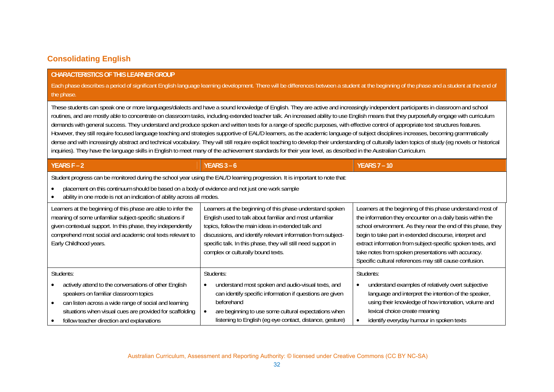### **Consolidating English**

#### **CHARACTERISTICS OF THIS LEARNER GROUP**

Each phase describes a period of significant English language learning development. There will be differences between a student at the beginning of the phase and a student at the end of the phase.

These students can speak one or more languages/dialects and have a sound knowledge of English. They are active and increasingly independent participants in classroom and school routines, and are mostly able to concentrate on classroom tasks, including extended teacher talk. An increased ability to use English means that they purposefully engage with curriculum demands with general success. They understand and produce spoken and written texts for a range of specific purposes, with effective control of appropriate text structures features. However, they still require focused language teaching and strategies supportive of EAL/D learners, as the academic language of subject disciplines increases, becoming grammatically dense and with increasingly abstract and technical vocabulary. They will still require explicit teaching to develop their understanding of culturally laden topics of study (eg novels or historical inquiries). They have the language skills in English to meet many of the achievement standards for their year level, as described in the Australian Curriculum.

#### Student progress can be monitored during the school year using the EAL/D learning progression. It is important to note that:

**YEARS F – 2 YEARS 3 – 6 YEARS 7 – 10** 

- $\bullet$ placement on this continuum should be based on a body of evidence and not just one work sample
- $\bullet$ ability in one mode is not an indication of ability across all modes.

| Learners at the beginning of this phase are able to infer the<br>meaning of some unfamiliar subject-specific situations if<br>given contextual support. In this phase, they independently<br>comprehend most social and academic oral texts relevant to<br>Early Childhood years. | Learners at the beginning of this phase understand spoken<br>English used to talk about familiar and most unfamiliar<br>topics, follow the main ideas in extended talk and<br>discussions, and identify relevant information from subject-<br>specific talk. In this phase, they will still need support in<br>complex or culturally bound texts. | Learners at the beginning of this phase understand most of<br>the information they encounter on a daily basis within the<br>school environment. As they near the end of this phase, they<br>begin to take part in extended discourse, interpret and<br>extract information from subject-specific spoken texts, and<br>take notes from spoken presentations with accuracy.<br>Specific cultural references may still cause confusion. |
|-----------------------------------------------------------------------------------------------------------------------------------------------------------------------------------------------------------------------------------------------------------------------------------|---------------------------------------------------------------------------------------------------------------------------------------------------------------------------------------------------------------------------------------------------------------------------------------------------------------------------------------------------|--------------------------------------------------------------------------------------------------------------------------------------------------------------------------------------------------------------------------------------------------------------------------------------------------------------------------------------------------------------------------------------------------------------------------------------|
| Students:                                                                                                                                                                                                                                                                         | Students:                                                                                                                                                                                                                                                                                                                                         | Students:                                                                                                                                                                                                                                                                                                                                                                                                                            |
| actively attend to the conversations of other English<br>speakers on familiar classroom topics<br>can listen across a wide range of social and learning<br>situations when visual cues are provided for scaffolding<br>follow teacher direction and explanations                  | understand most spoken and audio-visual texts, and<br>can identify specific information if questions are given<br>heforehand<br>are beginning to use some cultural expectations when<br>listening to English (eg eye contact, distance, gesture)                                                                                                  | understand examples of relatively overt subjective<br>$\bullet$<br>language and interpret the intention of the speaker,<br>using their knowledge of how intonation, volume and<br>lexical choice create meaning<br>identify everyday humour in spoken texts                                                                                                                                                                          |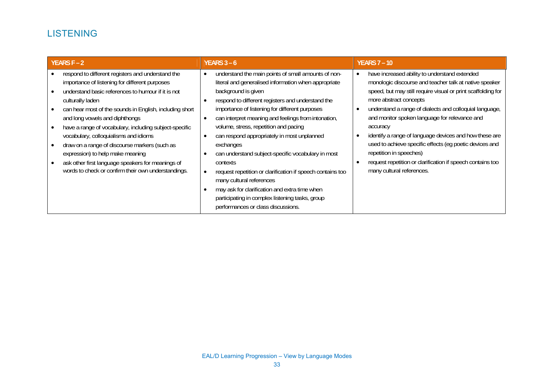### LISTENING

| <b>YEARS F - 2</b>                                                                                                                                                                                                                                                                                                                                                                                                                                                                                                                                                             | YEARS $3 - 6$                                                                                                                                                                                                                                                                                                                                                                                                                                                                                                                                                                                                                                                                                                    | <b>YEARS 7-10</b>                                                                                                                                                                                                                                                                                                                                                                                                                                                                                                                                                                                                        |
|--------------------------------------------------------------------------------------------------------------------------------------------------------------------------------------------------------------------------------------------------------------------------------------------------------------------------------------------------------------------------------------------------------------------------------------------------------------------------------------------------------------------------------------------------------------------------------|------------------------------------------------------------------------------------------------------------------------------------------------------------------------------------------------------------------------------------------------------------------------------------------------------------------------------------------------------------------------------------------------------------------------------------------------------------------------------------------------------------------------------------------------------------------------------------------------------------------------------------------------------------------------------------------------------------------|--------------------------------------------------------------------------------------------------------------------------------------------------------------------------------------------------------------------------------------------------------------------------------------------------------------------------------------------------------------------------------------------------------------------------------------------------------------------------------------------------------------------------------------------------------------------------------------------------------------------------|
| respond to different registers and understand the<br>importance of listening for different purposes<br>understand basic references to humour if it is not<br>culturally laden<br>can hear most of the sounds in English, including short<br>and long vowels and diphthongs<br>have a range of vocabulary, including subject-specific<br>vocabulary, colloquialisms and idioms<br>draw on a range of discourse markers (such as<br>expression) to help make meaning<br>ask other first language speakers for meanings of<br>words to check or confirm their own understandings. | understand the main points of small amounts of non-<br>٠<br>literal and generalised information when appropriate<br>background is given<br>respond to different registers and understand the<br>importance of listening for different purposes<br>can interpret meaning and feelings from intonation,<br>volume, stress, repetition and pacing<br>can respond appropriately in most unplanned<br>exchanges<br>can understand subject-specific vocabulary in most<br>contexts<br>request repetition or clarification if speech contains too<br>many cultural references<br>may ask for clarification and extra time when<br>participating in complex listening tasks, group<br>performances or class discussions. | have increased ability to understand extended<br>$\bullet$<br>monologic discourse and teacher talk at native speaker<br>speed, but may still require visual or print scaffolding for<br>more abstract concepts<br>understand a range of dialects and colloquial language,<br>$\bullet$<br>and monitor spoken language for relevance and<br>accuracy<br>identify a range of language devices and how these are<br>$\bullet$<br>used to achieve specific effects (eg poetic devices and<br>repetition in speeches)<br>request repetition or clarification if speech contains too<br>$\bullet$<br>many cultural references. |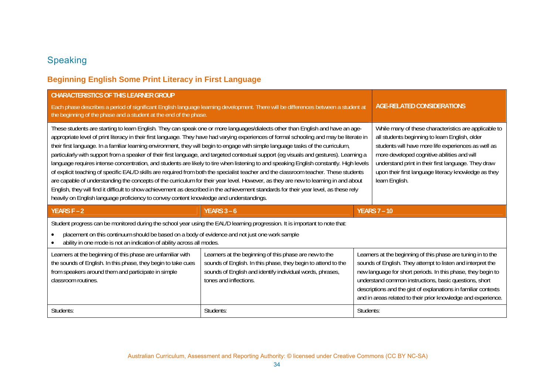### Speaking

### **Beginning English Some Print Literacy in First Language**

| CHARACTERISTICS OF THIS LEARNER GROUP<br>the beginning of the phase and a student at the end of the phase.                                                                                                                                                                                                                                                                                                                                                                                                                                                                                                                                                                                                                                                                                                                                                                                                                                                                                                                                                                                                                                                                                                                   | Each phase describes a period of significant English language learning development. There will be differences between a student at                                                                             | <b>AGE-RELATED CONSIDERATIONS</b>                                                                                                                                                                                                                                                                                                                                                        |
|------------------------------------------------------------------------------------------------------------------------------------------------------------------------------------------------------------------------------------------------------------------------------------------------------------------------------------------------------------------------------------------------------------------------------------------------------------------------------------------------------------------------------------------------------------------------------------------------------------------------------------------------------------------------------------------------------------------------------------------------------------------------------------------------------------------------------------------------------------------------------------------------------------------------------------------------------------------------------------------------------------------------------------------------------------------------------------------------------------------------------------------------------------------------------------------------------------------------------|----------------------------------------------------------------------------------------------------------------------------------------------------------------------------------------------------------------|------------------------------------------------------------------------------------------------------------------------------------------------------------------------------------------------------------------------------------------------------------------------------------------------------------------------------------------------------------------------------------------|
| These students are starting to learn English. They can speak one or more languages/dialects other than English and have an age-<br>appropriate level of print literacy in their first language. They have had varying experiences of formal schooling and may be literate in<br>their first language. In a familiar learning environment, they will begin to engage with simple language tasks of the curriculum,<br>particularly with support from a speaker of their first language, and targeted contextual support (eg visuals and gestures). Learning a<br>language requires intense concentration, and students are likely to tire when listening to and speaking English constantly. High levels<br>of explicit teaching of specific EAL/D skills are required from both the specialist teacher and the classroom teacher. These students<br>are capable of understanding the concepts of the curriculum for their year level. However, as they are new to learning in and about<br>English, they will find it difficult to show achievement as described in the achievement standards for their year level, as these rely<br>heavily on English language proficiency to convey content knowledge and understandings. |                                                                                                                                                                                                                | While many of these characteristics are applicable to<br>all students beginning to learn English, older<br>students will have more life experiences as well as<br>more developed cognitive abilities and will<br>understand print in their first language. They draw<br>upon their first language literacy knowledge as they<br>learn English.                                           |
|                                                                                                                                                                                                                                                                                                                                                                                                                                                                                                                                                                                                                                                                                                                                                                                                                                                                                                                                                                                                                                                                                                                                                                                                                              |                                                                                                                                                                                                                |                                                                                                                                                                                                                                                                                                                                                                                          |
| <b>YEARS F - 2</b>                                                                                                                                                                                                                                                                                                                                                                                                                                                                                                                                                                                                                                                                                                                                                                                                                                                                                                                                                                                                                                                                                                                                                                                                           | YEARS $3 - 6$                                                                                                                                                                                                  | <b>YEARS 7 - 10</b>                                                                                                                                                                                                                                                                                                                                                                      |
| Student progress can be monitored during the school year using the EAL/D learning progression. It is important to note that:                                                                                                                                                                                                                                                                                                                                                                                                                                                                                                                                                                                                                                                                                                                                                                                                                                                                                                                                                                                                                                                                                                 |                                                                                                                                                                                                                |                                                                                                                                                                                                                                                                                                                                                                                          |
| placement on this continuum should be based on a body of evidence and not just one work sample<br>ability in one mode is not an indication of ability across all modes.                                                                                                                                                                                                                                                                                                                                                                                                                                                                                                                                                                                                                                                                                                                                                                                                                                                                                                                                                                                                                                                      |                                                                                                                                                                                                                |                                                                                                                                                                                                                                                                                                                                                                                          |
| Learners at the beginning of this phase are unfamiliar with<br>the sounds of English. In this phase, they begin to take cues<br>from speakers around them and participate in simple<br>classroom routines.                                                                                                                                                                                                                                                                                                                                                                                                                                                                                                                                                                                                                                                                                                                                                                                                                                                                                                                                                                                                                   | Learners at the beginning of this phase are new to the<br>sounds of English. In this phase, they begin to attend to the<br>sounds of English and identify individual words, phrases,<br>tones and inflections. | Learners at the beginning of this phase are tuning in to the<br>sounds of English. They attempt to listen and interpret the<br>new language for short periods. In this phase, they begin to<br>understand common instructions, basic questions, short<br>descriptions and the gist of explanations in familiar contexts<br>and in areas related to their prior knowledge and experience. |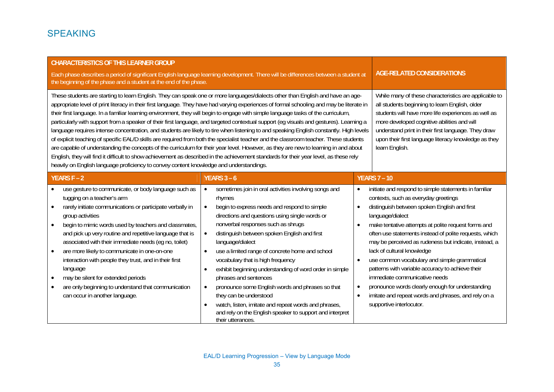### SPEAKING

| <b>CHARACTERISTICS OF THIS LEARNER GROUP</b><br>the beginning of the phase and a student at the end of the phase.                                                                                                                                                                                                                                                                                                                                                                                                                                                                                                                                                       | Each phase describes a period of significant English language learning development. There will be differences between a student at<br>These students are starting to learn English. They can speak one or more languages/dialects other than English and have an age-                                                                                                                                                                                                                                                                                                                                                                                                                                                                                                                                                                                     | <b>AGE-RELATED CONSIDERATIONS</b><br>While many of these characteristics are applicable to                                                                                                                                                                                                                                                                                                                                                                                                                                                                                                                                                                                                                                          |
|-------------------------------------------------------------------------------------------------------------------------------------------------------------------------------------------------------------------------------------------------------------------------------------------------------------------------------------------------------------------------------------------------------------------------------------------------------------------------------------------------------------------------------------------------------------------------------------------------------------------------------------------------------------------------|-----------------------------------------------------------------------------------------------------------------------------------------------------------------------------------------------------------------------------------------------------------------------------------------------------------------------------------------------------------------------------------------------------------------------------------------------------------------------------------------------------------------------------------------------------------------------------------------------------------------------------------------------------------------------------------------------------------------------------------------------------------------------------------------------------------------------------------------------------------|-------------------------------------------------------------------------------------------------------------------------------------------------------------------------------------------------------------------------------------------------------------------------------------------------------------------------------------------------------------------------------------------------------------------------------------------------------------------------------------------------------------------------------------------------------------------------------------------------------------------------------------------------------------------------------------------------------------------------------------|
| their first language. In a familiar learning environment, they will begin to engage with simple language tasks of the curriculum,<br>heavily on English language proficiency to convey content knowledge and understandings.                                                                                                                                                                                                                                                                                                                                                                                                                                            | appropriate level of print literacy in their first language. They have had varying experiences of formal schooling and may be literate in<br>particularly with support from a speaker of their first language, and targeted contextual support (eg visuals and gestures). Learning a<br>language requires intense concentration, and students are likely to tire when listening to and speaking English constantly. High levels<br>of explicit teaching of specific EAL/D skills are required from both the specialist teacher and the classroom teacher. These students<br>are capable of understanding the concepts of the curriculum for their year level. However, as they are new to learning in and about<br>English, they will find it difficult to show achievement as described in the achievement standards for their year level, as these rely | all students beginning to learn English, older<br>students will have more life experiences as well as<br>more developed cognitive abilities and will<br>understand print in their first language. They draw<br>upon their first language literacy knowledge as they<br>learn English.                                                                                                                                                                                                                                                                                                                                                                                                                                               |
| <b>YEARS F - 2</b>                                                                                                                                                                                                                                                                                                                                                                                                                                                                                                                                                                                                                                                      | <b>YEARS 3 - 6</b>                                                                                                                                                                                                                                                                                                                                                                                                                                                                                                                                                                                                                                                                                                                                                                                                                                        | <b>YEARS 7 - 10</b>                                                                                                                                                                                                                                                                                                                                                                                                                                                                                                                                                                                                                                                                                                                 |
| use gesture to communicate, or body language such as<br>tugging on a teacher's arm<br>rarely initiate communications or participate verbally in<br>$\bullet$<br>group activities<br>begin to mimic words used by teachers and classmates,<br>$\bullet$<br>and pick up very routine and repetitive language that is<br>associated with their immediate needs (eg no, toilet)<br>are more likely to communicate in one-on-one<br>$\bullet$<br>interaction with people they trust, and in their first<br>language<br>may be silent for extended periods<br>$\bullet$<br>are only beginning to understand that communication<br>$\bullet$<br>can occur in another language. | sometimes join in oral activities involving songs and<br>$\bullet$<br>rhymes<br>begin to express needs and respond to simple<br>$\bullet$<br>directions and questions using single words or<br>nonverbal responses such as shrugs<br>distinguish between spoken English and first<br>$\bullet$<br>language/dialect<br>use a limited range of concrete home and school<br>$\bullet$<br>vocabulary that is high frequency<br>exhibit beginning understanding of word order in simple<br>$\bullet$<br>phrases and sentences<br>pronounce some English words and phrases so that<br>$\bullet$<br>they can be understood<br>watch, listen, imitate and repeat words and phrases,<br>$\bullet$<br>and rely on the English speaker to support and interpret<br>their utterances.                                                                                 | initiate and respond to simple statements in familiar<br>$\bullet$<br>contexts, such as everyday greetings<br>distinguish between spoken English and first<br>$\bullet$<br>language/dialect<br>make tentative attempts at polite request forms and<br>$\bullet$<br>often use statements instead of polite requests, which<br>may be perceived as rudeness but indicate, instead, a<br>lack of cultural knowledge<br>use common vocabulary and simple grammatical<br>$\bullet$<br>patterns with variable accuracy to achieve their<br>immediate communicative needs<br>pronounce words clearly enough for understanding<br>$\bullet$<br>imitate and repeat words and phrases, and rely on a<br>$\bullet$<br>supportive interlocutor. |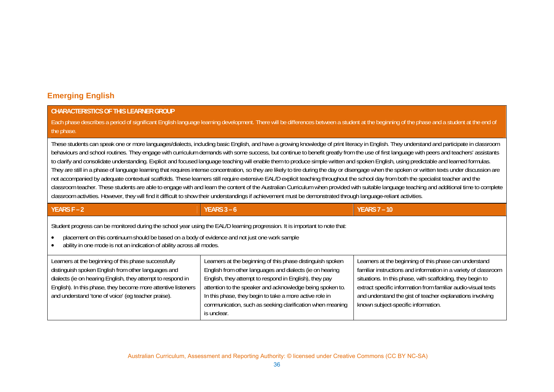### **Emerging English**

#### **CHARACTERISTICS OF THIS LEARNER GROUP**

Each phase describes a period of significant English language learning development. There will be differences between a student at the beginning of the phase and a student at the end of the phase.

These students can speak one or more languages/dialects, including basic English, and have a growing knowledge of print literacy in English. They understand and participate in classroom behaviours and school routines. They engage with curriculum demands with some success, but continue to benefit greatly from the use of first language with peers and teachers' assistants to clarify and consolidate understanding. Explicit and focused language teaching will enable them to produce simple written and spoken English, using predictable and learned formulas. They are still in a phase of language learning that requires intense concentration, so they are likely to tire during the day or disengage when the spoken or written texts under discussion are not accompanied by adequate contextual scaffolds. These learners still require extensive EAL/D explicit teaching throughout the school day from both the specialist teacher and the classroom teacher. These students are able to engage with and learn the content of the Australian Curriculum when provided with suitable language teaching and additional time to complete classroom activities. However, they will find it difficult to show their understandings if achievement must be demonstrated through language-reliant activities.

| YEARS $F - 2$                                                                                                                                                                                                                                                                                                                     | YEARS $3 - 6$                                                                                                                                                                                                                                                                                                                                                                        | <b>YEARS 7 - 10</b>                                                                                                                                                                                                                                                                                                                                          |
|-----------------------------------------------------------------------------------------------------------------------------------------------------------------------------------------------------------------------------------------------------------------------------------------------------------------------------------|--------------------------------------------------------------------------------------------------------------------------------------------------------------------------------------------------------------------------------------------------------------------------------------------------------------------------------------------------------------------------------------|--------------------------------------------------------------------------------------------------------------------------------------------------------------------------------------------------------------------------------------------------------------------------------------------------------------------------------------------------------------|
| Student progress can be monitored during the school year using the EAL/D learning progression. It is important to note that:<br>placement on this continuum should be based on a body of evidence and not just one work sample<br>$\bullet$<br>ability in one mode is not an indication of ability across all modes.<br>$\bullet$ |                                                                                                                                                                                                                                                                                                                                                                                      |                                                                                                                                                                                                                                                                                                                                                              |
| Learners at the beginning of this phase successfully<br>distinguish spoken English from other languages and<br>dialects (ie on hearing English, they attempt to respond in<br>English). In this phase, they become more attentive listeners<br>and understand 'tone of voice' (eq teacher praise).                                | Learners at the beginning of this phase distinguish spoken<br>English from other languages and dialects (ie on hearing<br>English, they attempt to respond in English), they pay<br>attention to the speaker and acknowledge being spoken to.<br>In this phase, they begin to take a more active role in<br>communication, such as seeking clarification when meaning<br>is unclear. | Learners at the beginning of this phase can understand<br>familiar instructions and information in a variety of classroom<br>situations. In this phase, with scaffolding, they begin to<br>extract specific information from familiar audio-visual texts<br>and understand the gist of teacher explanations involving<br>known subject-specific information. |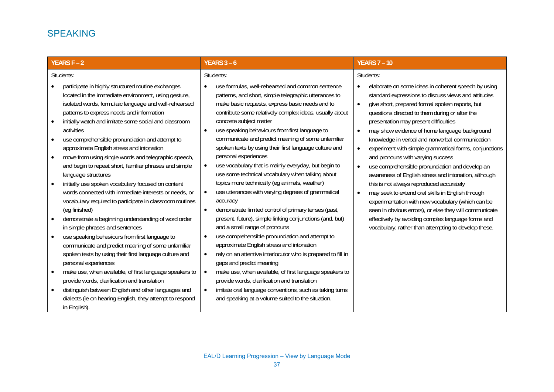### SPEAKING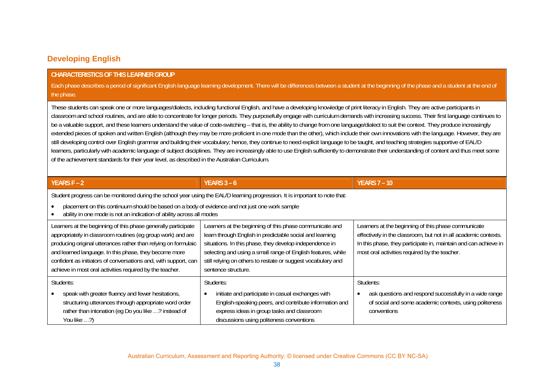### **Developing English**

#### **CHARACTERISTICS OF THIS LEARNER GROUP**

Each phase describes a period of significant English language learning development. There will be differences between a student at the beginning of the phase and a student at the end of the phase.

These students can speak one or more languages/dialects, including functional English, and have a developing knowledge of print literacy in English. They are active participants in classroom and school routines, and are able to concentrate for longer periods. They purposefully engage with curriculum demands with increasing success. Their first language continues to be a valuable support, and these learners understand the value of code-switching – that is, the ability to change from one language/dialect to suit the context. They produce increasingly extended pieces of spoken and written English (although they may be more proficient in one mode than the other), which include their own innovations with the language. However, they are still developing control over English grammar and building their vocabulary; hence, they continue to need explicit language to be taught, and teaching strategies supportive of EAL/D learners, particularly with academic language of subject disciplines. They are increasingly able to use English sufficiently to demonstrate their understanding of content and thus meet some of the achievement standards for their year level, as described in the Australian Curriculum.

| <b>YEARS <math>F - 2</math></b>                                                                                                                                                                                                                                                                                                                                                        | YEARS $3 - 6$                                                                                                                                                                                                                                                                                                                         | <b>YEARS 7 - 10</b>                                                                                                                                                                                                                        |  |
|----------------------------------------------------------------------------------------------------------------------------------------------------------------------------------------------------------------------------------------------------------------------------------------------------------------------------------------------------------------------------------------|---------------------------------------------------------------------------------------------------------------------------------------------------------------------------------------------------------------------------------------------------------------------------------------------------------------------------------------|--------------------------------------------------------------------------------------------------------------------------------------------------------------------------------------------------------------------------------------------|--|
| Student progress can be monitored during the school year using the EAL/D learning progression. It is important to note that:                                                                                                                                                                                                                                                           |                                                                                                                                                                                                                                                                                                                                       |                                                                                                                                                                                                                                            |  |
| placement on this continuum should be based on a body of evidence and not just one work sample<br>ability in one mode is not an indication of ability across all modes                                                                                                                                                                                                                 |                                                                                                                                                                                                                                                                                                                                       |                                                                                                                                                                                                                                            |  |
| Learners at the beginning of this phase generally participate<br>appropriately in classroom routines (eg group work) and are<br>producing original utterances rather than relying on formulaic<br>and learned language. In this phase, they become more<br>confident as initiators of conversations and, with support, can<br>achieve in most oral activities required by the teacher. | Learners at the beginning of this phase communicate and<br>learn through English in predictable social and learning<br>situations. In this phase, they develop independence in<br>selecting and using a small range of English features, while<br>still relying on others to restate or suggest vocabulary and<br>sentence structure. | Learners at the beginning of this phase communicate<br>effectively in the classroom, but not in all academic contexts.<br>In this phase, they participate in, maintain and can achieve in<br>most oral activities required by the teacher. |  |
| Students:<br>speak with greater fluency and fewer hesitations,<br>structuring utterances through appropriate word order<br>rather than intonation (eg Do you like ? instead of<br>You like ?)                                                                                                                                                                                          | Students:<br>initiate and participate in casual exchanges with<br>$\bullet$<br>English-speaking peers, and contribute information and<br>express ideas in group tasks and classroom<br>discussions using politeness conventions                                                                                                       | Students:<br>ask questions and respond successfully in a wide range<br>of social and some academic contexts, using politeness<br>conventions                                                                                               |  |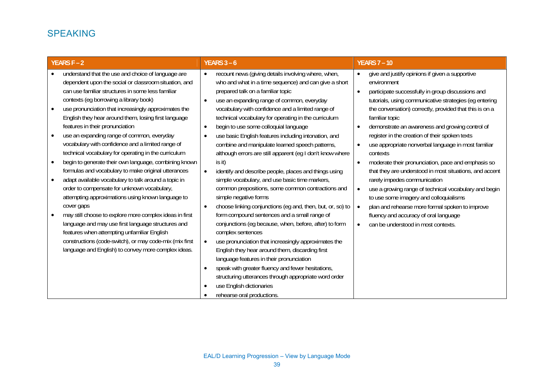### SPEAKING

| YEARS F-2                                                                                                                                                                                                                                                                                                                                                                                                                                                                                                                                                                                                                                                                                                                                                                                                                                                                                                                                                                                                                                                                                            | <b>YEARS 3 - 6</b>                                                                                                                                                                                                                                                                                                                                                                                                                                                                                                                                                                                                                                                                                                                                                                                                                                                                                                                                                                                                                                                                                                                                                                                                                                                                                                                                      | <b>YEARS 7 - 10</b>                                                                                                                                                                                                                                                                                                                                                                                                                                                                                                                                                                                                                                                                                                                                                                                                                                 |
|------------------------------------------------------------------------------------------------------------------------------------------------------------------------------------------------------------------------------------------------------------------------------------------------------------------------------------------------------------------------------------------------------------------------------------------------------------------------------------------------------------------------------------------------------------------------------------------------------------------------------------------------------------------------------------------------------------------------------------------------------------------------------------------------------------------------------------------------------------------------------------------------------------------------------------------------------------------------------------------------------------------------------------------------------------------------------------------------------|---------------------------------------------------------------------------------------------------------------------------------------------------------------------------------------------------------------------------------------------------------------------------------------------------------------------------------------------------------------------------------------------------------------------------------------------------------------------------------------------------------------------------------------------------------------------------------------------------------------------------------------------------------------------------------------------------------------------------------------------------------------------------------------------------------------------------------------------------------------------------------------------------------------------------------------------------------------------------------------------------------------------------------------------------------------------------------------------------------------------------------------------------------------------------------------------------------------------------------------------------------------------------------------------------------------------------------------------------------|-----------------------------------------------------------------------------------------------------------------------------------------------------------------------------------------------------------------------------------------------------------------------------------------------------------------------------------------------------------------------------------------------------------------------------------------------------------------------------------------------------------------------------------------------------------------------------------------------------------------------------------------------------------------------------------------------------------------------------------------------------------------------------------------------------------------------------------------------------|
| understand that the use and choice of language are<br>dependent upon the social or classroom situation, and<br>can use familiar structures in some less familiar<br>contexts (eg borrowing a library book)<br>use pronunciation that increasingly approximates the<br>English they hear around them, losing first language<br>features in their pronunciation<br>use an expanding range of common, everyday<br>vocabulary with confidence and a limited range of<br>technical vocabulary for operating in the curriculum<br>begin to generate their own language, combining known<br>formulas and vocabulary to make original utterances<br>adapt available vocabulary to talk around a topic in<br>order to compensate for unknown vocabulary,<br>attempting approximations using known language to<br>cover gaps<br>may still choose to explore more complex ideas in first<br>language and may use first language structures and<br>features when attempting unfamiliar English<br>constructions (code-switch), or may code-mix (mix first<br>language and English) to convey more complex ideas. | recount news (giving details involving where, when,<br>$\bullet$<br>who and what in a time sequence) and can give a short<br>prepared talk on a familiar topic<br>use an expanding range of common, everyday<br>$\bullet$<br>vocabulary with confidence and a limited range of<br>technical vocabulary for operating in the curriculum<br>begin to use some colloquial language<br>$\bullet$<br>use basic English features including intonation, and<br>$\bullet$<br>combine and manipulate learned speech patterns,<br>although errors are still apparent (eg I don't know where<br>is it)<br>identify and describe people, places and things using<br>$\bullet$<br>simple vocabulary, and use basic time markers,<br>common prepositions, some common contractions and<br>simple negative forms<br>choose linking conjunctions (eg and, then, but, or, so) to<br>form compound sentences and a small range of<br>conjunctions (eg because, when, before, after) to form<br>complex sentences<br>use pronunciation that increasingly approximates the<br>$\bullet$<br>English they hear around them, discarding first<br>language features in their pronunciation<br>speak with greater fluency and fewer hesitations,<br>structuring utterances through appropriate word order<br>use English dictionaries<br>$\bullet$<br>rehearse oral productions. | give and justify opinions if given a supportive<br>environment<br>participate successfully in group discussions and<br>tutorials, using communicative strategies (eg entering<br>the conversation) correctly, provided that this is on a<br>familiar topic<br>demonstrate an awareness and growing control of<br>register in the creation of their spoken texts<br>use appropriate nonverbal language in most familiar<br>$\bullet$<br>contexts<br>moderate their pronunciation, pace and emphasis so<br>$\bullet$<br>that they are understood in most situations, and accent<br>rarely impedes communication<br>use a growing range of technical vocabulary and begin<br>to use some imagery and colloquialisms<br>plan and rehearse more formal spoken to improve<br>fluency and accuracy of oral language<br>can be understood in most contexts. |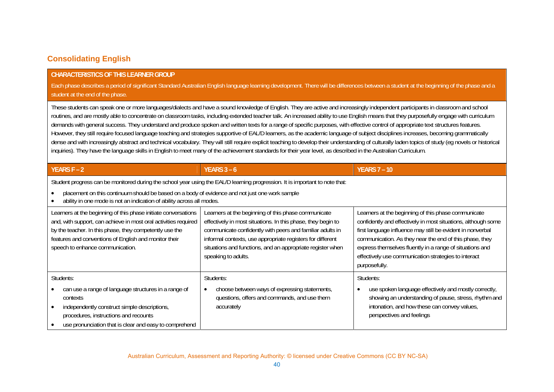### **Consolidating English**

#### **CHARACTERISTICS OF THIS LEARNER GROUP**

Each phase describes a period of significant Standard Australian English language learning development. There will be differences between a student at the beginning of the phase and a student at the end of the phase.

These students can speak one or more languages/dialects and have a sound knowledge of English. They are active and increasingly independent participants in classroom and school routines, and are mostly able to concentrate on classroom tasks, including extended teacher talk. An increased ability to use English means that they purposefully engage with curriculum demands with general success. They understand and produce spoken and written texts for a range of specific purposes, with effective control of appropriate text structures features. However, they still require focused language teaching and strategies supportive of EAL/D learners, as the academic language of subject disciplines increases, becoming grammatically dense and with increasingly abstract and technical vocabulary. They will still require explicit teaching to develop their understanding of culturally laden topics of study (eg novels or historical inquiries). They have the language skills in English to meet many of the achievement standards for their year level, as described in the Australian Curriculum.

| YEARS F - 2                                                                                                                                                                                                                                                                               | YEARS $3 - 6$                                                                                                                                                                                                                                                                                                                       | <b>YEARS 7 - 10</b>                                                                                                                                                                                                                                                                                                                                                                |  |
|-------------------------------------------------------------------------------------------------------------------------------------------------------------------------------------------------------------------------------------------------------------------------------------------|-------------------------------------------------------------------------------------------------------------------------------------------------------------------------------------------------------------------------------------------------------------------------------------------------------------------------------------|------------------------------------------------------------------------------------------------------------------------------------------------------------------------------------------------------------------------------------------------------------------------------------------------------------------------------------------------------------------------------------|--|
| Student progress can be monitored during the school year using the EAL/D learning progression. It is important to note that:                                                                                                                                                              |                                                                                                                                                                                                                                                                                                                                     |                                                                                                                                                                                                                                                                                                                                                                                    |  |
| placement on this continuum should be based on a body of evidence and not just one work sample<br>ability in one mode is not an indication of ability across all modes.                                                                                                                   |                                                                                                                                                                                                                                                                                                                                     |                                                                                                                                                                                                                                                                                                                                                                                    |  |
| Learners at the beginning of this phase initiate conversations<br>and, with support, can achieve in most oral activities required<br>by the teacher. In this phase, they competently use the<br>features and conventions of English and monitor their<br>speech to enhance communication. | Learners at the beginning of this phase communicate<br>effectively in most situations. In this phase, they begin to<br>communicate confidently with peers and familiar adults in<br>informal contexts, use appropriate registers for different<br>situations and functions, and an appropriate register when<br>speaking to adults. | Learners at the beginning of this phase communicate<br>confidently and effectively in most situations, although some<br>first language influence may still be evident in nonverbal<br>communication. As they near the end of this phase, they<br>express themselves fluently in a range of situations and<br>effectively use communication strategies to interact<br>purposefully. |  |
| Students:                                                                                                                                                                                                                                                                                 | Students:                                                                                                                                                                                                                                                                                                                           | Students:                                                                                                                                                                                                                                                                                                                                                                          |  |
| can use a range of language structures in a range of<br>contexts<br>independently construct simple descriptions,<br>procedures, instructions and recounts<br>use pronunciation that is clear and easy to comprehend                                                                       | choose between ways of expressing statements,<br>questions, offers and commands, and use them<br>accurately                                                                                                                                                                                                                         | use spoken language effectively and mostly correctly,<br>showing an understanding of pause, stress, rhythm and<br>intonation, and how these can convey values,<br>perspectives and feelings                                                                                                                                                                                        |  |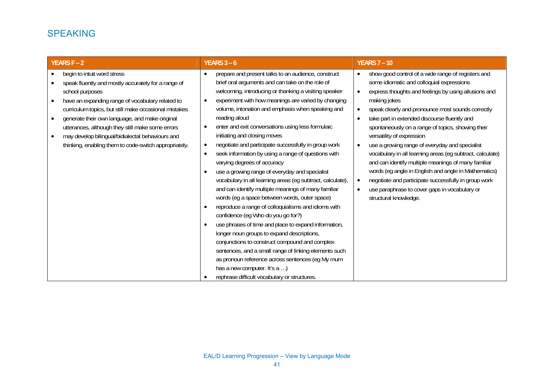### SPEAKING

| <b>YEARS <math>F - 2</math></b>                                                                                                                                                                                                                                                                                                                                                                                                                    | <b>YEARS 3 - 6</b>                                                                                                                                                                                                                                                                                                                                                                                                                                                                                                                                                                                                                                                                                                                                                                                                                                                                                                                                                                                                                                                                                                                                                                                                                                                                                    | <b>YEARS 7 - 10</b>                                                                                                                                                                                                                                                                                                                                                                                                                                                                                                                                                                                                                                                                                                                                                                             |
|----------------------------------------------------------------------------------------------------------------------------------------------------------------------------------------------------------------------------------------------------------------------------------------------------------------------------------------------------------------------------------------------------------------------------------------------------|-------------------------------------------------------------------------------------------------------------------------------------------------------------------------------------------------------------------------------------------------------------------------------------------------------------------------------------------------------------------------------------------------------------------------------------------------------------------------------------------------------------------------------------------------------------------------------------------------------------------------------------------------------------------------------------------------------------------------------------------------------------------------------------------------------------------------------------------------------------------------------------------------------------------------------------------------------------------------------------------------------------------------------------------------------------------------------------------------------------------------------------------------------------------------------------------------------------------------------------------------------------------------------------------------------|-------------------------------------------------------------------------------------------------------------------------------------------------------------------------------------------------------------------------------------------------------------------------------------------------------------------------------------------------------------------------------------------------------------------------------------------------------------------------------------------------------------------------------------------------------------------------------------------------------------------------------------------------------------------------------------------------------------------------------------------------------------------------------------------------|
| begin to intuit word stress<br>speak fluently and mostly accurately for a range of<br>school purposes<br>have an expanding range of vocabulary related to<br>curriculum topics, but still make occasional mistakes<br>generate their own language, and make original<br>$\bullet$<br>utterances, although they still make some errors<br>may develop bilingual/bidialectal behaviours and<br>thinking, enabling them to code-switch appropriately. | prepare and present talks to an audience, construct<br>brief oral arguments and can take on the role of<br>welcoming, introducing or thanking a visiting speaker<br>experiment with how meanings are varied by changing<br>$\bullet$<br>volume, intonation and emphasis when speaking and<br>reading aloud<br>enter and exit conversations using less formulaic<br>$\bullet$<br>initiating and closing moves<br>negotiate and participate successfully in group work<br>$\bullet$<br>seek information by using a range of questions with<br>$\bullet$<br>varying degrees of accuracy<br>use a growing range of everyday and specialist<br>$\bullet$<br>vocabulary in all learning areas (eg subtract, calculate),<br>and can identify multiple meanings of many familiar<br>words (eg a space between words, outer space)<br>reproduce a range of colloquialisms and idioms with<br>$\bullet$<br>confidence (eg Who do you go for?)<br>use phrases of time and place to expand information,<br>$\bullet$<br>longer noun groups to expand descriptions,<br>conjunctions to construct compound and complex<br>sentences, and a small range of linking elements such<br>as pronoun reference across sentences (eg My mum<br>has a new computer. It's a )<br>rephrase difficult vocabulary or structures. | show good control of a wide range of registers and<br>some idiomatic and colloquial expressions<br>express thoughts and feelings by using allusions and<br>$\bullet$<br>making jokes<br>speak clearly and pronounce most sounds correctly<br>$\bullet$<br>take part in extended discourse fluently and<br>$\bullet$<br>spontaneously on a range of topics, showing their<br>versatility of expression<br>use a growing range of everyday and specialist<br>$\bullet$<br>vocabulary in all learning areas (eg subtract, calculate)<br>and can identify multiple meanings of many familiar<br>words (eg angle in English and angle in Mathematics)<br>negotiate and participate successfully in group work<br>use paraphrase to cover gaps in vocabulary or<br>$\bullet$<br>structural knowledge. |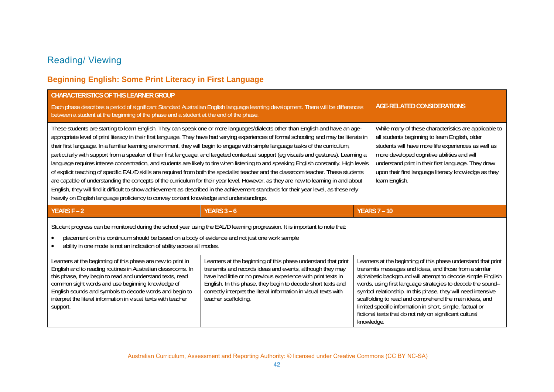### Reading/ Viewing

### **Beginning English: Some Print Literacy in First Language**

| <b>CHARACTERISTICS OF THIS LEARNER GROUP</b>                                                                                                                                                                                                                                                                                                                                           |                                                                                                                                                                                                                                                                                                                                                                                                                                                                                                                                                                                                                                                                                                                                                                                                                                                                                                                                                                                                                                                                                                                                   |                     |                                                                                                                                                                                                                                                                                                                                                                                                                                                                                                          |
|----------------------------------------------------------------------------------------------------------------------------------------------------------------------------------------------------------------------------------------------------------------------------------------------------------------------------------------------------------------------------------------|-----------------------------------------------------------------------------------------------------------------------------------------------------------------------------------------------------------------------------------------------------------------------------------------------------------------------------------------------------------------------------------------------------------------------------------------------------------------------------------------------------------------------------------------------------------------------------------------------------------------------------------------------------------------------------------------------------------------------------------------------------------------------------------------------------------------------------------------------------------------------------------------------------------------------------------------------------------------------------------------------------------------------------------------------------------------------------------------------------------------------------------|---------------------|----------------------------------------------------------------------------------------------------------------------------------------------------------------------------------------------------------------------------------------------------------------------------------------------------------------------------------------------------------------------------------------------------------------------------------------------------------------------------------------------------------|
| between a student at the beginning of the phase and a student at the end of the phase.                                                                                                                                                                                                                                                                                                 | Each phase describes a period of significant Standard Australian English language learning development. There will be differences                                                                                                                                                                                                                                                                                                                                                                                                                                                                                                                                                                                                                                                                                                                                                                                                                                                                                                                                                                                                 |                     | AGE-RELATED CONSIDERATIONS                                                                                                                                                                                                                                                                                                                                                                                                                                                                               |
| heavily on English language proficiency to convey content knowledge and understandings.                                                                                                                                                                                                                                                                                                | These students are starting to learn English. They can speak one or more languages/dialects other than English and have an age-<br>appropriate level of print literacy in their first language. They have had varying experiences of formal schooling and may be literate in<br>their first language. In a familiar learning environment, they will begin to engage with simple language tasks of the curriculum,<br>particularly with support from a speaker of their first language, and targeted contextual support (eg visuals and gestures). Learning a<br>language requires intense concentration, and students are likely to tire when listening to and speaking English constantly. High levels<br>of explicit teaching of specific EAL/D skills are required from both the specialist teacher and the classroom teacher. These students<br>are capable of understanding the concepts of the curriculum for their year level. However, as they are new to learning in and about<br>English, they will find it difficult to show achievement as described in the achievement standards for their year level, as these rely |                     | While many of these characteristics are applicable to<br>all students beginning to learn English, older<br>students will have more life experiences as well as<br>more developed cognitive abilities and will<br>understand print in their first language. They draw<br>upon their first language literacy knowledge as they<br>learn English.                                                                                                                                                           |
| YEARS F-2                                                                                                                                                                                                                                                                                                                                                                              | $YEARS3-6$                                                                                                                                                                                                                                                                                                                                                                                                                                                                                                                                                                                                                                                                                                                                                                                                                                                                                                                                                                                                                                                                                                                        | <b>YEARS 7 - 10</b> |                                                                                                                                                                                                                                                                                                                                                                                                                                                                                                          |
| Student progress can be monitored during the school year using the EAL/D learning progression. It is important to note that:<br>placement on this continuum should be based on a body of evidence and not just one work sample<br>ability in one mode is not an indication of ability across all modes.                                                                                |                                                                                                                                                                                                                                                                                                                                                                                                                                                                                                                                                                                                                                                                                                                                                                                                                                                                                                                                                                                                                                                                                                                                   |                     |                                                                                                                                                                                                                                                                                                                                                                                                                                                                                                          |
| Learners at the beginning of this phase are new to print in<br>English and to reading routines in Australian classrooms. In<br>this phase, they begin to read and understand texts, read<br>common sight words and use beginning knowledge of<br>English sounds and symbols to decode words and begin to<br>interpret the literal information in visual texts with teacher<br>support. | Learners at the beginning of this phase understand that print<br>transmits and records ideas and events, although they may<br>have had little or no previous experience with print texts in<br>English. In this phase, they begin to decode short texts and<br>correctly interpret the literal information in visual texts with<br>teacher scaffolding.                                                                                                                                                                                                                                                                                                                                                                                                                                                                                                                                                                                                                                                                                                                                                                           | knowledge.          | Learners at the beginning of this phase understand that print<br>transmits messages and ideas, and those from a similar<br>alphabetic background will attempt to decode simple English<br>words, using first language strategies to decode the sound-<br>symbol relationship. In this phase, they will need intensive<br>scaffolding to read and comprehend the main ideas, and<br>limited specific information in short, simple, factual or<br>fictional texts that do not rely on significant cultural |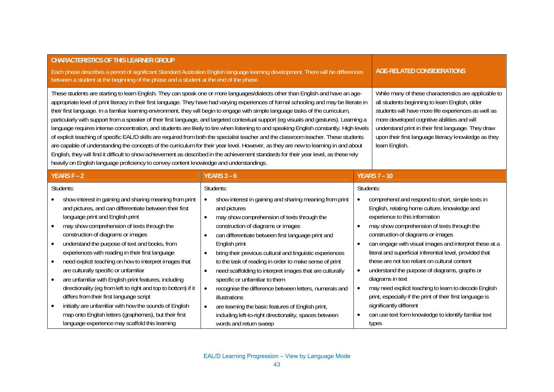| <b>CHARACTERISTICS OF THIS LEARNER GROUP</b><br>between a student at the beginning of the phase and a student at the end of the phase.                                                                                                                                                                                                                                                                                                                                                                                                                                                                                                                                                                                                                                                                                                                             | Each phase describes a period of significant Standard Australian English language learning development. There will be differences                                                                                                                                                                                                                                                                                                                                                                                                                                                                                                                                                                                                                                                                                                                                                                                                                                                            | <b>AGE-RELATED CONSIDERATIONS</b>                                                                                                                                                                                                                                                                                                                                                                                                                                                                                                                                                                                                                                                                                                                                     |
|--------------------------------------------------------------------------------------------------------------------------------------------------------------------------------------------------------------------------------------------------------------------------------------------------------------------------------------------------------------------------------------------------------------------------------------------------------------------------------------------------------------------------------------------------------------------------------------------------------------------------------------------------------------------------------------------------------------------------------------------------------------------------------------------------------------------------------------------------------------------|----------------------------------------------------------------------------------------------------------------------------------------------------------------------------------------------------------------------------------------------------------------------------------------------------------------------------------------------------------------------------------------------------------------------------------------------------------------------------------------------------------------------------------------------------------------------------------------------------------------------------------------------------------------------------------------------------------------------------------------------------------------------------------------------------------------------------------------------------------------------------------------------------------------------------------------------------------------------------------------------|-----------------------------------------------------------------------------------------------------------------------------------------------------------------------------------------------------------------------------------------------------------------------------------------------------------------------------------------------------------------------------------------------------------------------------------------------------------------------------------------------------------------------------------------------------------------------------------------------------------------------------------------------------------------------------------------------------------------------------------------------------------------------|
| their first language. In a familiar learning environment, they will begin to engage with simple language tasks of the curriculum,<br>heavily on English language proficiency to convey content knowledge and understandings.                                                                                                                                                                                                                                                                                                                                                                                                                                                                                                                                                                                                                                       | These students are starting to learn English. They can speak one or more languages/dialects other than English and have an age-<br>appropriate level of print literacy in their first language. They have had varying experiences of formal schooling and may be literate in<br>particularly with support from a speaker of their first language, and targeted contextual support (eg visuals and gestures). Learning a<br>language requires intense concentration, and students are likely to tire when listening to and speaking English constantly. High levels<br>of explicit teaching of specific EAL/D skills are required from both the specialist teacher and the classroom teacher. These students<br>are capable of understanding the concepts of the curriculum for their year level. However, as they are new to learning in and about<br>English, they will find it difficult to show achievement as described in the achievement standards for their year level, as these rely | While many of these characteristics are applicable to<br>all students beginning to learn English, older<br>students will have more life experiences as well as<br>more developed cognitive abilities and will<br>understand print in their first language. They draw<br>upon their first language literacy knowledge as they<br>learn English.                                                                                                                                                                                                                                                                                                                                                                                                                        |
| <b>YEARS F-2</b>                                                                                                                                                                                                                                                                                                                                                                                                                                                                                                                                                                                                                                                                                                                                                                                                                                                   | <b>YEARS 3 - 6</b>                                                                                                                                                                                                                                                                                                                                                                                                                                                                                                                                                                                                                                                                                                                                                                                                                                                                                                                                                                           | <b>YEARS 7 - 10</b>                                                                                                                                                                                                                                                                                                                                                                                                                                                                                                                                                                                                                                                                                                                                                   |
| Students:<br>show interest in gaining and sharing meaning from print<br>and pictures, and can differentiate between their first<br>language print and English print<br>may show comprehension of texts through the<br>construction of diagrams or images<br>understand the purpose of text and books, from<br>$\bullet$<br>experiences with reading in their first language<br>need explicit teaching on how to interpret images that<br>$\bullet$<br>are culturally specific or unfamiliar<br>are unfamiliar with English print features, including<br>$\bullet$<br>directionality (eg from left to right and top to bottom) if it<br>differs from their first language script<br>initially are unfamiliar with how the sounds of English<br>$\bullet$<br>map onto English letters (graphemes), but their first<br>language experience may scaffold this learning | Students:<br>show interest in gaining and sharing meaning from print<br>$\bullet$<br>and pictures<br>may show comprehension of texts through the<br>$\bullet$<br>construction of diagrams or images<br>can differentiate between first language print and<br>$\bullet$<br>English print<br>bring their previous cultural and linguistic experiences<br>$\bullet$<br>to the task of reading in order to make sense of print<br>need scaffolding to interpret images that are culturally<br>$\bullet$<br>specific or unfamiliar to them<br>recognise the difference between letters, numerals and<br>$\bullet$<br>illustrations<br>are learning the basic features of English print,<br>$\bullet$<br>including left-to-right directionality, spaces between<br>words and return sweep                                                                                                                                                                                                          | Students:<br>comprehend and respond to short, simple texts in<br>$\bullet$<br>English, relating home culture, knowledge and<br>experience to this information<br>may show comprehension of texts through the<br>$\bullet$<br>construction of diagrams or images<br>can engage with visual images and interpret these at a<br>$\bullet$<br>literal and superficial inferential level, provided that<br>these are not too reliant on cultural content<br>understand the purpose of diagrams, graphs or<br>$\bullet$<br>diagrams in text<br>may need explicit teaching to learn to decode English<br>$\bullet$<br>print, especially if the print of their first language is<br>significantly different<br>can use text form knowledge to identify familiar text<br>types |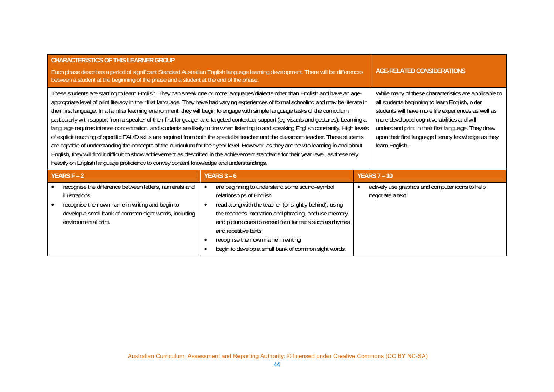| <b>CHARACTERISTICS OF THIS LEARNER GROUP</b><br>between a student at the beginning of the phase and a student at the end of the phase.                                                                                                                                                                                                                                                                                                                                                                                                                                                                                                                                                                                                                                                                                                                                                                                                                                                                                                                                                                                                                                                                                       | Each phase describes a period of significant Standard Australian English language learning development. There will be differences                                                                                                                                                                                                                                                                                                    | AGE-RELATED CONSIDERATIONS                                                                                                                                                                                                                                                                                                                     |
|------------------------------------------------------------------------------------------------------------------------------------------------------------------------------------------------------------------------------------------------------------------------------------------------------------------------------------------------------------------------------------------------------------------------------------------------------------------------------------------------------------------------------------------------------------------------------------------------------------------------------------------------------------------------------------------------------------------------------------------------------------------------------------------------------------------------------------------------------------------------------------------------------------------------------------------------------------------------------------------------------------------------------------------------------------------------------------------------------------------------------------------------------------------------------------------------------------------------------|--------------------------------------------------------------------------------------------------------------------------------------------------------------------------------------------------------------------------------------------------------------------------------------------------------------------------------------------------------------------------------------------------------------------------------------|------------------------------------------------------------------------------------------------------------------------------------------------------------------------------------------------------------------------------------------------------------------------------------------------------------------------------------------------|
| These students are starting to learn English. They can speak one or more languages/dialects other than English and have an age-<br>appropriate level of print literacy in their first language. They have had varying experiences of formal schooling and may be literate in<br>their first language. In a familiar learning environment, they will begin to engage with simple language tasks of the curriculum,<br>particularly with support from a speaker of their first language, and targeted contextual support (eg visuals and gestures). Learning a<br>language requires intense concentration, and students are likely to tire when listening to and speaking English constantly. High levels<br>of explicit teaching of specific EAL/D skills are required from both the specialist teacher and the classroom teacher. These students<br>are capable of understanding the concepts of the curriculum for their year level. However, as they are new to learning in and about<br>English, they will find it difficult to show achievement as described in the achievement standards for their year level, as these rely<br>heavily on English language proficiency to convey content knowledge and understandings. |                                                                                                                                                                                                                                                                                                                                                                                                                                      | While many of these characteristics are applicable to<br>all students beginning to learn English, older<br>students will have more life experiences as well as<br>more developed cognitive abilities and will<br>understand print in their first language. They draw<br>upon their first language literacy knowledge as they<br>learn English. |
| <b>YEARS F - 2</b>                                                                                                                                                                                                                                                                                                                                                                                                                                                                                                                                                                                                                                                                                                                                                                                                                                                                                                                                                                                                                                                                                                                                                                                                           | <b>YEARS 3 - 6</b>                                                                                                                                                                                                                                                                                                                                                                                                                   | <b>YEARS 7 - 10</b>                                                                                                                                                                                                                                                                                                                            |
| recognise the difference between letters, numerals and<br>illustrations<br>recognise their own name in writing and begin to<br>develop a small bank of common sight words, including<br>environmental print.                                                                                                                                                                                                                                                                                                                                                                                                                                                                                                                                                                                                                                                                                                                                                                                                                                                                                                                                                                                                                 | are beginning to understand some sound-symbol<br>$\bullet$<br>relationships of English<br>read along with the teacher (or slightly behind), using<br>$\bullet$<br>the teacher's intonation and phrasing, and use memory<br>and picture cues to reread familiar texts such as rhymes<br>and repetitive texts<br>recognise their own name in writing<br>$\bullet$<br>begin to develop a small bank of common sight words.<br>$\bullet$ | actively use graphics and computer icons to help<br>$\bullet$<br>negotiate a text.                                                                                                                                                                                                                                                             |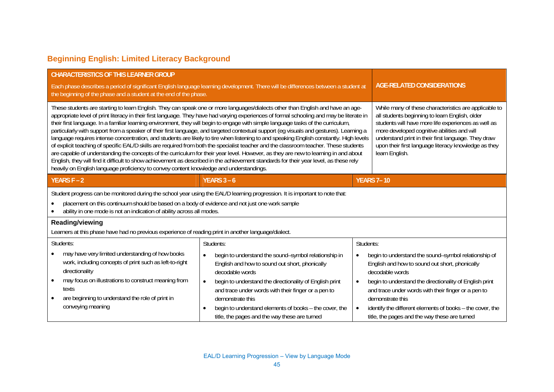### **Beginning English: Limited Literacy Background**

| <b>CHARACTERISTICS OF THIS LEARNER GROUP</b><br>the beginning of the phase and a student at the end of the phase.                                                                                                                                                                                                                                                                                                                         | Each phase describes a period of significant English language learning development. There will be differences between a student at                                                                                                                                                                                                                                                                                                                                                                                                                                                                                                                                                                                                                                                                                                                                                                                                                                                           | <b>AGE-RELATED CONSIDERATIONS</b>                                                                                                                                                                                                                                                                                                              |
|-------------------------------------------------------------------------------------------------------------------------------------------------------------------------------------------------------------------------------------------------------------------------------------------------------------------------------------------------------------------------------------------------------------------------------------------|----------------------------------------------------------------------------------------------------------------------------------------------------------------------------------------------------------------------------------------------------------------------------------------------------------------------------------------------------------------------------------------------------------------------------------------------------------------------------------------------------------------------------------------------------------------------------------------------------------------------------------------------------------------------------------------------------------------------------------------------------------------------------------------------------------------------------------------------------------------------------------------------------------------------------------------------------------------------------------------------|------------------------------------------------------------------------------------------------------------------------------------------------------------------------------------------------------------------------------------------------------------------------------------------------------------------------------------------------|
| their first language. In a familiar learning environment, they will begin to engage with simple language tasks of the curriculum,<br>heavily on English language proficiency to convey content knowledge and understandings.                                                                                                                                                                                                              | These students are starting to learn English. They can speak one or more languages/dialects other than English and have an age-<br>appropriate level of print literacy in their first language. They have had varying experiences of formal schooling and may be literate in<br>particularly with support from a speaker of their first language, and targeted contextual support (eg visuals and gestures). Learning a<br>language requires intense concentration, and students are likely to tire when listening to and speaking English constantly. High levels<br>of explicit teaching of specific EAL/D skills are required from both the specialist teacher and the classroom teacher. These students<br>are capable of understanding the concepts of the curriculum for their year level. However, as they are new to learning in and about<br>English, they will find it difficult to show achievement as described in the achievement standards for their year level, as these rely | While many of these characteristics are applicable to<br>all students beginning to learn English, older<br>students will have more life experiences as well as<br>more developed cognitive abilities and will<br>understand print in their first language. They draw<br>upon their first language literacy knowledge as they<br>learn English. |
| YEARS $F - 2$                                                                                                                                                                                                                                                                                                                                                                                                                             | <b>YEARS 3 - 6</b>                                                                                                                                                                                                                                                                                                                                                                                                                                                                                                                                                                                                                                                                                                                                                                                                                                                                                                                                                                           | <b>YEARS 7-10</b>                                                                                                                                                                                                                                                                                                                              |
| Student progress can be monitored during the school year using the EAL/D learning progression. It is important to note that:<br>placement on this continuum should be based on a body of evidence and not just one work sample<br>ability in one mode is not an indication of ability across all modes.<br><b>Reading/viewing</b><br>Learners at this phase have had no previous experience of reading print in another language/dialect. |                                                                                                                                                                                                                                                                                                                                                                                                                                                                                                                                                                                                                                                                                                                                                                                                                                                                                                                                                                                              |                                                                                                                                                                                                                                                                                                                                                |
| Students:                                                                                                                                                                                                                                                                                                                                                                                                                                 | Students:                                                                                                                                                                                                                                                                                                                                                                                                                                                                                                                                                                                                                                                                                                                                                                                                                                                                                                                                                                                    | Students:                                                                                                                                                                                                                                                                                                                                      |
| may have very limited understanding of how books                                                                                                                                                                                                                                                                                                                                                                                          | begin to understand the sound-symbol relationship in<br>$\bullet$                                                                                                                                                                                                                                                                                                                                                                                                                                                                                                                                                                                                                                                                                                                                                                                                                                                                                                                            | begin to understand the sound-symbol relationship of<br>$\bullet$                                                                                                                                                                                                                                                                              |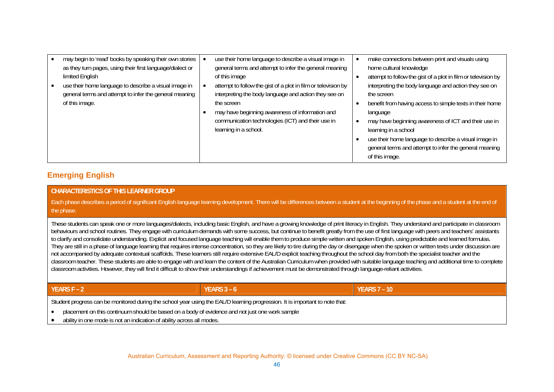| may begin to 'read' books by speaking their own stories<br>as they turn pages, using their first language/dialect or<br>limited English<br>use their home language to describe a visual image in<br>general terms and attempt to infer the general meaning<br>of this image. | use their home language to describe a visual image in<br>general terms and attempt to infer the general meaning<br>of this image<br>attempt to follow the gist of a plot in film or television by<br>interpreting the body language and action they see on<br>the screen<br>may have beginning awareness of information and<br>communication technologies (ICT) and their use in<br>learning in a school. | make connections between print and visuals using<br>home cultural knowledge<br>attempt to follow the gist of a plot in film or television by<br>interpreting the body language and action they see on<br>the screen<br>benefit from having access to simple texts in their home<br>language<br>may have beginning awareness of ICT and their use in<br>learning in a school<br>use their home language to describe a visual image in<br>general terms and attempt to infer the general meaning<br>of this image. |
|------------------------------------------------------------------------------------------------------------------------------------------------------------------------------------------------------------------------------------------------------------------------------|-----------------------------------------------------------------------------------------------------------------------------------------------------------------------------------------------------------------------------------------------------------------------------------------------------------------------------------------------------------------------------------------------------------|------------------------------------------------------------------------------------------------------------------------------------------------------------------------------------------------------------------------------------------------------------------------------------------------------------------------------------------------------------------------------------------------------------------------------------------------------------------------------------------------------------------|

### **Emerging English**

#### **CHARACTERISTICS OF THIS LEARNER GROUP**

Each phase describes a period of significant English language learning development. There will be differences between a student at the beginning of the phase and a student at the end of the phase.

These students can speak one or more languages/dialects, including basic English, and have a growing knowledge of print literacy in English. They understand and participate in classroom behaviours and school routines. They engage with curriculum demands with some success, but continue to benefit greatly from the use of first language with peers and teachers' assistants to clarify and consolidate understanding. Explicit and focused language teaching will enable them to produce simple written and spoken English, using predictable and learned formulas. They are still in a phase of language learning that requires intense concentration, so they are likely to tire during the day or disengage when the spoken or written texts under discussion are not accompanied by adequate contextual scaffolds. These learners still require extensive EAL/D explicit teaching throughout the school day from both the specialist teacher and the classroom teacher. These students are able to engage with and learn the content of the Australian Curriculum when provided with suitable language teaching and additional time to complete classroom activities. However, they will find it difficult to show their understandings if achievement must be demonstrated through language-reliant activities.

**YEARS F – 2 YEARS 3 – 6 YEARS 7 – 10** 

Student progress can be monitored during the school year using the EAL/D learning progression. It is important to note that:

- $\bullet$ placement on this continuum should be based on a body of evidence and not just one work sample
- $\bullet$ ability in one mode is not an indication of ability across all modes.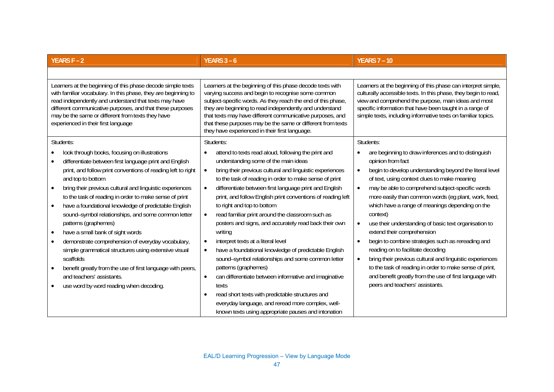| <b>YEARS F - 2</b>                                                                                                                                                                                                                                                                                                                                                                                                                                                                                                                                                                                                                                                                                                                                                        | <b>YEARS <math>3 - 6</math></b>                                                                                                                                                                                                                                                                                                                                                                                                                                                                                                                                                                                                                                                                                                                                                                                                                                                                                                                                                                          | <b>YEARS 7-10</b>                                                                                                                                                                                                                                                                                                                                                                                                                                                                                                                                                                                                                                                                                                                                                                                                                     |
|---------------------------------------------------------------------------------------------------------------------------------------------------------------------------------------------------------------------------------------------------------------------------------------------------------------------------------------------------------------------------------------------------------------------------------------------------------------------------------------------------------------------------------------------------------------------------------------------------------------------------------------------------------------------------------------------------------------------------------------------------------------------------|----------------------------------------------------------------------------------------------------------------------------------------------------------------------------------------------------------------------------------------------------------------------------------------------------------------------------------------------------------------------------------------------------------------------------------------------------------------------------------------------------------------------------------------------------------------------------------------------------------------------------------------------------------------------------------------------------------------------------------------------------------------------------------------------------------------------------------------------------------------------------------------------------------------------------------------------------------------------------------------------------------|---------------------------------------------------------------------------------------------------------------------------------------------------------------------------------------------------------------------------------------------------------------------------------------------------------------------------------------------------------------------------------------------------------------------------------------------------------------------------------------------------------------------------------------------------------------------------------------------------------------------------------------------------------------------------------------------------------------------------------------------------------------------------------------------------------------------------------------|
|                                                                                                                                                                                                                                                                                                                                                                                                                                                                                                                                                                                                                                                                                                                                                                           |                                                                                                                                                                                                                                                                                                                                                                                                                                                                                                                                                                                                                                                                                                                                                                                                                                                                                                                                                                                                          |                                                                                                                                                                                                                                                                                                                                                                                                                                                                                                                                                                                                                                                                                                                                                                                                                                       |
| Learners at the beginning of this phase decode simple texts<br>with familiar vocabulary. In this phase, they are beginning to<br>read independently and understand that texts may have<br>different communicative purposes, and that these purposes<br>may be the same or different from texts they have<br>experienced in their first language                                                                                                                                                                                                                                                                                                                                                                                                                           | Learners at the beginning of this phase decode texts with<br>varying success and begin to recognise some common<br>subject-specific words. As they reach the end of this phase,<br>they are beginning to read independently and understand<br>that texts may have different communicative purposes, and<br>that these purposes may be the same or different from texts<br>they have experienced in their first language.                                                                                                                                                                                                                                                                                                                                                                                                                                                                                                                                                                                 | Learners at the beginning of this phase can interpret simple,<br>culturally accessible texts. In this phase, they begin to read,<br>view and comprehend the purpose, main ideas and most<br>specific information that have been taught in a range of<br>simple texts, including informative texts on familiar topics.                                                                                                                                                                                                                                                                                                                                                                                                                                                                                                                 |
| Students:                                                                                                                                                                                                                                                                                                                                                                                                                                                                                                                                                                                                                                                                                                                                                                 | Students:                                                                                                                                                                                                                                                                                                                                                                                                                                                                                                                                                                                                                                                                                                                                                                                                                                                                                                                                                                                                | Students:                                                                                                                                                                                                                                                                                                                                                                                                                                                                                                                                                                                                                                                                                                                                                                                                                             |
| look through books, focusing on illustrations<br>differentiate between first language print and English<br>print, and follow print conventions of reading left to right<br>and top to bottom<br>bring their previous cultural and linguistic experiences<br>to the task of reading in order to make sense of print<br>have a foundational knowledge of predictable English<br>sound-symbol relationships, and some common letter<br>patterns (graphemes)<br>have a small bank of sight words<br>demonstrate comprehension of everyday vocabulary,<br>$\bullet$<br>simple grammatical structures using extensive visual<br>scaffolds<br>benefit greatly from the use of first language with peers,<br>and teachers' assistants.<br>use word by word reading when decoding. | attend to texts read aloud, following the print and<br>understanding some of the main ideas<br>bring their previous cultural and linguistic experiences<br>$\bullet$<br>to the task of reading in order to make sense of print<br>differentiate between first language print and English<br>$\bullet$<br>print, and follow English print conventions of reading left<br>to right and top to bottom<br>read familiar print around the classroom such as<br>$\bullet$<br>posters and signs, and accurately read back their own<br>writing<br>interpret texts at a literal level<br>$\bullet$<br>have a foundational knowledge of predictable English<br>$\bullet$<br>sound-symbol relationships and some common letter<br>patterns (graphemes)<br>can differentiate between informative and imaginative<br>$\bullet$<br>texts<br>read short texts with predictable structures and<br>$\bullet$<br>everyday language, and reread more complex, well-<br>known texts using appropriate pauses and intonation | are beginning to draw inferences and to distinguish<br>opinion from fact<br>begin to develop understanding beyond the literal level<br>$\bullet$<br>of text, using context clues to make meaning<br>may be able to comprehend subject-specific words<br>$\bullet$<br>more easily than common words (eg plant, work, feed,<br>which have a range of meanings depending on the<br>context)<br>use their understanding of basic text organisation to<br>$\bullet$<br>extend their comprehension<br>begin to combine strategies such as rereading and<br>$\bullet$<br>reading on to facilitate decoding<br>bring their previous cultural and linguistic experiences<br>$\bullet$<br>to the task of reading in order to make sense of print,<br>and benefit greatly from the use of first language with<br>peers and teachers' assistants. |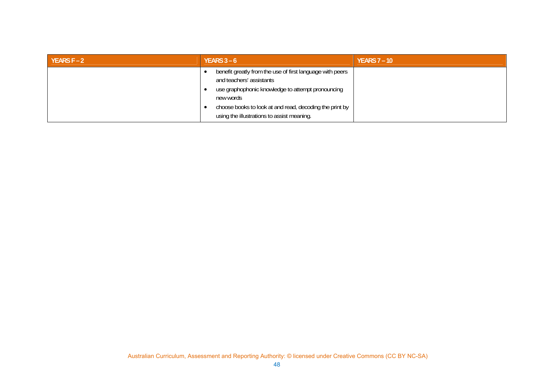| YEARS $F - 2$ | <b>YEARS 3 – 6</b>                                                                                                                                                                                                                                               | <b>YEARS 7 - 10</b> |
|---------------|------------------------------------------------------------------------------------------------------------------------------------------------------------------------------------------------------------------------------------------------------------------|---------------------|
|               | benefit greatly from the use of first language with peers<br>and teachers' assistants<br>use graphophonic knowledge to attempt pronouncing<br>new words<br>choose books to look at and read, decoding the print by<br>using the illustrations to assist meaning. |                     |

Australian Curriculum, Assessment and Reporting Authority: © licensed under Creative Commons (CC BY NC-SA)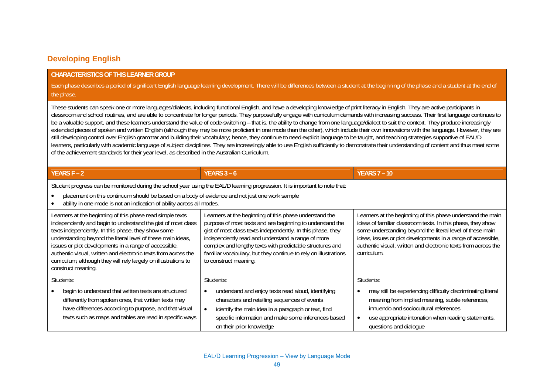### **Developing English**

#### **CHARACTERISTICS OF THIS LEARNER GROUP**

Each phase describes a period of significant English language learning development. There will be differences between a student at the beginning of the phase and a student at the end of the phase.

These students can speak one or more languages/dialects, including functional English, and have a developing knowledge of print literacy in English. They are active participants in classroom and school routines, and are able to concentrate for longer periods. They purposefully engage with curriculum demands with increasing success. Their first language continues to be a valuable support, and these learners understand the value of code-switching – that is, the ability to change from one language/dialect to suit the context. They produce increasingly extended pieces of spoken and written English (although they may be more proficient in one mode than the other), which include their own innovations with the language. However, they are still developing control over English grammar and building their vocabulary; hence, they continue to need explicit language to be taught, and teaching strategies supportive of EAL/D learners, particularly with academic language of subject disciplines. They are increasingly able to use English sufficiently to demonstrate their understanding of content and thus meet some of the achievement standards for their year level, as described in the Australian Curriculum.

| YEARS F - 2                                                                                                                                                                                                                                                                                                                                                                                                                                                        | <b>YEARS 3 - 6</b>                                                                                                                                                                                                                                                                                                                                                                               | <b>YEARS 7 - 10</b>                                                                                                                                                                                                                                                                                                                      |  |
|--------------------------------------------------------------------------------------------------------------------------------------------------------------------------------------------------------------------------------------------------------------------------------------------------------------------------------------------------------------------------------------------------------------------------------------------------------------------|--------------------------------------------------------------------------------------------------------------------------------------------------------------------------------------------------------------------------------------------------------------------------------------------------------------------------------------------------------------------------------------------------|------------------------------------------------------------------------------------------------------------------------------------------------------------------------------------------------------------------------------------------------------------------------------------------------------------------------------------------|--|
| Student progress can be monitored during the school year using the EAL/D learning progression. It is important to note that:<br>placement on this continuum should be based on a body of evidence and not just one work sample<br>ability in one mode is not an indication of ability across all modes.                                                                                                                                                            |                                                                                                                                                                                                                                                                                                                                                                                                  |                                                                                                                                                                                                                                                                                                                                          |  |
| Learners at the beginning of this phase read simple texts<br>independently and begin to understand the gist of most class<br>texts independently. In this phase, they show some<br>understanding beyond the literal level of these main ideas,<br>issues or plot developments in a range of accessible,<br>authentic visual, written and electronic texts from across the<br>curriculum, although they will rely largely on illustrations to<br>construct meaning. | Learners at the beginning of this phase understand the<br>purpose of most texts and are beginning to understand the<br>gist of most class texts independently. In this phase, they<br>independently read and understand a range of more<br>complex and lengthy texts with predictable structures and<br>familiar vocabulary, but they continue to rely on illustrations<br>to construct meaning. | Learners at the beginning of this phase understand the main<br>ideas of familiar classroom texts. In this phase, they show<br>some understanding beyond the literal level of these main<br>ideas, issues or plot developments in a range of accessible,<br>authentic visual, written and electronic texts from across the<br>curriculum. |  |
| Students:                                                                                                                                                                                                                                                                                                                                                                                                                                                          | Students:                                                                                                                                                                                                                                                                                                                                                                                        | Students:                                                                                                                                                                                                                                                                                                                                |  |
| begin to understand that written texts are structured<br>differently from spoken ones, that written texts may<br>have differences according to purpose, and that visual<br>texts such as maps and tables are read in specific ways                                                                                                                                                                                                                                 | understand and enjoy texts read aloud, identifying<br>characters and retelling sequences of events<br>identify the main idea in a paragraph or text, find<br>specific information and make some inferences based<br>on their prior knowledge                                                                                                                                                     | may still be experiencing difficulty discriminating literal<br>meaning from implied meaning, subtle references,<br>innuendo and sociocultural references<br>use appropriate intonation when reading statements,<br>questions and dialogue                                                                                                |  |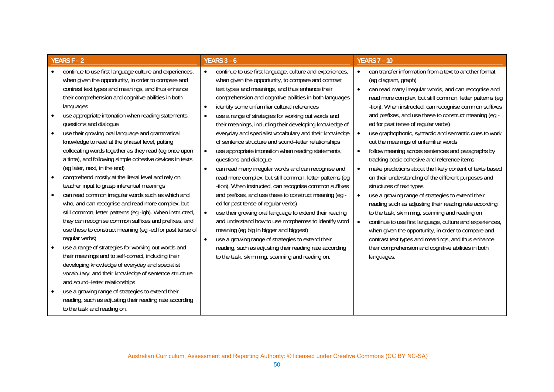| YEARS F-2                                                                                                                                                                                                                                                                                                                                                                                                               | <b>YEARS 3 - 6</b>                                                                                                                                                                                                                                                                                                                                                                                                                                                                               | <b>YEARS 7 - 10</b>                                                                                                                                                                                                                                                                                                                                                                                                                             |
|-------------------------------------------------------------------------------------------------------------------------------------------------------------------------------------------------------------------------------------------------------------------------------------------------------------------------------------------------------------------------------------------------------------------------|--------------------------------------------------------------------------------------------------------------------------------------------------------------------------------------------------------------------------------------------------------------------------------------------------------------------------------------------------------------------------------------------------------------------------------------------------------------------------------------------------|-------------------------------------------------------------------------------------------------------------------------------------------------------------------------------------------------------------------------------------------------------------------------------------------------------------------------------------------------------------------------------------------------------------------------------------------------|
| continue to use first language culture and experiences,<br>when given the opportunity, in order to compare and<br>contrast text types and meanings, and thus enhance<br>their comprehension and cognitive abilities in both<br>languages<br>use appropriate intonation when reading statements,<br>questions and dialogue<br>use their growing oral language and grammatical                                            | continue to use first language, culture and experiences,<br>$\bullet$<br>when given the opportunity, to compare and contrast<br>text types and meanings, and thus enhance their<br>comprehension and cognitive abilities in both languages<br>identify some unfamiliar cultural references<br>$\bullet$<br>use a range of strategies for working out words and<br>$\bullet$<br>their meanings, including their developing knowledge of<br>everyday and specialist vocabulary and their knowledge | can transfer information from a text to another format<br>$\bullet$<br>(eg diagram, graph)<br>can read many irregular words, and can recognise and<br>read more complex, but still common, letter patterns (eg<br>-tion). When instructed, can recognise common suffixes<br>and prefixes, and use these to construct meaning (eg -<br>ed for past tense of regular verbs)<br>use graphophonic, syntactic and semantic cues to work<br>$\bullet$ |
| knowledge to read at the phrasal level, putting<br>collocating words together as they read (eg once upon<br>a time), and following simple cohesive devices in texts<br>(eq later, next, in the end)<br>comprehend mostly at the literal level and rely on<br>teacher input to grasp inferential meanings                                                                                                                | of sentence structure and sound-letter relationships<br>use appropriate intonation when reading statements,<br>$\bullet$<br>questions and dialogue<br>can read many irregular words and can recognise and<br>$\bullet$<br>read more complex, but still common, letter patterns (eg<br>-tion). When instructed, can recognise common suffixes                                                                                                                                                     | out the meanings of unfamiliar words<br>follow meaning across sentences and paragraphs by<br>$\bullet$<br>tracking basic cohesive and reference items<br>make predictions about the likely content of texts based<br>$\bullet$<br>on their understanding of the different purposes and<br>structures of text types                                                                                                                              |
| can read common irregular words such as which and<br>who, and can recognise and read more complex, but<br>still common, letter patterns (eg -igh). When instructed,<br>they can recognise common suffixes and prefixes, and<br>use these to construct meaning (eg -ed for past tense of<br>regular verbs)<br>use a range of strategies for working out words and<br>their meanings and to self-correct, including their | and prefixes, and use these to construct meaning (eg -<br>ed for past tense of regular verbs)<br>use their growing oral language to extend their reading<br>$\bullet$<br>and understand how to use morphemes to identify word<br>meaning (eg big in bigger and biggest)<br>use a growing range of strategies to extend their<br>$\bullet$<br>reading, such as adjusting their reading rate according<br>to the task, skimming, scanning and reading on.                                          | use a growing range of strategies to extend their<br>$\bullet$<br>reading such as adjusting their reading rate according<br>to the task, skimming, scanning and reading on<br>continue to use first language, culture and experiences,<br>$\bullet$<br>when given the opportunity, in order to compare and<br>contrast text types and meanings, and thus enhance<br>their comprehension and cognitive abilities in both<br>languages.           |
| developing knowledge of everyday and specialist<br>vocabulary, and their knowledge of sentence structure<br>and sound-letter relationships<br>use a growing range of strategies to extend their<br>reading, such as adjusting their reading rate according<br>to the task and reading on.                                                                                                                               |                                                                                                                                                                                                                                                                                                                                                                                                                                                                                                  |                                                                                                                                                                                                                                                                                                                                                                                                                                                 |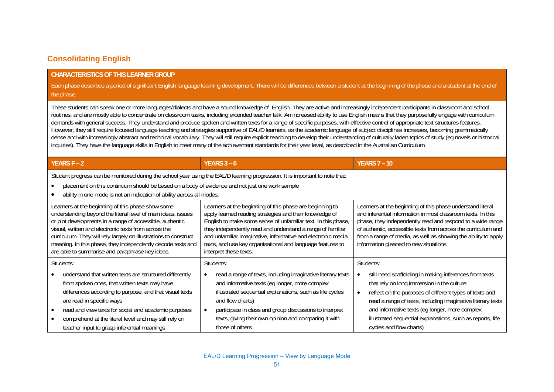### **Consolidating English**

#### **CHARACTERISTICS OF THIS LEARNER GROUP**

Each phase describes a period of significant English language learning development. There will be differences between a student at the beginning of the phase and a student at the end of the phase.

These students can speak one or more languages/dialects and have a sound knowledge of English. They are active and increasingly independent participants in classroom and school routines, and are mostly able to concentrate on classroom tasks, including extended teacher talk. An increased ability to use English means that they purposefully engage with curriculum demands with general success. They understand and produce spoken and written texts for a range of specific purposes, with effective control of appropriate text structures features. However, they still require focused language teaching and strategies supportive of EAL/D learners, as the academic language of subject disciplines increases, becoming grammatically dense and with increasingly abstract and technical vocabulary. They will still require explicit teaching to develop their understanding of culturally laden topics of study (eg novels or historical inquiries). They have the language skills in English to meet many of the achievement standards for their year level, as described in the Australian Curriculum.

| YEARS $F - 2$                                                                                                                                                                                                                                                                                                                                                                                                               | $YEARS$ 3 - 6                                                                                                                                                                                                                                                                                                                                                                                              | <b>YEARS 7 - 10</b>                                                                                                                                                                                                                                                                                                                                                                                 |
|-----------------------------------------------------------------------------------------------------------------------------------------------------------------------------------------------------------------------------------------------------------------------------------------------------------------------------------------------------------------------------------------------------------------------------|------------------------------------------------------------------------------------------------------------------------------------------------------------------------------------------------------------------------------------------------------------------------------------------------------------------------------------------------------------------------------------------------------------|-----------------------------------------------------------------------------------------------------------------------------------------------------------------------------------------------------------------------------------------------------------------------------------------------------------------------------------------------------------------------------------------------------|
| Student progress can be monitored during the school year using the EAL/D learning progression. It is important to note that:<br>placement on this continuum should be based on a body of evidence and not just one work sample<br>$\bullet$<br>ability in one mode is not an indication of ability across all modes.                                                                                                        |                                                                                                                                                                                                                                                                                                                                                                                                            |                                                                                                                                                                                                                                                                                                                                                                                                     |
| Learners at the beginning of this phase show some<br>understanding beyond the literal level of main ideas, issues<br>or plot developments in a range of accessible, authentic<br>visual, written and electronic texts from across the<br>curriculum. They will rely largely on illustrations to construct<br>meaning. In this phase, they independently decode texts and<br>are able to summarise and paraphrase key ideas. | Learners at the beginning of this phase are beginning to<br>apply learned reading strategies and their knowledge of<br>English to make some sense of unfamiliar text. In this phase,<br>they independently read and understand a range of familiar<br>and unfamiliar imaginative, informative and electronic media<br>texts, and use key organisational and language features to<br>interpret these texts. | Learners at the beginning of this phase understand literal<br>and inferential information in most classroom texts. In this<br>phase, they independently read and respond to a wide range<br>of authentic, accessible texts from across the curriculum and<br>from a range of media, as well as showing the ability to apply<br>information gleaned to new situations.                               |
| Students:                                                                                                                                                                                                                                                                                                                                                                                                                   | Students:                                                                                                                                                                                                                                                                                                                                                                                                  | Students:                                                                                                                                                                                                                                                                                                                                                                                           |
| understand that written texts are structured differently<br>from spoken ones, that written texts may have<br>differences according to purpose, and that visual texts<br>are read in specific ways<br>read and view texts for social and academic purposes<br>$\bullet$<br>comprehend at the literal level and may still rely on<br>$\bullet$<br>teacher input to grasp inferential meanings                                 | read a range of texts, including imaginative literary texts<br>and informative texts (eg longer, more complex<br>illustrated sequential explanations, such as life cycles<br>and flow charts)<br>participate in class and group discussions to interpret<br>$\bullet$<br>texts, giving their own opinion and comparing it with<br>those of others                                                          | still need scaffolding in making inferences from texts<br>$\bullet$<br>that rely on long immersion in the culture<br>reflect on the purposes of different types of texts and<br>$\bullet$<br>read a range of texts, including imaginative literary texts<br>and informative texts (eg longer, more complex<br>illustrated sequential explanations, such as reports, life<br>cycles and flow charts) |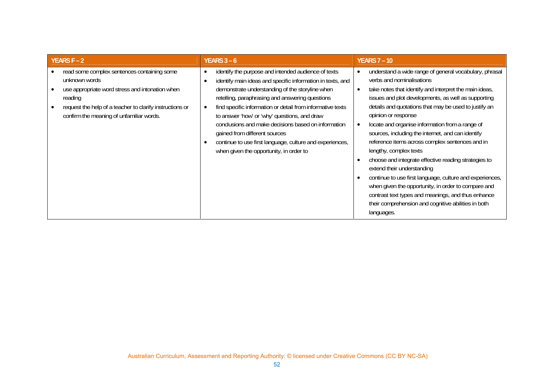| <b>YEARS <math>F - 2</math></b>                                                                                                                                                                                                    | YEARS $3 - 6$                                                                                                                                                                                                                                                                                                                                                                                                                                                                                                                        | <b>YEARS 7-10</b>                                                                                                                                                                                                                                                                                                                                                                                                                                                                                                                                                                                                                                                                                                                                                                                                          |
|------------------------------------------------------------------------------------------------------------------------------------------------------------------------------------------------------------------------------------|--------------------------------------------------------------------------------------------------------------------------------------------------------------------------------------------------------------------------------------------------------------------------------------------------------------------------------------------------------------------------------------------------------------------------------------------------------------------------------------------------------------------------------------|----------------------------------------------------------------------------------------------------------------------------------------------------------------------------------------------------------------------------------------------------------------------------------------------------------------------------------------------------------------------------------------------------------------------------------------------------------------------------------------------------------------------------------------------------------------------------------------------------------------------------------------------------------------------------------------------------------------------------------------------------------------------------------------------------------------------------|
| read some complex sentences containing some<br>unknown words<br>use appropriate word stress and intonation when<br>reading<br>request the help of a teacher to clarify instructions or<br>confirm the meaning of unfamiliar words. | identify the purpose and intended audience of texts<br>identify main ideas and specific information in texts, and<br>demonstrate understanding of the storyline when<br>retelling, paraphrasing and answering questions<br>find specific information or detail from informative texts<br>to answer 'how' or 'why' questions, and draw<br>conclusions and make decisions based on information<br>gained from different sources<br>continue to use first language, culture and experiences,<br>when given the opportunity, in order to | understand a wide range of general vocabulary, phrasal<br>verbs and nominalisations<br>take notes that identify and interpret the main ideas,<br>$\bullet$<br>issues and plot developments, as well as supporting<br>details and quotations that may be used to justify an<br>opinion or response<br>locate and organise information from a range of<br>sources, including the internet, and can identify<br>reference items across complex sentences and in<br>lengthy, complex texts<br>choose and integrate effective reading strategies to<br>extend their understanding<br>continue to use first language, culture and experiences,<br>when given the opportunity, in order to compare and<br>contrast text types and meanings, and thus enhance<br>their comprehension and cognitive abilities in both<br>languages. |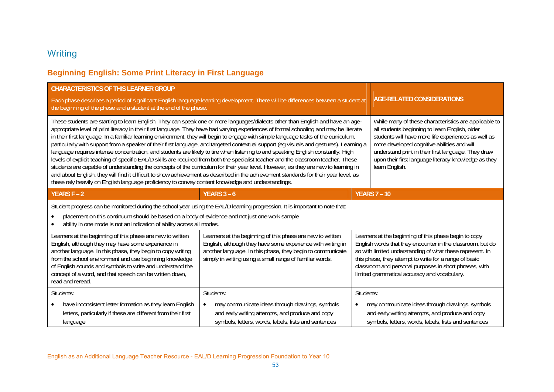### **Writing**

### **Beginning English: Some Print Literacy in First Language**

| <b>CHARACTERISTICS OF THIS LEARNER GROUP</b><br>the beginning of the phase and a student at the end of the phase.                                                                                                                                                                                                                                                                                                                                                                                                                                                                                                                                                                                                                                                                                                                                                                                                                                                                                                                                                                                                                                                                                                                                                                                                                                                                                                                                                                                                                                                              | Each phase describes a period of significant English language learning development. There will be differences between a student at                                                                                                                  | AGE-RELATED CONSIDERATIONS                                                                                                                                                                                                                                                                                                                           |
|--------------------------------------------------------------------------------------------------------------------------------------------------------------------------------------------------------------------------------------------------------------------------------------------------------------------------------------------------------------------------------------------------------------------------------------------------------------------------------------------------------------------------------------------------------------------------------------------------------------------------------------------------------------------------------------------------------------------------------------------------------------------------------------------------------------------------------------------------------------------------------------------------------------------------------------------------------------------------------------------------------------------------------------------------------------------------------------------------------------------------------------------------------------------------------------------------------------------------------------------------------------------------------------------------------------------------------------------------------------------------------------------------------------------------------------------------------------------------------------------------------------------------------------------------------------------------------|-----------------------------------------------------------------------------------------------------------------------------------------------------------------------------------------------------------------------------------------------------|------------------------------------------------------------------------------------------------------------------------------------------------------------------------------------------------------------------------------------------------------------------------------------------------------------------------------------------------------|
| These students are starting to learn English. They can speak one or more languages/dialects other than English and have an age-<br>While many of these characteristics are applicable to<br>appropriate level of print literacy in their first language. They have had varying experiences of formal schooling and may be literate<br>all students beginning to learn English, older<br>in their first language. In a familiar learning environment, they will begin to engage with simple language tasks of the curriculum,<br>students will have more life experiences as well as<br>more developed cognitive abilities and will<br>particularly with support from a speaker of their first language, and targeted contextual support (eg visuals and gestures). Learning a<br>understand print in their first language. They draw<br>language requires intense concentration, and students are likely to tire when listening to and speaking English constantly. High<br>levels of explicit teaching of specific EAL/D skills are required from both the specialist teacher and the classroom teacher. These<br>upon their first language literacy knowledge as they<br>students are capable of understanding the concepts of the curriculum for their year level. However, as they are new to learning in<br>learn English.<br>and about English, they will find it difficult to show achievement as described in the achievement standards for their year level, as<br>these rely heavily on English language proficiency to convey content knowledge and understandings. |                                                                                                                                                                                                                                                     |                                                                                                                                                                                                                                                                                                                                                      |
| YEARS F-2                                                                                                                                                                                                                                                                                                                                                                                                                                                                                                                                                                                                                                                                                                                                                                                                                                                                                                                                                                                                                                                                                                                                                                                                                                                                                                                                                                                                                                                                                                                                                                      | <b>YEARS 3 - 6</b>                                                                                                                                                                                                                                  | <b>YEARS 7-10</b>                                                                                                                                                                                                                                                                                                                                    |
| Student progress can be monitored during the school year using the EAL/D learning progression. It is important to note that:<br>placement on this continuum should be based on a body of evidence and not just one work sample<br>ability in one mode is not an indication of ability across all modes.                                                                                                                                                                                                                                                                                                                                                                                                                                                                                                                                                                                                                                                                                                                                                                                                                                                                                                                                                                                                                                                                                                                                                                                                                                                                        |                                                                                                                                                                                                                                                     |                                                                                                                                                                                                                                                                                                                                                      |
| Learners at the beginning of this phase are new to written<br>English, although they may have some experience in<br>another language. In this phase, they begin to copy writing<br>from the school environment and use beginning knowledge<br>of English sounds and symbols to write and understand the<br>concept of a word, and that speech can be written down,<br>read and reread.                                                                                                                                                                                                                                                                                                                                                                                                                                                                                                                                                                                                                                                                                                                                                                                                                                                                                                                                                                                                                                                                                                                                                                                         | Learners at the beginning of this phase are new to written<br>English, although they have some experience with writing in<br>another language. In this phase, they begin to communicate<br>simply in writing using a small range of familiar words. | Learners at the beginning of this phase begin to copy<br>English words that they encounter in the classroom, but do<br>so with limited understanding of what these represent. In<br>this phase, they attempt to write for a range of basic<br>classroom and personal purposes in short phrases, with<br>limited grammatical accuracy and vocabulary. |
| Students:                                                                                                                                                                                                                                                                                                                                                                                                                                                                                                                                                                                                                                                                                                                                                                                                                                                                                                                                                                                                                                                                                                                                                                                                                                                                                                                                                                                                                                                                                                                                                                      | Students:                                                                                                                                                                                                                                           | Students:                                                                                                                                                                                                                                                                                                                                            |
| have inconsistent letter formation as they learn English<br>letters, particularly if these are different from their first<br>language                                                                                                                                                                                                                                                                                                                                                                                                                                                                                                                                                                                                                                                                                                                                                                                                                                                                                                                                                                                                                                                                                                                                                                                                                                                                                                                                                                                                                                          | may communicate ideas through drawings, symbols<br>$\bullet$<br>and early writing attempts, and produce and copy<br>symbols, letters, words, labels, lists and sentences                                                                            | may communicate ideas through drawings, symbols<br>$\bullet$<br>and early writing attempts, and produce and copy<br>symbols, letters, words, labels, lists and sentences                                                                                                                                                                             |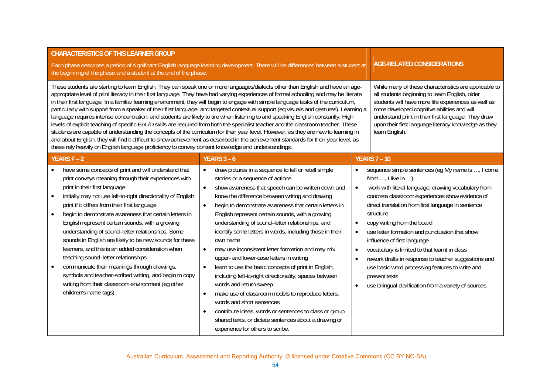| <b>CHARACTERISTICS OF THIS LEARNER GROUP</b>                                                                                                                                                                                                                                                                                                                                                                                                                                                                                                                                                                                                                                                                                                                                                                  |                                                                                                                                                                                                                                                                                                                                                                                                                                                                                                                                                                                                                                                                                                                                                                                                                                                                                                                                                                                                                                                                                                                        |                                                                                                                                                                                                                                                                                                                                                                                                                                                                                                                                                                                                                                                                                                             |
|---------------------------------------------------------------------------------------------------------------------------------------------------------------------------------------------------------------------------------------------------------------------------------------------------------------------------------------------------------------------------------------------------------------------------------------------------------------------------------------------------------------------------------------------------------------------------------------------------------------------------------------------------------------------------------------------------------------------------------------------------------------------------------------------------------------|------------------------------------------------------------------------------------------------------------------------------------------------------------------------------------------------------------------------------------------------------------------------------------------------------------------------------------------------------------------------------------------------------------------------------------------------------------------------------------------------------------------------------------------------------------------------------------------------------------------------------------------------------------------------------------------------------------------------------------------------------------------------------------------------------------------------------------------------------------------------------------------------------------------------------------------------------------------------------------------------------------------------------------------------------------------------------------------------------------------------|-------------------------------------------------------------------------------------------------------------------------------------------------------------------------------------------------------------------------------------------------------------------------------------------------------------------------------------------------------------------------------------------------------------------------------------------------------------------------------------------------------------------------------------------------------------------------------------------------------------------------------------------------------------------------------------------------------------|
| the beginning of the phase and a student at the end of the phase.                                                                                                                                                                                                                                                                                                                                                                                                                                                                                                                                                                                                                                                                                                                                             | Each phase describes a period of significant English language learning development. There will be differences between a student at                                                                                                                                                                                                                                                                                                                                                                                                                                                                                                                                                                                                                                                                                                                                                                                                                                                                                                                                                                                     | <b>AGE-RELATED CONSIDERATIONS</b>                                                                                                                                                                                                                                                                                                                                                                                                                                                                                                                                                                                                                                                                           |
| these rely heavily on English language proficiency to convey content knowledge and understandings.                                                                                                                                                                                                                                                                                                                                                                                                                                                                                                                                                                                                                                                                                                            | These students are starting to learn English. They can speak one or more languages/dialects other than English and have an age-<br>appropriate level of print literacy in their first language. They have had varying experiences of formal schooling and may be literate<br>in their first language. In a familiar learning environment, they will begin to engage with simple language tasks of the curriculum,<br>particularly with support from a speaker of their first language, and targeted contextual support (eg visuals and gestures). Learning a<br>language requires intense concentration, and students are likely to tire when listening to and speaking English constantly. High<br>levels of explicit teaching of specific EAL/D skills are required from both the specialist teacher and the classroom teacher. These<br>students are capable of understanding the concepts of the curriculum for their year level. However, as they are new to learning in<br>and about English, they will find it difficult to show achievement as described in the achievement standards for their year level, as | While many of these characteristics are applicable to<br>all students beginning to learn English, older<br>students will have more life experiences as well as<br>more developed cognitive abilities and will<br>understand print in their first language. They draw<br>upon their first language literacy knowledge as they<br>learn English.                                                                                                                                                                                                                                                                                                                                                              |
| <b>YEARS F-2</b>                                                                                                                                                                                                                                                                                                                                                                                                                                                                                                                                                                                                                                                                                                                                                                                              | <b>YEARS 3 - 6</b>                                                                                                                                                                                                                                                                                                                                                                                                                                                                                                                                                                                                                                                                                                                                                                                                                                                                                                                                                                                                                                                                                                     | <b>YEARS 7 - 10</b>                                                                                                                                                                                                                                                                                                                                                                                                                                                                                                                                                                                                                                                                                         |
| have some concepts of print and will understand that<br>print conveys meaning through their experiences with<br>print in their first language<br>initially may not use left-to-right directionality of English<br>$\bullet$<br>print if it differs from their first language<br>begin to demonstrate awareness that certain letters in<br>$\bullet$<br>English represent certain sounds, with a growing<br>understanding of sound-letter relationships. Some<br>sounds in English are likely to be new sounds for these<br>learners, and this is an added consideration when<br>teaching sound-letter relationships<br>communicate their meanings through drawings,<br>symbols and teacher-scribed writing, and begin to copy<br>writing from their classroom environment (eg other<br>children's name tags). | draw pictures in a sequence to tell or retell simple<br>$\bullet$<br>stories or a sequence of actions<br>show awareness that speech can be written down and<br>know the difference between writing and drawing<br>begin to demonstrate awareness that certain letters in<br>English represent certain sounds, with a growing<br>understanding of sound-letter relationships, and<br>identify some letters in words, including those in their<br>own name<br>may use inconsistent letter formation and may mix<br>upper- and lower-case letters in writing<br>learn to use the basic concepts of print in English,<br>including left-to-right directionality, spaces between<br>words and return sweep<br>make use of classroom models to reproduce letters,<br>$\bullet$<br>words and short sentences<br>contribute ideas, words or sentences to class or group<br>shared texts, or dictate sentences about a drawing or<br>experience for others to scribe.                                                                                                                                                           | sequence simple sentences (eg My name is , I come<br>$\bullet$<br>from $,$ I live in $$ )<br>work with literal language, drawing vocabulary from<br>$\bullet$<br>concrete classroom experiences show evidence of<br>direct translation from first language in sentence<br>structure<br>copy writing from the board<br>$\bullet$<br>use letter formation and punctuation that show<br>$\bullet$<br>influence of first language<br>vocabulary is limited to that learnt in class<br>$\bullet$<br>rework drafts in response to teacher suggestions and<br>$\bullet$<br>use basic word processing features to write and<br>present texts<br>use bilingual clarification from a variety of sources.<br>$\bullet$ |

Australian Curriculum, Assessment and Reporting Authority: © licensed under Creative Commons (CC BY NC-SA)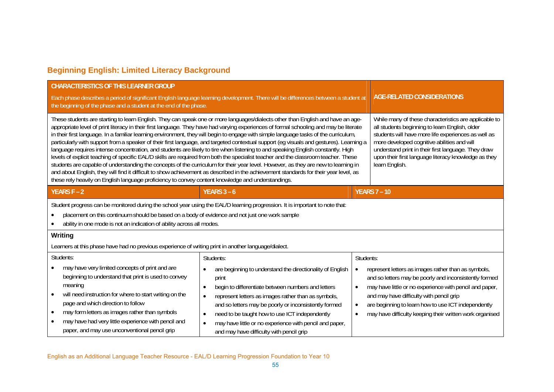### **Beginning English: Limited Literacy Background**

| <b>CHARACTERISTICS OF THIS LEARNER GROUP</b><br>the beginning of the phase and a student at the end of the phase.                                                                                                                                                                                                                                                                                                          | Each phase describes a period of significant English language learning development. There will be differences between a student at                                                                                                                                                                                                                                                                                                                                                                                                                                                                                                                                                                                                                                                                                                                                                                                                                                                                                                                                                                                     | AGE-RELATED CONSIDERATIONS                                                                                                                                                                                                                                                                                                                                                                  |
|----------------------------------------------------------------------------------------------------------------------------------------------------------------------------------------------------------------------------------------------------------------------------------------------------------------------------------------------------------------------------------------------------------------------------|------------------------------------------------------------------------------------------------------------------------------------------------------------------------------------------------------------------------------------------------------------------------------------------------------------------------------------------------------------------------------------------------------------------------------------------------------------------------------------------------------------------------------------------------------------------------------------------------------------------------------------------------------------------------------------------------------------------------------------------------------------------------------------------------------------------------------------------------------------------------------------------------------------------------------------------------------------------------------------------------------------------------------------------------------------------------------------------------------------------------|---------------------------------------------------------------------------------------------------------------------------------------------------------------------------------------------------------------------------------------------------------------------------------------------------------------------------------------------------------------------------------------------|
| these rely heavily on English language proficiency to convey content knowledge and understandings.                                                                                                                                                                                                                                                                                                                         | These students are starting to learn English. They can speak one or more languages/dialects other than English and have an age-<br>appropriate level of print literacy in their first language. They have had varying experiences of formal schooling and may be literate<br>in their first language. In a familiar learning environment, they will begin to engage with simple language tasks of the curriculum,<br>particularly with support from a speaker of their first language, and targeted contextual support (eg visuals and gestures). Learning a<br>language requires intense concentration, and students are likely to tire when listening to and speaking English constantly. High<br>levels of explicit teaching of specific EAL/D skills are required from both the specialist teacher and the classroom teacher. These<br>students are capable of understanding the concepts of the curriculum for their year level. However, as they are new to learning in<br>and about English, they will find it difficult to show achievement as described in the achievement standards for their year level, as | While many of these characteristics are applicable to<br>all students beginning to learn English, older<br>students will have more life experiences as well as<br>more developed cognitive abilities and will<br>understand print in their first language. They draw<br>upon their first language literacy knowledge as they<br>learn English.                                              |
| YEARS F-2                                                                                                                                                                                                                                                                                                                                                                                                                  | <b>YEARS 3 - 6</b>                                                                                                                                                                                                                                                                                                                                                                                                                                                                                                                                                                                                                                                                                                                                                                                                                                                                                                                                                                                                                                                                                                     | <b>YEARS 7 - 10</b>                                                                                                                                                                                                                                                                                                                                                                         |
| Student progress can be monitored during the school year using the EAL/D learning progression. It is important to note that:<br>placement on this continuum should be based on a body of evidence and not just one work sample<br>ability in one mode is not an indication of ability across all modes.<br>Writing<br>Learners at this phase have had no previous experience of writing print in another language/dialect. |                                                                                                                                                                                                                                                                                                                                                                                                                                                                                                                                                                                                                                                                                                                                                                                                                                                                                                                                                                                                                                                                                                                        |                                                                                                                                                                                                                                                                                                                                                                                             |
| Students:<br>may have very limited concepts of print and are<br>beginning to understand that print is used to convey<br>meaning<br>will need instruction for where to start writing on the<br>page and which direction to follow<br>may form letters as images rather than symbols<br>may have had very little experience with pencil and<br>paper, and may use unconventional pencil grip                                 | Students:<br>are beginning to understand the directionality of English<br>$\bullet$<br>print<br>begin to differentiate between numbers and letters<br>$\bullet$<br>represent letters as images rather than as symbols,<br>$\bullet$<br>and so letters may be poorly or inconsistently formed<br>need to be taught how to use ICT independently<br>$\bullet$<br>may have little or no experience with pencil and paper,<br>and may have difficulty with pencil grip                                                                                                                                                                                                                                                                                                                                                                                                                                                                                                                                                                                                                                                     | Students:<br>represent letters as images rather than as symbols,<br>and so letters may be poorly and inconsistently formed<br>may have little or no experience with pencil and paper,<br>$\bullet$<br>and may have difficulty with pencil grip<br>are beginning to learn how to use ICT independently<br>$\bullet$<br>may have difficulty keeping their written work organised<br>$\bullet$ |

English as an Additional Language Teacher Resource - EAL/D Learning Progression Foundation to Year 10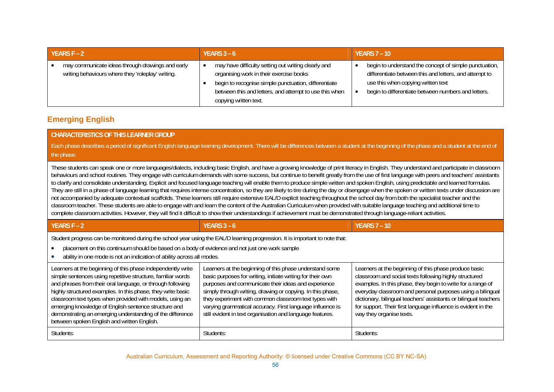| <b>YEARS F - 2</b>                                                                                    | YEARS $3 - 6$                                                                                                                                                                                                                             | YEARS $7 - 10$                                                                                                                                                                                                |
|-------------------------------------------------------------------------------------------------------|-------------------------------------------------------------------------------------------------------------------------------------------------------------------------------------------------------------------------------------------|---------------------------------------------------------------------------------------------------------------------------------------------------------------------------------------------------------------|
| may communicate ideas through drawings and early<br>writing behaviours where they 'roleplay' writing. | may have difficulty setting out writing clearly and<br>organising work in their exercise books<br>begin to recognise simple punctuation, differentiate<br>between this and letters, and attempt to use this when<br>copying written text. | begin to understand the concept of simple punctuation,<br>differentiate between this and letters, and attempt to<br>use this when copying written text<br>begin to differentiate between numbers and letters. |

### **Emerging English**

#### **CHARACTERISTICS OF THIS LEARNER GROUP**

Each phase describes a period of significant English language learning development. There will be differences between a student at the beginning of the phase and a student at the end of the phase.

These students can speak one or more languages/dialects, including basic English, and have a growing knowledge of print literacy in English. They understand and participate in classroom behaviours and school routines. They engage with curriculum demands with some success, but continue to benefit greatly from the use of first language with peers and teachers' assistants to clarify and consolidate understanding. Explicit and focused language teaching will enable them to produce simple written and spoken English, using predictable and learned formulas. They are still in a phase of language learning that requires intense concentration, so they are likely to tire during the day or disengage when the spoken or written texts under discussion are not accompanied by adequate contextual scaffolds. These learners still require extensive EAL/D explicit teaching throughout the school day from both the specialist teacher and the classroom teacher. These students are able to engage with and learn the content of the Australian Curriculum when provided with suitable language teaching and additional time to complete classroom activities. However, they will find it difficult to show their understandings if achievement must be demonstrated through language-reliant activities.

Student progress can be monitored during the school year using the EAL/D learning progression. It is important to note that:

**YEARS F – 2 YEARS 3 – 6 YEARS 7 – 10** 

- . placement on this continuum should be based on a body of evidence and not just one work sample
- $\bullet$ ability in one mode is not an indication of ability across all modes.

| Learners at the beginning of this phase independently write<br>simple sentences using repetitive structure, familiar words<br>and phrases from their oral language, or through following<br>highly structured examples. In this phase, they write basic<br>classroom text types when provided with models, using an<br>emerging knowledge of English sentence structure and<br>demonstrating an emerging understanding of the difference<br>between spoken English and written English. | Learners at the beginning of this phase understand some<br>basic purposes for writing, initiate writing for their own<br>purposes and communicate their ideas and experience<br>simply through writing, drawing or copying. In this phase,<br>they experiment with common classroom text types with<br>varying grammatical accuracy. First language influence is<br>still evident in text organisation and language features. | Learners at the beginning of this phase produce basic<br>classroom and social texts following highly structured<br>examples. In this phase, they begin to write for a range of<br>everyday classroom and personal purposes using a bilingual<br>dictionary, bilingual teachers' assistants or bilingual teachers<br>for support. Their first language influence is evident in the<br>way they organise texts. |
|-----------------------------------------------------------------------------------------------------------------------------------------------------------------------------------------------------------------------------------------------------------------------------------------------------------------------------------------------------------------------------------------------------------------------------------------------------------------------------------------|-------------------------------------------------------------------------------------------------------------------------------------------------------------------------------------------------------------------------------------------------------------------------------------------------------------------------------------------------------------------------------------------------------------------------------|---------------------------------------------------------------------------------------------------------------------------------------------------------------------------------------------------------------------------------------------------------------------------------------------------------------------------------------------------------------------------------------------------------------|
| Students:                                                                                                                                                                                                                                                                                                                                                                                                                                                                               | Students:                                                                                                                                                                                                                                                                                                                                                                                                                     | Students:                                                                                                                                                                                                                                                                                                                                                                                                     |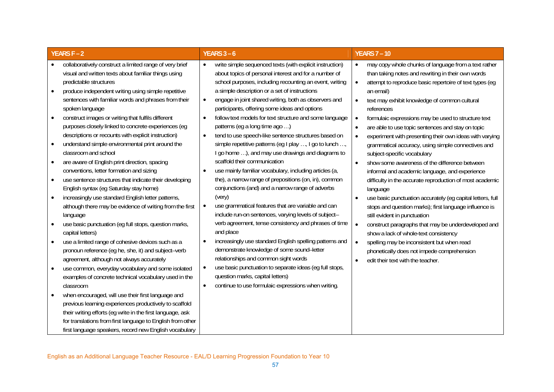| YEARS F-2                                                                                                                                                                                                                                                                                                                                                                                                                                                                                                                                                                                                                                                                                                                                                                                                                                                                                                                                                                                                                                                                                                                                                                                                                                                                                                                                                                                                                                                                                                                                                                | <b>YEARS 3 - 6</b>                                                                                                                                                                                                                                                                                                                                                                                                                                                                                                                                                                                                                                                                                                                                                                                                                                                                                                                                                                                                                                                                                                                                                                                                                                                                                                                                                                                                               | <b>YEARS 7 - 10</b>                                                                                                                                                                                                                                                                                                                                                                                                                                                                                                                                                                                                                                                                                                                                                                                                                                                                                                                                                                                                                                                                                                                                |
|--------------------------------------------------------------------------------------------------------------------------------------------------------------------------------------------------------------------------------------------------------------------------------------------------------------------------------------------------------------------------------------------------------------------------------------------------------------------------------------------------------------------------------------------------------------------------------------------------------------------------------------------------------------------------------------------------------------------------------------------------------------------------------------------------------------------------------------------------------------------------------------------------------------------------------------------------------------------------------------------------------------------------------------------------------------------------------------------------------------------------------------------------------------------------------------------------------------------------------------------------------------------------------------------------------------------------------------------------------------------------------------------------------------------------------------------------------------------------------------------------------------------------------------------------------------------------|----------------------------------------------------------------------------------------------------------------------------------------------------------------------------------------------------------------------------------------------------------------------------------------------------------------------------------------------------------------------------------------------------------------------------------------------------------------------------------------------------------------------------------------------------------------------------------------------------------------------------------------------------------------------------------------------------------------------------------------------------------------------------------------------------------------------------------------------------------------------------------------------------------------------------------------------------------------------------------------------------------------------------------------------------------------------------------------------------------------------------------------------------------------------------------------------------------------------------------------------------------------------------------------------------------------------------------------------------------------------------------------------------------------------------------|----------------------------------------------------------------------------------------------------------------------------------------------------------------------------------------------------------------------------------------------------------------------------------------------------------------------------------------------------------------------------------------------------------------------------------------------------------------------------------------------------------------------------------------------------------------------------------------------------------------------------------------------------------------------------------------------------------------------------------------------------------------------------------------------------------------------------------------------------------------------------------------------------------------------------------------------------------------------------------------------------------------------------------------------------------------------------------------------------------------------------------------------------|
| collaboratively construct a limited range of very brief<br>visual and written texts about familiar things using<br>predictable structures<br>produce independent writing using simple repetitive<br>sentences with familiar words and phrases from their<br>spoken language<br>construct images or writing that fulfils different<br>purposes closely linked to concrete experiences (eg<br>descriptions or recounts with explicit instruction)<br>understand simple environmental print around the<br>$\bullet$<br>classroom and school<br>are aware of English print direction, spacing<br>$\bullet$<br>conventions, letter formation and sizing<br>use sentence structures that indicate their developing<br>$\bullet$<br>English syntax (eg Saturday stay home)<br>increasingly use standard English letter patterns,<br>although there may be evidence of writing from the first<br>language<br>use basic punctuation (eg full stops, question marks,<br>capital letters)<br>use a limited range of cohesive devices such as a<br>pronoun reference (eg he, she, it) and subject-verb<br>agreement, although not always accurately<br>use common, everyday vocabulary and some isolated<br>examples of concrete technical vocabulary used in the<br>classroom<br>when encouraged, will use their first language and<br>previous learning experiences productively to scaffold<br>their writing efforts (eg write in the first language, ask<br>for translations from first language to English from other<br>first language speakers, record new English vocabulary | write simple sequenced texts (with explicit instruction)<br>$\bullet$<br>about topics of personal interest and for a number of<br>school purposes, including recounting an event, writing<br>a simple description or a set of instructions<br>engage in joint shared writing, both as observers and<br>$\bullet$<br>participants, offering some ideas and options<br>follow text models for text structure and some language<br>$\bullet$<br>patterns (eg a long time ago )<br>tend to use speech-like sentence structures based on<br>$\bullet$<br>simple repetitive patterns (eg I play , I go to lunch ,<br>I go home ), and may use drawings and diagrams to<br>scaffold their communication<br>use mainly familiar vocabulary, including articles (a,<br>$\bullet$<br>the), a narrow range of prepositions (on, in), common<br>conjunctions (and) and a narrow range of adverbs<br>(very)<br>use grammatical features that are variable and can<br>$\bullet$<br>include run-on sentences, varying levels of subject-<br>verb agreement, tense consistency and phrases of time<br>and place<br>increasingly use standard English spelling patterns and<br>demonstrate knowledge of some sound-letter<br>relationships and common sight words<br>use basic punctuation to separate ideas (eg full stops,<br>$\bullet$<br>question marks, capital letters)<br>continue to use formulaic expressions when writing.<br>$\bullet$ | may copy whole chunks of language from a text rather<br>than taking notes and rewriting in their own words<br>attempt to reproduce basic repertoire of text types (eg<br>$\bullet$<br>an email)<br>text may exhibit knowledge of common cultural<br>references<br>formulaic expressions may be used to structure text<br>are able to use topic sentences and stay on topic<br>$\bullet$<br>experiment with presenting their own ideas with varying<br>grammatical accuracy, using simple connectives and<br>subject-specific vocabulary<br>show some awareness of the difference between<br>$\bullet$<br>informal and academic language, and experience<br>difficulty in the accurate reproduction of most academic<br>language<br>use basic punctuation accurately (eg capital letters, full<br>stops and question marks); first language influence is<br>still evident in punctuation<br>construct paragraphs that may be underdeveloped and<br>$\bullet$<br>show a lack of whole-text consistency<br>spelling may be inconsistent but when read<br>phonetically does not impede comprehension<br>edit their text with the teacher.<br>$\bullet$ |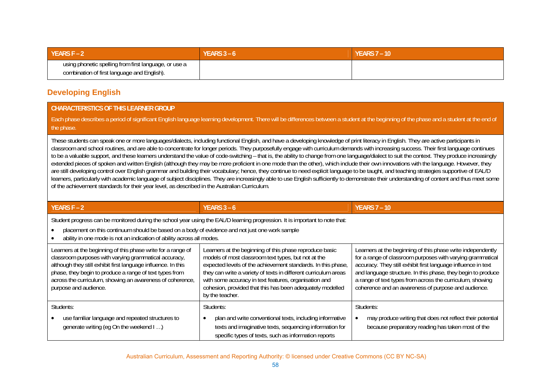| <b>YEARS F - 2</b>                                                                                   | <b>YEARS 3 - 6</b> | $YEARS 7 - 10$ |
|------------------------------------------------------------------------------------------------------|--------------------|----------------|
| using phonetic spelling from first language, or use a<br>combination of first language and English). |                    |                |

#### **Developing English**

#### **CHARACTERISTICS OF THIS LEARNER GROUP**

Each phase describes a period of significant English language learning development. There will be differences between a student at the beginning of the phase and a student at the end of the phase.

These students can speak one or more languages/dialects, including functional English, and have a developing knowledge of print literacy in English. They are active participants in classroom and school routines, and are able to concentrate for longer periods. They purposefully engage with curriculum demands with increasing success. Their first language continues to be a valuable support, and these learners understand the value of code-switching – that is, the ability to change from one language/dialect to suit the context. They produce increasingly extended pieces of spoken and written English (although they may be more proficient in one mode than the other), which include their own innovations with the language. However, they are still developing control over English grammar and building their vocabulary; hence, they continue to need explicit language to be taught, and teaching strategies supportive of EAL/D learners, particularly with academic language of subject disciplines. They are increasingly able to use English sufficiently to demonstrate their understanding of content and thus meet some of the achievement standards for their year level, as described in the Australian Curriculum.

| <b>YEARS F - 2</b>                                                                                                                                                                                                                                                                                                                      | <b>YEARS 3 - 6</b>                                                                                                                                                                                                                                                                                                                                                                         | <b>YEARS 7 - 10</b>                                                                                                                                                                                                                                                                                                                                                            |
|-----------------------------------------------------------------------------------------------------------------------------------------------------------------------------------------------------------------------------------------------------------------------------------------------------------------------------------------|--------------------------------------------------------------------------------------------------------------------------------------------------------------------------------------------------------------------------------------------------------------------------------------------------------------------------------------------------------------------------------------------|--------------------------------------------------------------------------------------------------------------------------------------------------------------------------------------------------------------------------------------------------------------------------------------------------------------------------------------------------------------------------------|
| Student progress can be monitored during the school year using the EAL/D learning progression. It is important to note that:<br>placement on this continuum should be based on a body of evidence and not just one work sample<br>$\bullet$<br>ability in one mode is not an indication of ability across all modes.                    |                                                                                                                                                                                                                                                                                                                                                                                            |                                                                                                                                                                                                                                                                                                                                                                                |
| Learners at the beginning of this phase write for a range of<br>classroom purposes with varying grammatical accuracy,<br>although they still exhibit first language influence. In this<br>phase, they begin to produce a range of text types from<br>across the curriculum, showing an awareness of coherence,<br>purpose and audience. | Learners at the beginning of this phase reproduce basic<br>models of most classroom text types, but not at the<br>expected levels of the achievement standards. In this phase,<br>they can write a variety of texts in different curriculum areas<br>with some accuracy in text features, organisation and<br>cohesion, provided that this has been adequately modelled<br>by the teacher. | Learners at the beginning of this phase write independently<br>for a range of classroom purposes with varying grammatical<br>accuracy. They still exhibit first language influence in text<br>and language structure. In this phase, they begin to produce<br>a range of text types from across the curriculum, showing<br>coherence and an awareness of purpose and audience. |
| Students:<br>use familiar language and repeated structures to<br>generate writing (eg On the weekend I )                                                                                                                                                                                                                                | Students:<br>plan and write conventional texts, including informative<br>texts and imaginative texts, sequencing information for<br>specific types of texts, such as information reports                                                                                                                                                                                                   | Students:<br>may produce writing that does not reflect their potential<br>because preparatory reading has taken most of the                                                                                                                                                                                                                                                    |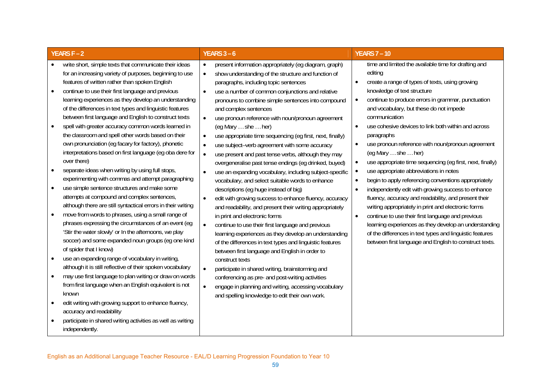| YEARS F-2                                                                                                                                                                                                                                                                                                                                                                                                                                                                                                                                                                                                                                                                                                                                                                                                                                                                                                                                                                                                                                                                                                                                                                                                                                                                                                                                                                                                                                                                                                                                                                                                               | <b>YEARS 3 - 6</b>                                                                                                                                                                                                                                                                                                                                                                                                                                                                                                                                                                                                                                                                                                                                                                                                                                                                                                                                                                                                                                                                                                                                                                                                                                                                                                                                                                                                                                                                                                                | <b>YEARS 7 - 10</b>                                                                                                                                                                                                                                                                                                                                                                                                                                                                                                                                                                                                                                                                                                                                                                                                                                                                                                                                                                                                                                                                     |
|-------------------------------------------------------------------------------------------------------------------------------------------------------------------------------------------------------------------------------------------------------------------------------------------------------------------------------------------------------------------------------------------------------------------------------------------------------------------------------------------------------------------------------------------------------------------------------------------------------------------------------------------------------------------------------------------------------------------------------------------------------------------------------------------------------------------------------------------------------------------------------------------------------------------------------------------------------------------------------------------------------------------------------------------------------------------------------------------------------------------------------------------------------------------------------------------------------------------------------------------------------------------------------------------------------------------------------------------------------------------------------------------------------------------------------------------------------------------------------------------------------------------------------------------------------------------------------------------------------------------------|-----------------------------------------------------------------------------------------------------------------------------------------------------------------------------------------------------------------------------------------------------------------------------------------------------------------------------------------------------------------------------------------------------------------------------------------------------------------------------------------------------------------------------------------------------------------------------------------------------------------------------------------------------------------------------------------------------------------------------------------------------------------------------------------------------------------------------------------------------------------------------------------------------------------------------------------------------------------------------------------------------------------------------------------------------------------------------------------------------------------------------------------------------------------------------------------------------------------------------------------------------------------------------------------------------------------------------------------------------------------------------------------------------------------------------------------------------------------------------------------------------------------------------------|-----------------------------------------------------------------------------------------------------------------------------------------------------------------------------------------------------------------------------------------------------------------------------------------------------------------------------------------------------------------------------------------------------------------------------------------------------------------------------------------------------------------------------------------------------------------------------------------------------------------------------------------------------------------------------------------------------------------------------------------------------------------------------------------------------------------------------------------------------------------------------------------------------------------------------------------------------------------------------------------------------------------------------------------------------------------------------------------|
| write short, simple texts that communicate their ideas<br>for an increasing variety of purposes, beginning to use<br>features of written rather than spoken English<br>continue to use their first language and previous<br>learning experiences as they develop an understanding<br>of the differences in text types and linguistic features<br>between first language and English to construct texts<br>spell with greater accuracy common words learned in<br>the classroom and spell other words based on their<br>own pronunciation (eg facary for factory), phonetic<br>interpretations based on first language (eg oba dere for<br>over there)<br>separate ideas when writing by using full stops,<br>$\bullet$<br>experimenting with commas and attempt paragraphing<br>use simple sentence structures and make some<br>attempts at compound and complex sentences,<br>although there are still syntactical errors in their writing<br>move from words to phrases, using a small range of<br>phrases expressing the circumstances of an event (eg<br>'Stir the water slowly' or In the afternoons, we play<br>soccer) and some expanded noun groups (eg one kind<br>of spider that I know)<br>use an expanding range of vocabulary in writing,<br>although it is still reflective of their spoken vocabulary<br>may use first language to plan writing or draw on words<br>from first language when an English equivalent is not<br>known<br>edit writing with growing support to enhance fluency,<br>accuracy and readability<br>participate in shared writing activities as well as writing<br>independently. | present information appropriately (eg diagram, graph)<br>$\bullet$<br>show understanding of the structure and function of<br>$\bullet$<br>paragraphs, including topic sentences<br>use a number of common conjunctions and relative<br>$\bullet$<br>pronouns to combine simple sentences into compound<br>and complex sentences<br>use pronoun reference with noun/pronoun agreement<br>$\bullet$<br>(eg Mary  she  her)<br>use appropriate time sequencing (eg first, next, finally)<br>$\bullet$<br>use subject-verb agreement with some accuracy<br>$\bullet$<br>use present and past tense verbs, although they may<br>$\bullet$<br>overgeneralise past tense endings (eg drinked, buyed)<br>use an expanding vocabulary, including subject-specific<br>$\bullet$<br>vocabulary, and select suitable words to enhance<br>descriptions (eg huge instead of big)<br>edit with growing success to enhance fluency, accuracy<br>and readability, and present their writing appropriately<br>in print and electronic forms<br>continue to use their first language and previous<br>$\bullet$<br>learning experiences as they develop an understanding<br>of the differences in text types and linguistic features<br>between first language and English in order to<br>construct texts<br>participate in shared writing, brainstorming and<br>$\bullet$<br>conferencing as pre- and post-writing activities<br>engage in planning and writing, accessing vocabulary<br>$\bullet$<br>and spelling knowledge to edit their own work. | time and limited the available time for drafting and<br>editing<br>create a range of types of texts, using growing<br>knowledge of text structure<br>continue to produce errors in grammar, punctuation<br>$\bullet$<br>and vocabulary, but these do not impede<br>communication<br>use cohesive devices to link both within and across<br>$\bullet$<br>paragraphs<br>use pronoun reference with noun/pronoun agreement<br>$\bullet$<br>(eg Mary  she  her)<br>use appropriate time sequencing (eg first, next, finally)<br>$\bullet$<br>use appropriate abbreviations in notes<br>begin to apply referencing conventions appropriately<br>$\bullet$<br>independently edit with growing success to enhance<br>$\bullet$<br>fluency, accuracy and readability, and present their<br>writing appropriately in print and electronic forms<br>continue to use their first language and previous<br>$\bullet$<br>learning experiences as they develop an understanding<br>of the differences in text types and linguistic features<br>between first language and English to construct texts. |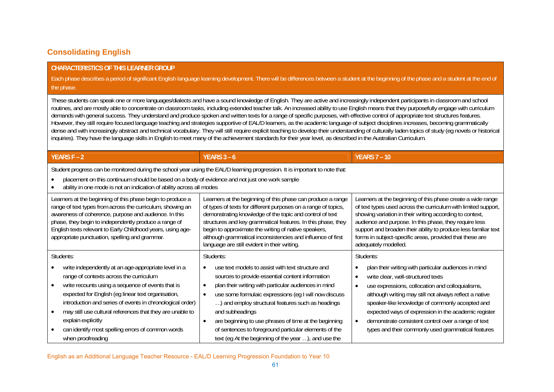#### **Consolidating English**

#### **CHARACTERISTICS OF THIS LEARNER GROUP**

Each phase describes a period of significant English language learning development. There will be differences between a student at the beginning of the phase and a student at the end of the phase.

These students can speak one or more languages/dialects and have a sound knowledge of English. They are active and increasingly independent participants in classroom and school routines, and are mostly able to concentrate on classroom tasks, including extended teacher talk. An increased ability to use English means that they purposefully engage with curriculum demands with general success. They understand and produce spoken and written texts for a range of specific purposes, with effective control of appropriate text structures features. However, they still require focused language teaching and strategies supportive of EAL/D learners, as the academic language of subject disciplines increases, becoming grammatically dense and with increasingly abstract and technical vocabulary. They will still require explicit teaching to develop their understanding of culturally laden topics of study (eg novels or historical inquiries). They have the language skills in English to meet many of the achievement standards for their year level, as described in the Australian Curriculum.

| YEARS $F - 2$                                                                                                                                                                                                                                                                                                                                                                                                                                                               | <b>YEARS 3 - 6</b>                                                                                                                                                                                                                                                                                                                                                                                                                                                                                 | <b>YEARS 7-10</b>                                                                                                                                                                                                                                                                                                                                                                                                                |
|-----------------------------------------------------------------------------------------------------------------------------------------------------------------------------------------------------------------------------------------------------------------------------------------------------------------------------------------------------------------------------------------------------------------------------------------------------------------------------|----------------------------------------------------------------------------------------------------------------------------------------------------------------------------------------------------------------------------------------------------------------------------------------------------------------------------------------------------------------------------------------------------------------------------------------------------------------------------------------------------|----------------------------------------------------------------------------------------------------------------------------------------------------------------------------------------------------------------------------------------------------------------------------------------------------------------------------------------------------------------------------------------------------------------------------------|
| Student progress can be monitored during the school year using the EAL/D learning progression. It is important to note that:<br>placement on this continuum should be based on a body of evidence and not just one work sample<br>ability in one mode is not an indication of ability across all modes                                                                                                                                                                      |                                                                                                                                                                                                                                                                                                                                                                                                                                                                                                    |                                                                                                                                                                                                                                                                                                                                                                                                                                  |
| Learners at the beginning of this phase begin to produce a<br>range of text types from across the curriculum, showing an<br>awareness of coherence, purpose and audience. In this<br>phase, they begin to independently produce a range of<br>English texts relevant to Early Childhood years, using age-<br>appropriate punctuation, spelling and grammar.                                                                                                                 | Learners at the beginning of this phase can produce a range<br>of types of texts for different purposes on a range of topics,<br>demonstrating knowledge of the topic and control of text<br>structures and key grammatical features. In this phase, they<br>begin to approximate the writing of native speakers,<br>although grammatical inconsistencies and influence of first<br>language are still evident in their writing.                                                                   | Learners at the beginning of this phase create a wide range<br>of text types used across the curriculum with limited support,<br>showing variation in their writing according to context,<br>audience and purpose. In this phase, they require less<br>support and broaden their ability to produce less familiar text<br>forms in subject-specific areas, provided that these are<br>adequately modelled.                       |
| Students:                                                                                                                                                                                                                                                                                                                                                                                                                                                                   | Students:                                                                                                                                                                                                                                                                                                                                                                                                                                                                                          | Students:                                                                                                                                                                                                                                                                                                                                                                                                                        |
| write independently at an age-appropriate level in a<br>range of contexts across the curriculum<br>write recounts using a sequence of events that is<br>$\bullet$<br>expected for English (eg linear text organisation,<br>introduction and series of events in chronological order)<br>may still use cultural references that they are unable to<br>$\bullet$<br>explain explicitly<br>can identify most spelling errors of common words<br>$\bullet$<br>when proofreading | use text models to assist with text structure and<br>sources to provide essential content information<br>plan their writing with particular audiences in mind<br>$\bullet$<br>use some formulaic expressions (eq I will now discuss<br>) and employ structural features such as headings<br>and subheadings<br>are beginning to use phrases of time at the beginning<br>$\bullet$<br>of sentences to foreground particular elements of the<br>text (eg At the beginning of the year ), and use the | plan their writing with particular audiences in mind<br>write clear, well-structured texts<br>use expressions, collocation and colloquialisms,<br>although writing may still not always reflect a native<br>speaker-like knowledge of commonly accepted and<br>expected ways of expression in the academic register<br>demonstrate consistent control over a range of text<br>types and their commonly used grammatical features |

English as an Additional Language Teacher Resource - EAL/D Learning Progression Foundation to Year 10